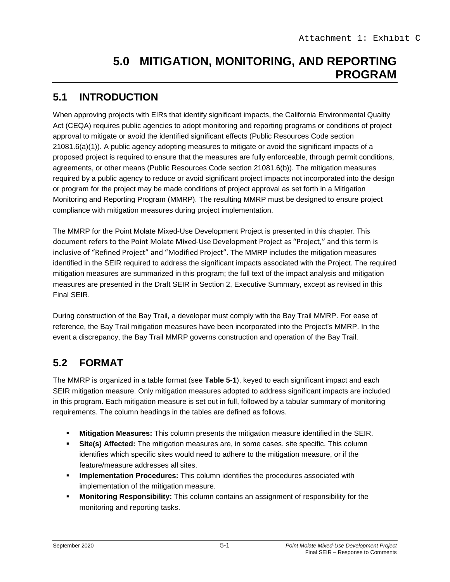## **5.0 MITIGATION, MONITORING, AND REPORTING PROGRAM**

## **5.1 INTRODUCTION**

When approving projects with EIRs that identify significant impacts, the California Environmental Quality Act (CEQA) requires public agencies to adopt monitoring and reporting programs or conditions of project approval to mitigate or avoid the identified significant effects (Public Resources Code section 21081.6(a)(1)). A public agency adopting measures to mitigate or avoid the significant impacts of a proposed project is required to ensure that the measures are fully enforceable, through permit conditions, agreements, or other means (Public Resources Code section 21081.6(b)). The mitigation measures required by a public agency to reduce or avoid significant project impacts not incorporated into the design or program for the project may be made conditions of project approval as set forth in a Mitigation Monitoring and Reporting Program (MMRP). The resulting MMRP must be designed to ensure project compliance with mitigation measures during project implementation.

The MMRP for the Point Molate Mixed-Use Development Project is presented in this chapter. This document refers to the Point Molate Mixed-Use Development Project as "Project," and this term is inclusive of "Refined Project" and "Modified Project". The MMRP includes the mitigation measures identified in the SEIR required to address the significant impacts associated with the Project. The required mitigation measures are summarized in this program; the full text of the impact analysis and mitigation measures are presented in the Draft SEIR in Section 2, Executive Summary, except as revised in this Final SEIR.

During construction of the Bay Trail, a developer must comply with the Bay Trail MMRP. For ease of reference, the Bay Trail mitigation measures have been incorporated into the Project's MMRP. In the event a discrepancy, the Bay Trail MMRP governs construction and operation of the Bay Trail.

## **5.2 FORMAT**

The MMRP is organized in a table format (see **Table 5-1**), keyed to each significant impact and each SEIR mitigation measure. Only mitigation measures adopted to address significant impacts are included in this program. Each mitigation measure is set out in full, followed by a tabular summary of monitoring requirements. The column headings in the tables are defined as follows.

- **Mitigation Measures:** This column presents the mitigation measure identified in the SEIR.
- **Site(s) Affected:** The mitigation measures are, in some cases, site specific. This column identifies which specific sites would need to adhere to the mitigation measure, or if the feature/measure addresses all sites.
- **Implementation Procedures:** This column identifies the procedures associated with implementation of the mitigation measure.
- **Monitoring Responsibility:** This column contains an assignment of responsibility for the monitoring and reporting tasks.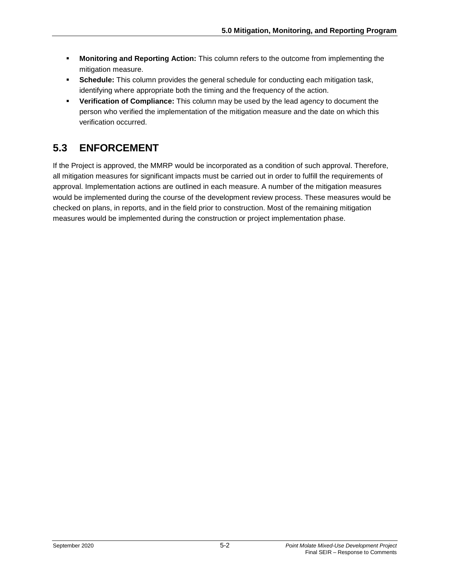- **Monitoring and Reporting Action:** This column refers to the outcome from implementing the mitigation measure.
- **Schedule:** This column provides the general schedule for conducting each mitigation task, identifying where appropriate both the timing and the frequency of the action.
- **Verification of Compliance:** This column may be used by the lead agency to document the person who verified the implementation of the mitigation measure and the date on which this verification occurred.

## **5.3 ENFORCEMENT**

If the Project is approved, the MMRP would be incorporated as a condition of such approval. Therefore, all mitigation measures for significant impacts must be carried out in order to fulfill the requirements of approval. Implementation actions are outlined in each measure. A number of the mitigation measures would be implemented during the course of the development review process. These measures would be checked on plans, in reports, and in the field prior to construction. Most of the remaining mitigation measures would be implemented during the construction or project implementation phase.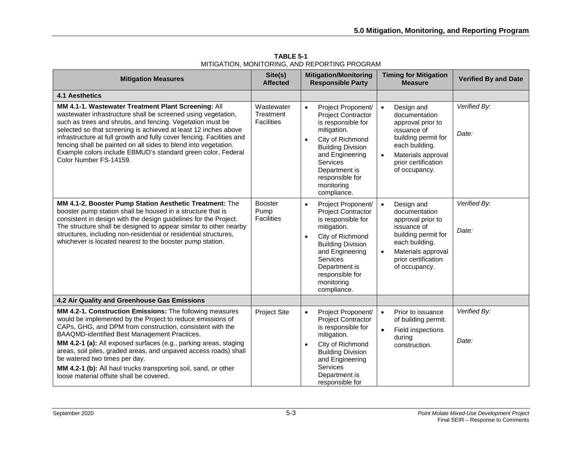| <b>Mitigation Measures</b>                                                                                                                                                                                                                                                                                                                                                                                                                                                                                                  | Site(s)<br><b>Affected</b>                   | <b>Mitigation/Monitoring</b><br><b>Responsible Party</b>                                                                                                                                                                                                              | <b>Timing for Mitigation</b><br><b>Measure</b>                                                                                                                                                   | <b>Verified By and Date</b> |
|-----------------------------------------------------------------------------------------------------------------------------------------------------------------------------------------------------------------------------------------------------------------------------------------------------------------------------------------------------------------------------------------------------------------------------------------------------------------------------------------------------------------------------|----------------------------------------------|-----------------------------------------------------------------------------------------------------------------------------------------------------------------------------------------------------------------------------------------------------------------------|--------------------------------------------------------------------------------------------------------------------------------------------------------------------------------------------------|-----------------------------|
| <b>4.1 Aesthetics</b>                                                                                                                                                                                                                                                                                                                                                                                                                                                                                                       |                                              |                                                                                                                                                                                                                                                                       |                                                                                                                                                                                                  |                             |
| MM 4.1-1. Wastewater Treatment Plant Screening: All<br>wastewater infrastructure shall be screened using vegetation,<br>such as trees and shrubs, and fencing. Vegetation must be<br>selected so that screening is achieved at least 12 inches above<br>infrastructure at full growth and fully cover fencing. Facilities and<br>fencing shall be painted on all sides to blend into vegetation.<br>Example colors include EBMUD's standard green color, Federal<br>Color Number FS-14159.                                  | Wastewater<br>Treatment<br><b>Facilities</b> | $\bullet$<br>Project Proponent/<br><b>Project Contractor</b><br>is responsible for<br>mitigation.<br>City of Richmond<br>$\bullet$<br><b>Building Division</b><br>and Engineering<br><b>Services</b><br>Department is<br>responsible for<br>monitoring<br>compliance. | Design and<br>$\bullet$<br>documentation<br>approval prior to<br>issuance of<br>building permit for<br>each building.<br>Materials approval<br>$\bullet$<br>prior certification<br>of occupancy. | Verified By:<br>Date:       |
| MM 4.1-2. Booster Pump Station Aesthetic Treatment: The<br>booster pump station shall be housed in a structure that is<br>consistent in design with the design guidelines for the Project.<br>The structure shall be designed to appear similar to other nearby<br>structures, including non-residential or residential structures,<br>whichever is located nearest to the booster pump station.                                                                                                                            | <b>Booster</b><br>Pump<br><b>Facilities</b>  | Project Proponent/<br>$\bullet$<br><b>Project Contractor</b><br>is responsible for<br>mitigation.<br>City of Richmond<br>$\bullet$<br><b>Building Division</b><br>and Engineering<br>Services<br>Department is<br>responsible for<br>monitoring<br>compliance.        | Design and<br>$\bullet$<br>documentation<br>approval prior to<br>issuance of<br>building permit for<br>each building.<br>Materials approval<br>prior certification<br>of occupancy.              | Verified By:<br>Date:       |
| 4.2 Air Quality and Greenhouse Gas Emissions                                                                                                                                                                                                                                                                                                                                                                                                                                                                                |                                              |                                                                                                                                                                                                                                                                       |                                                                                                                                                                                                  |                             |
| MM 4.2-1. Construction Emissions: The following measures<br>would be implemented by the Project to reduce emissions of<br>CAPs, GHG, and DPM from construction, consistent with the<br>BAAQMD-identified Best Management Practices.<br>MM 4.2-1 (a): All exposed surfaces (e.g., parking areas, staging<br>areas, soil piles, graded areas, and unpaved access roads) shall<br>be watered two times per day.<br>MM 4.2-1 (b): All haul trucks transporting soil, sand, or other<br>loose material offsite shall be covered. | <b>Project Site</b>                          | Project Proponent/<br>$\bullet$<br><b>Project Contractor</b><br>is responsible for<br>mitigation.<br>City of Richmond<br><b>Building Division</b><br>and Engineering<br>Services<br>Department is<br>responsible for                                                  | Prior to issuance<br>$\bullet$<br>of building permit.<br>Field inspections<br>$\bullet$<br>during<br>construction.                                                                               | Verified By:<br>Date:       |

**TABLE 5-1** MITIGATION, MONITORING, AND REPORTING PROGRAM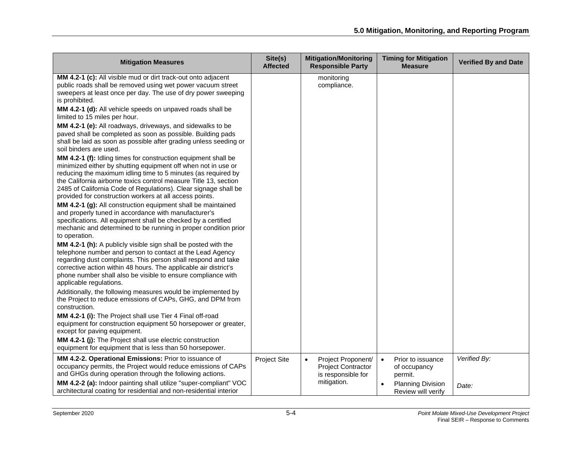| <b>Mitigation Measures</b>                                                                                                                                                                                                                                                                                                                                                                                | Site(s)<br><b>Affected</b> | <b>Mitigation/Monitoring</b><br><b>Responsible Party</b>                           | <b>Timing for Mitigation</b><br><b>Measure</b>            | <b>Verified By and Date</b> |
|-----------------------------------------------------------------------------------------------------------------------------------------------------------------------------------------------------------------------------------------------------------------------------------------------------------------------------------------------------------------------------------------------------------|----------------------------|------------------------------------------------------------------------------------|-----------------------------------------------------------|-----------------------------|
| MM 4.2-1 (c): All visible mud or dirt track-out onto adjacent<br>public roads shall be removed using wet power vacuum street<br>sweepers at least once per day. The use of dry power sweeping<br>is prohibited.<br>MM 4.2-1 (d): All vehicle speeds on unpaved roads shall be<br>limited to 15 miles per hour.                                                                                            |                            | monitoring<br>compliance.                                                          |                                                           |                             |
| MM 4.2-1 (e): All roadways, driveways, and sidewalks to be<br>paved shall be completed as soon as possible. Building pads<br>shall be laid as soon as possible after grading unless seeding or<br>soil binders are used.                                                                                                                                                                                  |                            |                                                                                    |                                                           |                             |
| <b>MM 4.2-1 (f):</b> Idling times for construction equipment shall be<br>minimized either by shutting equipment off when not in use or<br>reducing the maximum idling time to 5 minutes (as required by<br>the California airborne toxics control measure Title 13, section<br>2485 of California Code of Regulations). Clear signage shall be<br>provided for construction workers at all access points. |                            |                                                                                    |                                                           |                             |
| MM 4.2-1 (g): All construction equipment shall be maintained<br>and properly tuned in accordance with manufacturer's<br>specifications. All equipment shall be checked by a certified<br>mechanic and determined to be running in proper condition prior<br>to operation.                                                                                                                                 |                            |                                                                                    |                                                           |                             |
| MM 4.2-1 (h): A publicly visible sign shall be posted with the<br>telephone number and person to contact at the Lead Agency<br>regarding dust complaints. This person shall respond and take<br>corrective action within 48 hours. The applicable air district's<br>phone number shall also be visible to ensure compliance with<br>applicable regulations.                                               |                            |                                                                                    |                                                           |                             |
| Additionally, the following measures would be implemented by<br>the Project to reduce emissions of CAPs, GHG, and DPM from<br>construction.                                                                                                                                                                                                                                                               |                            |                                                                                    |                                                           |                             |
| MM 4.2-1 (i): The Project shall use Tier 4 Final off-road<br>equipment for construction equipment 50 horsepower or greater,<br>except for paving equipment.                                                                                                                                                                                                                                               |                            |                                                                                    |                                                           |                             |
| MM 4.2-1 (j): The Project shall use electric construction<br>equipment for equipment that is less than 50 horsepower.                                                                                                                                                                                                                                                                                     |                            |                                                                                    |                                                           |                             |
| MM 4.2-2. Operational Emissions: Prior to issuance of<br>occupancy permits, the Project would reduce emissions of CAPs<br>and GHGs during operation through the following actions.                                                                                                                                                                                                                        | <b>Project Site</b>        | Project Proponent/<br>$\bullet$<br><b>Project Contractor</b><br>is responsible for | Prior to issuance<br>$\bullet$<br>of occupancy<br>permit. | Verified By:                |
| MM 4.2-2 (a): Indoor painting shall utilize "super-compliant" VOC<br>architectural coating for residential and non-residential interior                                                                                                                                                                                                                                                                   |                            | mitigation.                                                                        | <b>Planning Division</b><br>Review will verify            | Date:                       |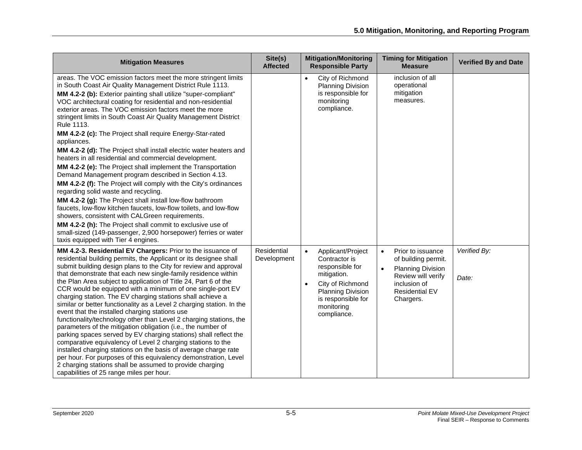| <b>Mitigation Measures</b>                                                                                                                                                                                                                                                                                                                                                                                                                                                                                                                                                                                                                                                                                                                                                                                                                                                                                                                                                                                                                                                                                                                                                                                             | Site(s)<br><b>Affected</b> | <b>Mitigation/Monitoring</b><br><b>Responsible Party</b>                                                                                                                                          | <b>Timing for Mitigation</b><br><b>Measure</b>                                                                                                                             | <b>Verified By and Date</b> |
|------------------------------------------------------------------------------------------------------------------------------------------------------------------------------------------------------------------------------------------------------------------------------------------------------------------------------------------------------------------------------------------------------------------------------------------------------------------------------------------------------------------------------------------------------------------------------------------------------------------------------------------------------------------------------------------------------------------------------------------------------------------------------------------------------------------------------------------------------------------------------------------------------------------------------------------------------------------------------------------------------------------------------------------------------------------------------------------------------------------------------------------------------------------------------------------------------------------------|----------------------------|---------------------------------------------------------------------------------------------------------------------------------------------------------------------------------------------------|----------------------------------------------------------------------------------------------------------------------------------------------------------------------------|-----------------------------|
| areas. The VOC emission factors meet the more stringent limits<br>in South Coast Air Quality Management District Rule 1113.<br>MM 4.2-2 (b): Exterior painting shall utilize "super-compliant"<br>VOC architectural coating for residential and non-residential<br>exterior areas. The VOC emission factors meet the more<br>stringent limits in South Coast Air Quality Management District<br>Rule 1113.<br>MM 4.2-2 (c): The Project shall require Energy-Star-rated<br>appliances.<br>MM 4.2-2 (d): The Project shall install electric water heaters and<br>heaters in all residential and commercial development.<br>MM 4.2-2 (e): The Project shall implement the Transportation<br>Demand Management program described in Section 4.13.<br>MM 4.2-2 (f): The Project will comply with the City's ordinances<br>regarding solid waste and recycling.<br>MM 4.2-2 (g): The Project shall install low-flow bathroom<br>faucets, low-flow kitchen faucets, low-flow toilets, and low-flow<br>showers, consistent with CALGreen requirements.<br>MM 4.2-2 (h): The Project shall commit to exclusive use of<br>small-sized (149-passenger, 2,900 horsepower) ferries or water<br>taxis equipped with Tier 4 engines. |                            | City of Richmond<br>$\bullet$<br><b>Planning Division</b><br>is responsible for<br>monitoring<br>compliance.                                                                                      | inclusion of all<br>operational<br>mitigation<br>measures.                                                                                                                 |                             |
| MM 4.2-3. Residential EV Chargers: Prior to the issuance of<br>residential building permits, the Applicant or its designee shall<br>submit building design plans to the City for review and approval<br>that demonstrate that each new single-family residence within<br>the Plan Area subject to application of Title 24, Part 6 of the<br>CCR would be equipped with a minimum of one single-port EV<br>charging station. The EV charging stations shall achieve a<br>similar or better functionality as a Level 2 charging station. In the<br>event that the installed charging stations use<br>functionality/technology other than Level 2 charging stations, the<br>parameters of the mitigation obligation (i.e., the number of<br>parking spaces served by EV charging stations) shall reflect the<br>comparative equivalency of Level 2 charging stations to the<br>installed charging stations on the basis of average charge rate<br>per hour. For purposes of this equivalency demonstration, Level<br>2 charging stations shall be assumed to provide charging<br>capabilities of 25 range miles per hour.                                                                                                 | Residential<br>Development | Applicant/Project<br>$\bullet$<br>Contractor is<br>responsible for<br>mitigation.<br>City of Richmond<br>$\bullet$<br><b>Planning Division</b><br>is responsible for<br>monitoring<br>compliance. | Prior to issuance<br>$\bullet$<br>of building permit.<br><b>Planning Division</b><br>$\bullet$<br>Review will verify<br>inclusion of<br><b>Residential EV</b><br>Chargers. | Verified By:<br>Date:       |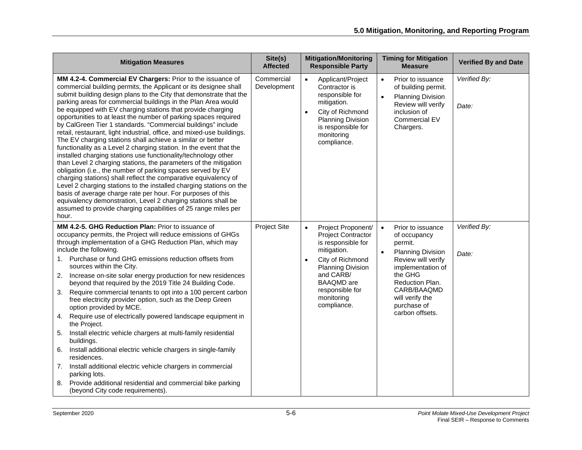| <b>Mitigation Measures</b>                                                                                                                                                                                                                                                                                                                                                                                                                                                                                                                                                                                                                                                                                                                                                                                                                                                                                                                                                                                                                                                                                                                                                                                                                      | Site(s)<br><b>Affected</b> | <b>Mitigation/Monitoring</b><br><b>Responsible Party</b>                                                                                                                                                               | <b>Timing for Mitigation</b><br><b>Measure</b>                                                                                                                                                                                                  | <b>Verified By and Date</b> |
|-------------------------------------------------------------------------------------------------------------------------------------------------------------------------------------------------------------------------------------------------------------------------------------------------------------------------------------------------------------------------------------------------------------------------------------------------------------------------------------------------------------------------------------------------------------------------------------------------------------------------------------------------------------------------------------------------------------------------------------------------------------------------------------------------------------------------------------------------------------------------------------------------------------------------------------------------------------------------------------------------------------------------------------------------------------------------------------------------------------------------------------------------------------------------------------------------------------------------------------------------|----------------------------|------------------------------------------------------------------------------------------------------------------------------------------------------------------------------------------------------------------------|-------------------------------------------------------------------------------------------------------------------------------------------------------------------------------------------------------------------------------------------------|-----------------------------|
| MM 4.2-4. Commercial EV Chargers: Prior to the issuance of<br>commercial building permits, the Applicant or its designee shall<br>submit building design plans to the City that demonstrate that the<br>parking areas for commercial buildings in the Plan Area would<br>be equipped with EV charging stations that provide charging<br>opportunities to at least the number of parking spaces required<br>by CalGreen Tier 1 standards. "Commercial buildings" include<br>retail, restaurant, light industrial, office, and mixed-use buildings.<br>The EV charging stations shall achieve a similar or better<br>functionality as a Level 2 charging station. In the event that the<br>installed charging stations use functionality/technology other<br>than Level 2 charging stations, the parameters of the mitigation<br>obligation (i.e., the number of parking spaces served by EV<br>charging stations) shall reflect the comparative equivalency of<br>Level 2 charging stations to the installed charging stations on the<br>basis of average charge rate per hour. For purposes of this<br>equivalency demonstration, Level 2 charging stations shall be<br>assumed to provide charging capabilities of 25 range miles per<br>hour. | Commercial<br>Development  | Applicant/Project<br>$\bullet$<br>Contractor is<br>responsible for<br>mitigation.<br>City of Richmond<br>$\bullet$<br>Planning Division<br>is responsible for<br>monitoring<br>compliance.                             | Prior to issuance<br>$\bullet$<br>of building permit.<br>$\bullet$<br><b>Planning Division</b><br>Review will verify<br>inclusion of<br>Commercial EV<br>Chargers.                                                                              | Verified By:<br>Date:       |
| MM 4.2-5. GHG Reduction Plan: Prior to issuance of<br>occupancy permits, the Project will reduce emissions of GHGs<br>through implementation of a GHG Reduction Plan, which may<br>include the following.<br>1. Purchase or fund GHG emissions reduction offsets from<br>sources within the City.<br>Increase on-site solar energy production for new residences<br>2.<br>beyond that required by the 2019 Title 24 Building Code.<br>Require commercial tenants to opt into a 100 percent carbon<br>3.<br>free electricity provider option, such as the Deep Green<br>option provided by MCE.<br>Require use of electrically powered landscape equipment in<br>4.<br>the Project.<br>Install electric vehicle chargers at multi-family residential<br>5.<br>buildings.<br>Install additional electric vehicle chargers in single-family<br>6.<br>residences.<br>Install additional electric vehicle chargers in commercial<br>7.<br>parking lots.<br>Provide additional residential and commercial bike parking<br>8.<br>(beyond City code requirements).                                                                                                                                                                                      | Project Site               | Project Proponent/<br><b>Project Contractor</b><br>is responsible for<br>mitigation.<br>City of Richmond<br><b>Planning Division</b><br>and CARB/<br><b>BAAQMD</b> are<br>responsible for<br>monitoring<br>compliance. | Prior to issuance<br>$\bullet$<br>of occupancy<br>permit.<br><b>Planning Division</b><br>$\bullet$<br>Review will verify<br>implementation of<br>the GHG<br>Reduction Plan.<br>CARB/BAAQMD<br>will verify the<br>purchase of<br>carbon offsets. | Verified By:<br>Date:       |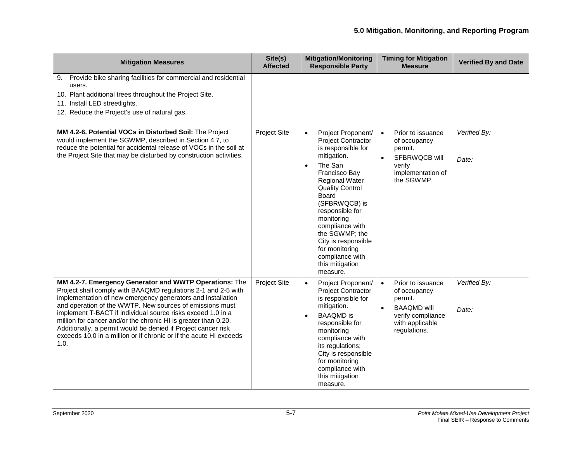| <b>Mitigation Measures</b>                                                                                                                                                                                                                                                                                                                                                                                                                                                                                                         | Site(s)<br><b>Affected</b> | <b>Mitigation/Monitoring</b><br><b>Responsible Party</b>                                                                                                                                                                                                                                                                                                                                 | <b>Timing for Mitigation</b><br><b>Measure</b>                                                                                                       | <b>Verified By and Date</b> |
|------------------------------------------------------------------------------------------------------------------------------------------------------------------------------------------------------------------------------------------------------------------------------------------------------------------------------------------------------------------------------------------------------------------------------------------------------------------------------------------------------------------------------------|----------------------------|------------------------------------------------------------------------------------------------------------------------------------------------------------------------------------------------------------------------------------------------------------------------------------------------------------------------------------------------------------------------------------------|------------------------------------------------------------------------------------------------------------------------------------------------------|-----------------------------|
| Provide bike sharing facilities for commercial and residential<br>9.<br>users.<br>10. Plant additional trees throughout the Project Site.<br>11. Install LED streetlights.<br>12. Reduce the Project's use of natural gas.                                                                                                                                                                                                                                                                                                         |                            |                                                                                                                                                                                                                                                                                                                                                                                          |                                                                                                                                                      |                             |
| MM 4.2-6. Potential VOCs in Disturbed Soil: The Project<br>would implement the SGWMP, described in Section 4.7, to<br>reduce the potential for accidental release of VOCs in the soil at<br>the Project Site that may be disturbed by construction activities.                                                                                                                                                                                                                                                                     | Project Site               | Project Proponent/<br>$\bullet$<br><b>Project Contractor</b><br>is responsible for<br>mitigation.<br>The San<br>$\bullet$<br>Francisco Bay<br><b>Regional Water</b><br><b>Quality Control</b><br>Board<br>(SFBRWQCB) is<br>responsible for<br>monitoring<br>compliance with<br>the SGWMP; the<br>City is responsible<br>for monitoring<br>compliance with<br>this mitigation<br>measure. | Prior to issuance<br>$\bullet$<br>of occupancy<br>permit.<br>SFBRWQCB will<br>$\bullet$<br>verify<br>implementation of<br>the SGWMP.                 | Verified By:<br>Date:       |
| MM 4.2-7. Emergency Generator and WWTP Operations: The<br>Project shall comply with BAAQMD regulations 2-1 and 2-5 with<br>implementation of new emergency generators and installation<br>and operation of the WWTP. New sources of emissions must<br>implement T-BACT if individual source risks exceed 1.0 in a<br>million for cancer and/or the chronic HI is greater than 0.20.<br>Additionally, a permit would be denied if Project cancer risk<br>exceeds 10.0 in a million or if chronic or if the acute HI exceeds<br>1.0. | <b>Project Site</b>        | Project Proponent/<br>$\bullet$<br><b>Project Contractor</b><br>is responsible for<br>mitigation.<br><b>BAAQMD</b> is<br>$\bullet$<br>responsible for<br>monitoring<br>compliance with<br>its regulations;<br>City is responsible<br>for monitoring<br>compliance with<br>this mitigation<br>measure.                                                                                    | Prior to issuance<br>$\bullet$<br>of occupancy<br>permit.<br><b>BAAQMD</b> will<br>$\bullet$<br>verify compliance<br>with applicable<br>regulations. | Verified By:<br>Date:       |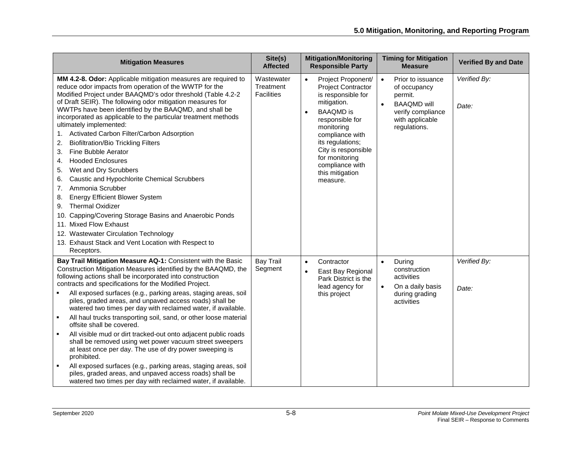| <b>Mitigation Measures</b>                                                                                                                                                                                                                                                                                                                                                                                                                                                                                                                                                                                                                                                                                                                                                                                                                                                                                                                                                                          | Site(s)<br><b>Affected</b>                   | <b>Mitigation/Monitoring</b><br><b>Responsible Party</b>                                                                                                                                                                                                                                 | <b>Timing for Mitigation</b><br><b>Measure</b>                                                                                                       | <b>Verified By and Date</b> |
|-----------------------------------------------------------------------------------------------------------------------------------------------------------------------------------------------------------------------------------------------------------------------------------------------------------------------------------------------------------------------------------------------------------------------------------------------------------------------------------------------------------------------------------------------------------------------------------------------------------------------------------------------------------------------------------------------------------------------------------------------------------------------------------------------------------------------------------------------------------------------------------------------------------------------------------------------------------------------------------------------------|----------------------------------------------|------------------------------------------------------------------------------------------------------------------------------------------------------------------------------------------------------------------------------------------------------------------------------------------|------------------------------------------------------------------------------------------------------------------------------------------------------|-----------------------------|
| MM 4.2-8. Odor: Applicable mitigation measures are required to<br>reduce odor impacts from operation of the WWTP for the<br>Modified Project under BAAQMD's odor threshold (Table 4.2-2<br>of Draft SEIR). The following odor mitigation measures for<br>WWTPs have been identified by the BAAQMD, and shall be<br>incorporated as applicable to the particular treatment methods<br>ultimately implemented:<br>Activated Carbon Filter/Carbon Adsorption<br>1.<br><b>Biofiltration/Bio Trickling Filters</b><br>2.<br>Fine Bubble Aerator<br>3.<br><b>Hooded Enclosures</b><br>4.<br>Wet and Dry Scrubbers<br>5.<br>Caustic and Hypochlorite Chemical Scrubbers<br>6.<br>Ammonia Scrubber<br>7.<br>Energy Efficient Blower System<br>8.<br><b>Thermal Oxidizer</b><br>9.<br>Capping/Covering Storage Basins and Anaerobic Ponds<br>10.<br>11. Mixed Flow Exhaust<br>12. Wastewater Circulation Technology<br>13. Exhaust Stack and Vent Location with Respect to<br>Receptors.                     | Wastewater<br>Treatment<br><b>Facilities</b> | Project Proponent/<br><b>Project Contractor</b><br>is responsible for<br>mitigation.<br><b>BAAOMD</b> is<br>$\bullet$<br>responsible for<br>monitoring<br>compliance with<br>its regulations;<br>City is responsible<br>for monitoring<br>compliance with<br>this mitigation<br>measure. | Prior to issuance<br>$\bullet$<br>of occupancy<br>permit.<br><b>BAAQMD</b> will<br>$\bullet$<br>verify compliance<br>with applicable<br>regulations. | Verified By:<br>Date:       |
| Bay Trail Mitigation Measure AQ-1: Consistent with the Basic<br>Construction Mitigation Measures identified by the BAAQMD, the<br>following actions shall be incorporated into construction<br>contracts and specifications for the Modified Project.<br>All exposed surfaces (e.g., parking areas, staging areas, soil<br>piles, graded areas, and unpaved access roads) shall be<br>watered two times per day with reclaimed water, if available.<br>All haul trucks transporting soil, sand, or other loose material<br>$\blacksquare$<br>offsite shall be covered.<br>All visible mud or dirt tracked-out onto adjacent public roads<br>л.<br>shall be removed using wet power vacuum street sweepers<br>at least once per day. The use of dry power sweeping is<br>prohibited.<br>All exposed surfaces (e.g., parking areas, staging areas, soil<br>$\blacksquare$<br>piles, graded areas, and unpaved access roads) shall be<br>watered two times per day with reclaimed water, if available. | <b>Bay Trail</b><br>Segment                  | Contractor<br>$\bullet$<br>East Bay Regional<br>$\bullet$<br>Park District is the<br>lead agency for<br>this project                                                                                                                                                                     | During<br>construction<br>activities<br>$\bullet$<br>On a daily basis<br>during grading<br>activities                                                | Verified By:<br>Date:       |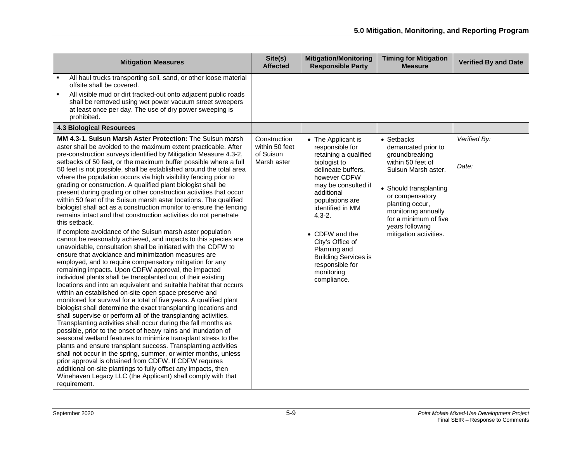| <b>Mitigation Measures</b>                                                                                                                                                                                                                                                                                                                                                                                                                                                                                                                                                                                                                                                                                                                                                                                                                                                                                                                                                                                                                                                                                                                                                                                                                                                                                                                                                                                                                                                                                                                                                                                                                                                                                                                                                                                                                                                                                                                                                                                                                                                                                                          | Site(s)<br><b>Affected</b>                                 | <b>Mitigation/Monitoring</b><br><b>Responsible Party</b>                                                                                                                                                                                                                                                                                            | <b>Timing for Mitigation</b><br><b>Measure</b>                                                                                                                                                                                                               | <b>Verified By and Date</b> |
|-------------------------------------------------------------------------------------------------------------------------------------------------------------------------------------------------------------------------------------------------------------------------------------------------------------------------------------------------------------------------------------------------------------------------------------------------------------------------------------------------------------------------------------------------------------------------------------------------------------------------------------------------------------------------------------------------------------------------------------------------------------------------------------------------------------------------------------------------------------------------------------------------------------------------------------------------------------------------------------------------------------------------------------------------------------------------------------------------------------------------------------------------------------------------------------------------------------------------------------------------------------------------------------------------------------------------------------------------------------------------------------------------------------------------------------------------------------------------------------------------------------------------------------------------------------------------------------------------------------------------------------------------------------------------------------------------------------------------------------------------------------------------------------------------------------------------------------------------------------------------------------------------------------------------------------------------------------------------------------------------------------------------------------------------------------------------------------------------------------------------------------|------------------------------------------------------------|-----------------------------------------------------------------------------------------------------------------------------------------------------------------------------------------------------------------------------------------------------------------------------------------------------------------------------------------------------|--------------------------------------------------------------------------------------------------------------------------------------------------------------------------------------------------------------------------------------------------------------|-----------------------------|
| All haul trucks transporting soil, sand, or other loose material<br>offsite shall be covered.<br>$\blacksquare$<br>All visible mud or dirt tracked-out onto adjacent public roads<br>shall be removed using wet power vacuum street sweepers<br>at least once per day. The use of dry power sweeping is<br>prohibited.                                                                                                                                                                                                                                                                                                                                                                                                                                                                                                                                                                                                                                                                                                                                                                                                                                                                                                                                                                                                                                                                                                                                                                                                                                                                                                                                                                                                                                                                                                                                                                                                                                                                                                                                                                                                              |                                                            |                                                                                                                                                                                                                                                                                                                                                     |                                                                                                                                                                                                                                                              |                             |
| <b>4.3 Biological Resources</b>                                                                                                                                                                                                                                                                                                                                                                                                                                                                                                                                                                                                                                                                                                                                                                                                                                                                                                                                                                                                                                                                                                                                                                                                                                                                                                                                                                                                                                                                                                                                                                                                                                                                                                                                                                                                                                                                                                                                                                                                                                                                                                     |                                                            |                                                                                                                                                                                                                                                                                                                                                     |                                                                                                                                                                                                                                                              |                             |
| MM 4.3-1. Suisun Marsh Aster Protection: The Suisun marsh<br>aster shall be avoided to the maximum extent practicable. After<br>pre-construction surveys identified by Mitigation Measure 4.3-2,<br>setbacks of 50 feet, or the maximum buffer possible where a full<br>50 feet is not possible, shall be established around the total area<br>where the population occurs via high visibility fencing prior to<br>grading or construction. A qualified plant biologist shall be<br>present during grading or other construction activities that occur<br>within 50 feet of the Suisun marsh aster locations. The qualified<br>biologist shall act as a construction monitor to ensure the fencing<br>remains intact and that construction activities do not penetrate<br>this setback.<br>If complete avoidance of the Suisun marsh aster population<br>cannot be reasonably achieved, and impacts to this species are<br>unavoidable, consultation shall be initiated with the CDFW to<br>ensure that avoidance and minimization measures are<br>employed, and to require compensatory mitigation for any<br>remaining impacts. Upon CDFW approval, the impacted<br>individual plants shall be transplanted out of their existing<br>locations and into an equivalent and suitable habitat that occurs<br>within an established on-site open space preserve and<br>monitored for survival for a total of five years. A qualified plant<br>biologist shall determine the exact transplanting locations and<br>shall supervise or perform all of the transplanting activities.<br>Transplanting activities shall occur during the fall months as<br>possible, prior to the onset of heavy rains and inundation of<br>seasonal wetland features to minimize transplant stress to the<br>plants and ensure transplant success. Transplanting activities<br>shall not occur in the spring, summer, or winter months, unless<br>prior approval is obtained from CDFW. If CDFW requires<br>additional on-site plantings to fully offset any impacts, then<br>Winehaven Legacy LLC (the Applicant) shall comply with that<br>requirement. | Construction<br>within 50 feet<br>of Suisun<br>Marsh aster | • The Applicant is<br>responsible for<br>retaining a qualified<br>biologist to<br>delineate buffers,<br>however CDFW<br>may be consulted if<br>additional<br>populations are<br>identified in MM<br>$4.3 - 2.$<br>• CDFW and the<br>City's Office of<br>Planning and<br><b>Building Services is</b><br>responsible for<br>monitoring<br>compliance. | • Setbacks<br>demarcated prior to<br>groundbreaking<br>within 50 feet of<br>Suisun Marsh aster.<br>• Should transplanting<br>or compensatory<br>planting occur,<br>monitoring annually<br>for a minimum of five<br>years following<br>mitigation activities. | Verified By:<br>Date:       |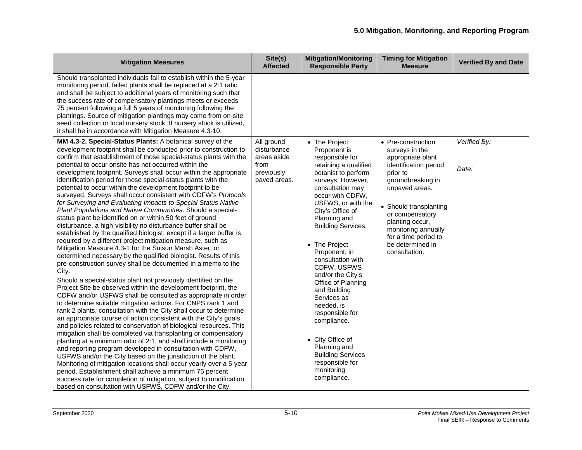| <b>Mitigation Measures</b>                                                                                                                                                                                                                                                                                                                                                                                                                                                                                                                                                                                                                                                                                                                                                                                                                                                                                                                                                                                                                                                                                                                                                                                                                                                                                                                                                                                                                                                                                                                                                                                                                                                                                                                                                                                                                                                                                                                                                                                                                                                                                                                                                         | Site(s)<br><b>Affected</b>                                                     | <b>Mitigation/Monitoring</b><br><b>Responsible Party</b>                                                                                                                                                                                                                                                                                                                                                                                                                                                                                                             | <b>Timing for Mitigation</b><br><b>Measure</b>                                                                                                                                                                                                                                            | <b>Verified By and Date</b> |
|------------------------------------------------------------------------------------------------------------------------------------------------------------------------------------------------------------------------------------------------------------------------------------------------------------------------------------------------------------------------------------------------------------------------------------------------------------------------------------------------------------------------------------------------------------------------------------------------------------------------------------------------------------------------------------------------------------------------------------------------------------------------------------------------------------------------------------------------------------------------------------------------------------------------------------------------------------------------------------------------------------------------------------------------------------------------------------------------------------------------------------------------------------------------------------------------------------------------------------------------------------------------------------------------------------------------------------------------------------------------------------------------------------------------------------------------------------------------------------------------------------------------------------------------------------------------------------------------------------------------------------------------------------------------------------------------------------------------------------------------------------------------------------------------------------------------------------------------------------------------------------------------------------------------------------------------------------------------------------------------------------------------------------------------------------------------------------------------------------------------------------------------------------------------------------|--------------------------------------------------------------------------------|----------------------------------------------------------------------------------------------------------------------------------------------------------------------------------------------------------------------------------------------------------------------------------------------------------------------------------------------------------------------------------------------------------------------------------------------------------------------------------------------------------------------------------------------------------------------|-------------------------------------------------------------------------------------------------------------------------------------------------------------------------------------------------------------------------------------------------------------------------------------------|-----------------------------|
| Should transplanted individuals fail to establish within the 5-year<br>monitoring period, failed plants shall be replaced at a 2:1 ratio<br>and shall be subject to additional years of monitoring such that<br>the success rate of compensatory plantings meets or exceeds<br>75 percent following a full 5 years of monitoring following the<br>plantings. Source of mitigation plantings may come from on-site<br>seed collection or local nursery stock. If nursery stock is utilized,<br>it shall be in accordance with Mitigation Measure 4.3-10.                                                                                                                                                                                                                                                                                                                                                                                                                                                                                                                                                                                                                                                                                                                                                                                                                                                                                                                                                                                                                                                                                                                                                                                                                                                                                                                                                                                                                                                                                                                                                                                                                            |                                                                                |                                                                                                                                                                                                                                                                                                                                                                                                                                                                                                                                                                      |                                                                                                                                                                                                                                                                                           |                             |
| MM 4.3-2. Special-Status Plants: A botanical survey of the<br>development footprint shall be conducted prior to construction to<br>confirm that establishment of those special-status plants with the<br>potential to occur onsite has not occurred within the<br>development footprint. Surveys shall occur within the appropriate<br>identification period for those special-status plants with the<br>potential to occur within the development footprint to be<br>surveyed. Surveys shall occur consistent with CDFW's Protocols<br>for Surveying and Evaluating Impacts to Special Status Native<br>Plant Populations and Native Communities. Should a special-<br>status plant be identified on or within 50 feet of ground<br>disturbance, a high-visibility no disturbance buffer shall be<br>established by the qualified biologist, except if a larger buffer is<br>required by a different project mitigation measure, such as<br>Mitigation Measure 4.3-1 for the Suisun Marsh Aster, or<br>determined necessary by the qualified biologist. Results of this<br>pre-construction survey shall be documented in a memo to the<br>City.<br>Should a special-status plant not previously identified on the<br>Project Site be observed within the development footprint, the<br>CDFW and/or USFWS shall be consulted as appropriate in order<br>to determine suitable mitigation actions. For CNPS rank 1 and<br>rank 2 plants, consultation with the City shall occur to determine<br>an appropriate course of action consistent with the City's goals<br>and policies related to conservation of biological resources. This<br>mitigation shall be completed via transplanting or compensatory<br>planting at a minimum ratio of 2:1, and shall include a monitoring<br>and reporting program developed in consultation with CDFW,<br>USFWS and/or the City based on the jurisdiction of the plant.<br>Monitoring of mitigation locations shall occur yearly over a 5-year<br>period. Establishment shall achieve a minimum 75 percent<br>success rate for completion of mitigation, subject to modification<br>based on consultation with USFWS, CDFW and/or the City. | All ground<br>disturbance<br>areas aside<br>from<br>previously<br>paved areas. | • The Project<br>Proponent is<br>responsible for<br>retaining a qualified<br>botanist to perform<br>surveys. However,<br>consultation may<br>occur with CDFW,<br>USFWS, or with the<br>City's Office of<br>Planning and<br><b>Building Services.</b><br>• The Project<br>Proponent, in<br>consultation with<br>CDFW, USFWS<br>and/or the City's<br>Office of Planning<br>and Building<br>Services as<br>needed, is<br>responsible for<br>compliance.<br>• City Office of<br>Planning and<br><b>Building Services</b><br>responsible for<br>monitoring<br>compliance. | • Pre-construction<br>surveys in the<br>appropriate plant<br>identification period<br>prior to<br>groundbreaking in<br>unpaved areas.<br>• Should transplanting<br>or compensatory<br>planting occur,<br>monitoring annually<br>for a time period to<br>be determined in<br>consultation. | Verified By:<br>Date:       |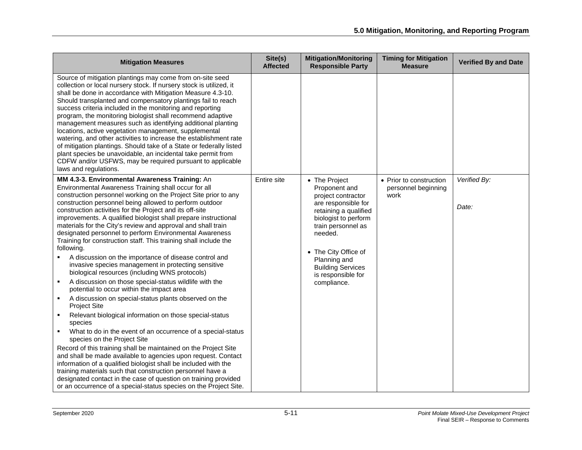| <b>Mitigation Measures</b>                                                                                                                                                                                                                                                                                                                                                                                                                                                                                                                                                                                                                                                                                                                                                                                                                                                                                                                                                                                                                                                                                                                                                                                                                                                                                                                                                                                                                                                                                                                    | Site(s)<br><b>Affected</b> | <b>Mitigation/Monitoring</b><br><b>Responsible Party</b>                                                                                                                                                                                                               | <b>Timing for Mitigation</b><br><b>Measure</b>         | <b>Verified By and Date</b> |
|-----------------------------------------------------------------------------------------------------------------------------------------------------------------------------------------------------------------------------------------------------------------------------------------------------------------------------------------------------------------------------------------------------------------------------------------------------------------------------------------------------------------------------------------------------------------------------------------------------------------------------------------------------------------------------------------------------------------------------------------------------------------------------------------------------------------------------------------------------------------------------------------------------------------------------------------------------------------------------------------------------------------------------------------------------------------------------------------------------------------------------------------------------------------------------------------------------------------------------------------------------------------------------------------------------------------------------------------------------------------------------------------------------------------------------------------------------------------------------------------------------------------------------------------------|----------------------------|------------------------------------------------------------------------------------------------------------------------------------------------------------------------------------------------------------------------------------------------------------------------|--------------------------------------------------------|-----------------------------|
| Source of mitigation plantings may come from on-site seed<br>collection or local nursery stock. If nursery stock is utilized, it<br>shall be done in accordance with Mitigation Measure 4.3-10.<br>Should transplanted and compensatory plantings fail to reach<br>success criteria included in the monitoring and reporting<br>program, the monitoring biologist shall recommend adaptive<br>management measures such as identifying additional planting<br>locations, active vegetation management, supplemental<br>watering, and other activities to increase the establishment rate<br>of mitigation plantings. Should take of a State or federally listed<br>plant species be unavoidable, an incidental take permit from<br>CDFW and/or USFWS, may be required pursuant to applicable<br>laws and regulations.                                                                                                                                                                                                                                                                                                                                                                                                                                                                                                                                                                                                                                                                                                                          |                            |                                                                                                                                                                                                                                                                        |                                                        |                             |
| MM 4.3-3. Environmental Awareness Training: An<br>Environmental Awareness Training shall occur for all<br>construction personnel working on the Project Site prior to any<br>construction personnel being allowed to perform outdoor<br>construction activities for the Project and its off-site<br>improvements. A qualified biologist shall prepare instructional<br>materials for the City's review and approval and shall train<br>designated personnel to perform Environmental Awareness<br>Training for construction staff. This training shall include the<br>following.<br>A discussion on the importance of disease control and<br>invasive species management in protecting sensitive<br>biological resources (including WNS protocols)<br>A discussion on those special-status wildlife with the<br>potential to occur within the impact area<br>A discussion on special-status plants observed on the<br>$\blacksquare$<br><b>Project Site</b><br>Relevant biological information on those special-status<br>species<br>What to do in the event of an occurrence of a special-status<br>species on the Project Site<br>Record of this training shall be maintained on the Project Site<br>and shall be made available to agencies upon request. Contact<br>information of a qualified biologist shall be included with the<br>training materials such that construction personnel have a<br>designated contact in the case of question on training provided<br>or an occurrence of a special-status species on the Project Site. | Entire site                | • The Project<br>Proponent and<br>project contractor<br>are responsible for<br>retaining a qualified<br>biologist to perform<br>train personnel as<br>needed.<br>• The City Office of<br>Planning and<br><b>Building Services</b><br>is responsible for<br>compliance. | • Prior to construction<br>personnel beginning<br>work | Verified By:<br>Date:       |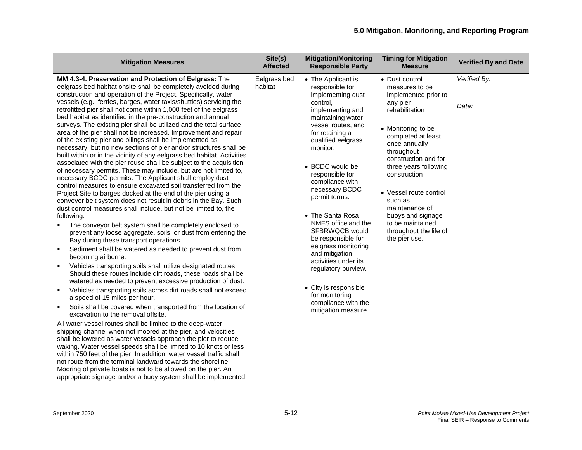| <b>Mitigation Measures</b>                                                                                                                                                                                                                                                                                                                                                                                                                                                                                                                                                                                                                                                                                                                                                                                                                                                                                                                                                                                                                                                                                                                                                                                                                                                                                                                                                                                                                                                                                                                                                                                                                                                                                                                                                                                                                                                                                                                                                                                                                                                                                                                                                                                                                                                                                                                                                                                                                                                                | Site(s)<br><b>Affected</b> | <b>Mitigation/Monitoring</b><br><b>Responsible Party</b>                                                                                                                                                                                                                                                                                                                                                                                                                                                                                                   | <b>Timing for Mitigation</b><br><b>Measure</b>                                                                                                                                                                                                                                                                                                                                | <b>Verified By and Date</b> |
|-------------------------------------------------------------------------------------------------------------------------------------------------------------------------------------------------------------------------------------------------------------------------------------------------------------------------------------------------------------------------------------------------------------------------------------------------------------------------------------------------------------------------------------------------------------------------------------------------------------------------------------------------------------------------------------------------------------------------------------------------------------------------------------------------------------------------------------------------------------------------------------------------------------------------------------------------------------------------------------------------------------------------------------------------------------------------------------------------------------------------------------------------------------------------------------------------------------------------------------------------------------------------------------------------------------------------------------------------------------------------------------------------------------------------------------------------------------------------------------------------------------------------------------------------------------------------------------------------------------------------------------------------------------------------------------------------------------------------------------------------------------------------------------------------------------------------------------------------------------------------------------------------------------------------------------------------------------------------------------------------------------------------------------------------------------------------------------------------------------------------------------------------------------------------------------------------------------------------------------------------------------------------------------------------------------------------------------------------------------------------------------------------------------------------------------------------------------------------------------------|----------------------------|------------------------------------------------------------------------------------------------------------------------------------------------------------------------------------------------------------------------------------------------------------------------------------------------------------------------------------------------------------------------------------------------------------------------------------------------------------------------------------------------------------------------------------------------------------|-------------------------------------------------------------------------------------------------------------------------------------------------------------------------------------------------------------------------------------------------------------------------------------------------------------------------------------------------------------------------------|-----------------------------|
| MM 4.3-4. Preservation and Protection of Eelgrass: The<br>eelgrass bed habitat onsite shall be completely avoided during<br>construction and operation of the Project. Specifically, water<br>vessels (e.g., ferries, barges, water taxis/shuttles) servicing the<br>retrofitted pier shall not come within 1,000 feet of the eelgrass<br>bed habitat as identified in the pre-construction and annual<br>surveys. The existing pier shall be utilized and the total surface<br>area of the pier shall not be increased. Improvement and repair<br>of the existing pier and pilings shall be implemented as<br>necessary, but no new sections of pier and/or structures shall be<br>built within or in the vicinity of any eelgrass bed habitat. Activities<br>associated with the pier reuse shall be subject to the acquisition<br>of necessary permits. These may include, but are not limited to,<br>necessary BCDC permits. The Applicant shall employ dust<br>control measures to ensure excavated soil transferred from the<br>Project Site to barges docked at the end of the pier using a<br>conveyor belt system does not result in debris in the Bay. Such<br>dust control measures shall include, but not be limited to, the<br>following.<br>The conveyor belt system shall be completely enclosed to<br>prevent any loose aggregate, soils, or dust from entering the<br>Bay during these transport operations.<br>Sediment shall be watered as needed to prevent dust from<br>٠<br>becoming airborne.<br>Vehicles transporting soils shall utilize designated routes.<br>Should these routes include dirt roads, these roads shall be<br>watered as needed to prevent excessive production of dust.<br>Vehicles transporting soils across dirt roads shall not exceed<br>$\blacksquare$<br>a speed of 15 miles per hour.<br>Soils shall be covered when transported from the location of<br>excavation to the removal offsite.<br>All water vessel routes shall be limited to the deep-water<br>shipping channel when not moored at the pier, and velocities<br>shall be lowered as water vessels approach the pier to reduce<br>waking. Water vessel speeds shall be limited to 10 knots or less<br>within 750 feet of the pier. In addition, water vessel traffic shall<br>not route from the terminal landward towards the shoreline.<br>Mooring of private boats is not to be allowed on the pier. An<br>appropriate signage and/or a buoy system shall be implemented | Eelgrass bed<br>habitat    | • The Applicant is<br>responsible for<br>implementing dust<br>control.<br>implementing and<br>maintaining water<br>vessel routes, and<br>for retaining a<br>qualified eelgrass<br>monitor.<br>• BCDC would be<br>responsible for<br>compliance with<br>necessary BCDC<br>permit terms.<br>• The Santa Rosa<br>NMFS office and the<br>SFBRWQCB would<br>be responsible for<br>eelgrass monitoring<br>and mitigation<br>activities under its<br>regulatory purview.<br>• City is responsible<br>for monitoring<br>compliance with the<br>mitigation measure. | • Dust control<br>measures to be<br>implemented prior to<br>any pier<br>rehabilitation<br>• Monitoring to be<br>completed at least<br>once annually<br>throughout<br>construction and for<br>three years following<br>construction<br>• Vessel route control<br>such as<br>maintenance of<br>buoys and signage<br>to be maintained<br>throughout the life of<br>the pier use. | Verified By:<br>Date:       |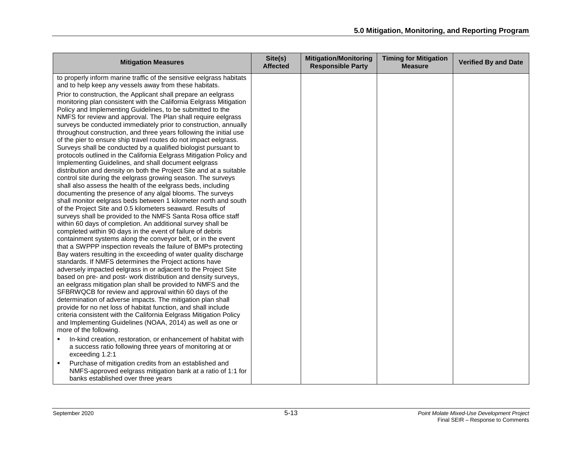| <b>Mitigation Measures</b>                                                                                                                                                                                                                                                                                                                                                                                                                                                                                                                                                                                                                                                                                                                                                                                                                                                                                                                                                                                                                                                                                                                                                                                                                                                                                                                                                                                                                                                                                                                                                                                                                                                                                                                                                                                                                                                                                                                                                                                                                                                                                           | Site(s)<br><b>Affected</b> | <b>Mitigation/Monitoring</b><br><b>Responsible Party</b> | <b>Timing for Mitigation</b><br><b>Measure</b> | <b>Verified By and Date</b> |
|----------------------------------------------------------------------------------------------------------------------------------------------------------------------------------------------------------------------------------------------------------------------------------------------------------------------------------------------------------------------------------------------------------------------------------------------------------------------------------------------------------------------------------------------------------------------------------------------------------------------------------------------------------------------------------------------------------------------------------------------------------------------------------------------------------------------------------------------------------------------------------------------------------------------------------------------------------------------------------------------------------------------------------------------------------------------------------------------------------------------------------------------------------------------------------------------------------------------------------------------------------------------------------------------------------------------------------------------------------------------------------------------------------------------------------------------------------------------------------------------------------------------------------------------------------------------------------------------------------------------------------------------------------------------------------------------------------------------------------------------------------------------------------------------------------------------------------------------------------------------------------------------------------------------------------------------------------------------------------------------------------------------------------------------------------------------------------------------------------------------|----------------------------|----------------------------------------------------------|------------------------------------------------|-----------------------------|
| to properly inform marine traffic of the sensitive eelgrass habitats<br>and to help keep any vessels away from these habitats.                                                                                                                                                                                                                                                                                                                                                                                                                                                                                                                                                                                                                                                                                                                                                                                                                                                                                                                                                                                                                                                                                                                                                                                                                                                                                                                                                                                                                                                                                                                                                                                                                                                                                                                                                                                                                                                                                                                                                                                       |                            |                                                          |                                                |                             |
| Prior to construction, the Applicant shall prepare an eelgrass<br>monitoring plan consistent with the California Eelgrass Mitigation<br>Policy and Implementing Guidelines, to be submitted to the<br>NMFS for review and approval. The Plan shall require eelgrass<br>surveys be conducted immediately prior to construction, annually<br>throughout construction, and three years following the initial use<br>of the pier to ensure ship travel routes do not impact eelgrass.<br>Surveys shall be conducted by a qualified biologist pursuant to<br>protocols outlined in the California Eelgrass Mitigation Policy and<br>Implementing Guidelines, and shall document eelgrass<br>distribution and density on both the Project Site and at a suitable<br>control site during the eelgrass growing season. The surveys<br>shall also assess the health of the eelgrass beds, including<br>documenting the presence of any algal blooms. The surveys<br>shall monitor eelgrass beds between 1 kilometer north and south<br>of the Project Site and 0.5 kilometers seaward. Results of<br>surveys shall be provided to the NMFS Santa Rosa office staff<br>within 60 days of completion. An additional survey shall be<br>completed within 90 days in the event of failure of debris<br>containment systems along the conveyor belt, or in the event<br>that a SWPPP inspection reveals the failure of BMPs protecting<br>Bay waters resulting in the exceeding of water quality discharge<br>standards. If NMFS determines the Project actions have<br>adversely impacted eelgrass in or adjacent to the Project Site<br>based on pre- and post- work distribution and density surveys,<br>an eelgrass mitigation plan shall be provided to NMFS and the<br>SFBRWQCB for review and approval within 60 days of the<br>determination of adverse impacts. The mitigation plan shall<br>provide for no net loss of habitat function, and shall include<br>criteria consistent with the California Eelgrass Mitigation Policy<br>and Implementing Guidelines (NOAA, 2014) as well as one or<br>more of the following. |                            |                                                          |                                                |                             |
| In-kind creation, restoration, or enhancement of habitat with<br>a success ratio following three years of monitoring at or                                                                                                                                                                                                                                                                                                                                                                                                                                                                                                                                                                                                                                                                                                                                                                                                                                                                                                                                                                                                                                                                                                                                                                                                                                                                                                                                                                                                                                                                                                                                                                                                                                                                                                                                                                                                                                                                                                                                                                                           |                            |                                                          |                                                |                             |
| exceeding 1.2:1<br>Purchase of mitigation credits from an established and<br>$\blacksquare$<br>NMFS-approved eelgrass mitigation bank at a ratio of 1:1 for<br>banks established over three years                                                                                                                                                                                                                                                                                                                                                                                                                                                                                                                                                                                                                                                                                                                                                                                                                                                                                                                                                                                                                                                                                                                                                                                                                                                                                                                                                                                                                                                                                                                                                                                                                                                                                                                                                                                                                                                                                                                    |                            |                                                          |                                                |                             |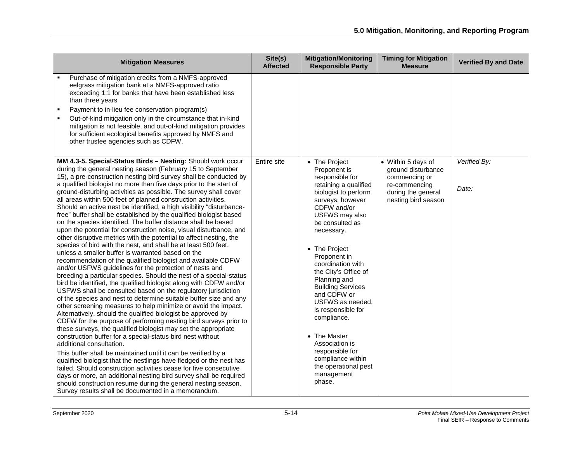| <b>Mitigation Measures</b>                                                                                                                                                                                                                                                                                                                                                                                                                                                                                                                                                                                                                                                                                                                                                                                                                                                                                                                                                                                                                                                                                                                                                                                                                                                                                                                                                                                                                                                                                                                                                                                                                                                                                                                                                                                                                                                                                                                                                                                                                                                            | Site(s)<br><b>Affected</b> | <b>Mitigation/Monitoring</b><br><b>Responsible Party</b>                                                                                                                                                                                                                                                                                                                                                                                                                                                            | <b>Timing for Mitigation</b><br><b>Measure</b>                                                                          | <b>Verified By and Date</b> |
|---------------------------------------------------------------------------------------------------------------------------------------------------------------------------------------------------------------------------------------------------------------------------------------------------------------------------------------------------------------------------------------------------------------------------------------------------------------------------------------------------------------------------------------------------------------------------------------------------------------------------------------------------------------------------------------------------------------------------------------------------------------------------------------------------------------------------------------------------------------------------------------------------------------------------------------------------------------------------------------------------------------------------------------------------------------------------------------------------------------------------------------------------------------------------------------------------------------------------------------------------------------------------------------------------------------------------------------------------------------------------------------------------------------------------------------------------------------------------------------------------------------------------------------------------------------------------------------------------------------------------------------------------------------------------------------------------------------------------------------------------------------------------------------------------------------------------------------------------------------------------------------------------------------------------------------------------------------------------------------------------------------------------------------------------------------------------------------|----------------------------|---------------------------------------------------------------------------------------------------------------------------------------------------------------------------------------------------------------------------------------------------------------------------------------------------------------------------------------------------------------------------------------------------------------------------------------------------------------------------------------------------------------------|-------------------------------------------------------------------------------------------------------------------------|-----------------------------|
| Purchase of mitigation credits from a NMFS-approved<br>eelgrass mitigation bank at a NMFS-approved ratio<br>exceeding 1:1 for banks that have been established less<br>than three years<br>Payment to in-lieu fee conservation program(s)<br>٠<br>Out-of-kind mitigation only in the circumstance that in-kind<br>mitigation is not feasible, and out-of-kind mitigation provides<br>for sufficient ecological benefits approved by NMFS and<br>other trustee agencies such as CDFW.                                                                                                                                                                                                                                                                                                                                                                                                                                                                                                                                                                                                                                                                                                                                                                                                                                                                                                                                                                                                                                                                                                                                                                                                                                                                                                                                                                                                                                                                                                                                                                                                  |                            |                                                                                                                                                                                                                                                                                                                                                                                                                                                                                                                     |                                                                                                                         |                             |
| MM 4.3-5. Special-Status Birds - Nesting: Should work occur<br>during the general nesting season (February 15 to September<br>15), a pre-construction nesting bird survey shall be conducted by<br>a qualified biologist no more than five days prior to the start of<br>ground-disturbing activities as possible. The survey shall cover<br>all areas within 500 feet of planned construction activities.<br>Should an active nest be identified, a high visibility "disturbance-<br>free" buffer shall be established by the qualified biologist based<br>on the species identified. The buffer distance shall be based<br>upon the potential for construction noise, visual disturbance, and<br>other disruptive metrics with the potential to affect nesting, the<br>species of bird with the nest, and shall be at least 500 feet,<br>unless a smaller buffer is warranted based on the<br>recommendation of the qualified biologist and available CDFW<br>and/or USFWS guidelines for the protection of nests and<br>breeding a particular species. Should the nest of a special-status<br>bird be identified, the qualified biologist along with CDFW and/or<br>USFWS shall be consulted based on the regulatory jurisdiction<br>of the species and nest to determine suitable buffer size and any<br>other screening measures to help minimize or avoid the impact.<br>Alternatively, should the qualified biologist be approved by<br>CDFW for the purpose of performing nesting bird surveys prior to<br>these surveys, the qualified biologist may set the appropriate<br>construction buffer for a special-status bird nest without<br>additional consultation.<br>This buffer shall be maintained until it can be verified by a<br>qualified biologist that the nestlings have fledged or the nest has<br>failed. Should construction activities cease for five consecutive<br>days or more, an additional nesting bird survey shall be required<br>should construction resume during the general nesting season.<br>Survey results shall be documented in a memorandum. | Entire site                | • The Project<br>Proponent is<br>responsible for<br>retaining a qualified<br>biologist to perform<br>surveys, however<br>CDFW and/or<br>USFWS may also<br>be consulted as<br>necessary.<br>• The Project<br>Proponent in<br>coordination with<br>the City's Office of<br>Planning and<br><b>Building Services</b><br>and CDFW or<br>USFWS as needed,<br>is responsible for<br>compliance.<br>• The Master<br>Association is<br>responsible for<br>compliance within<br>the operational pest<br>management<br>phase. | • Within 5 days of<br>ground disturbance<br>commencing or<br>re-commencing<br>during the general<br>nesting bird season | Verified By:<br>Date:       |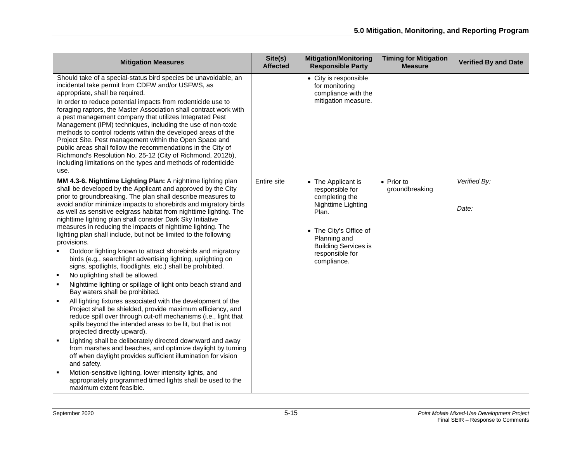| <b>Mitigation Measures</b>                                                                                                                                                                                                                                                                                                                                                                                                                                                                                                                                                                                                                                                                                                                                                                                                                                                                                                                                                                                                                                                                                                                                                                                                                                                                                                                                                                                                                                                                                                                                              | Site(s)<br><b>Affected</b> | <b>Mitigation/Monitoring</b><br><b>Responsible Party</b>                                                                                                                                          | <b>Timing for Mitigation</b><br><b>Measure</b> | <b>Verified By and Date</b> |
|-------------------------------------------------------------------------------------------------------------------------------------------------------------------------------------------------------------------------------------------------------------------------------------------------------------------------------------------------------------------------------------------------------------------------------------------------------------------------------------------------------------------------------------------------------------------------------------------------------------------------------------------------------------------------------------------------------------------------------------------------------------------------------------------------------------------------------------------------------------------------------------------------------------------------------------------------------------------------------------------------------------------------------------------------------------------------------------------------------------------------------------------------------------------------------------------------------------------------------------------------------------------------------------------------------------------------------------------------------------------------------------------------------------------------------------------------------------------------------------------------------------------------------------------------------------------------|----------------------------|---------------------------------------------------------------------------------------------------------------------------------------------------------------------------------------------------|------------------------------------------------|-----------------------------|
| Should take of a special-status bird species be unavoidable, an<br>incidental take permit from CDFW and/or USFWS, as<br>appropriate, shall be required.<br>In order to reduce potential impacts from rodenticide use to<br>foraging raptors, the Master Association shall contract work with<br>a pest management company that utilizes Integrated Pest<br>Management (IPM) techniques, including the use of non-toxic<br>methods to control rodents within the developed areas of the<br>Project Site. Pest management within the Open Space and<br>public areas shall follow the recommendations in the City of<br>Richmond's Resolution No. 25-12 (City of Richmond, 2012b),<br>including limitations on the types and methods of rodenticide<br>use.                                                                                                                                                                                                                                                                                                                                                                                                                                                                                                                                                                                                                                                                                                                                                                                                                |                            | • City is responsible<br>for monitoring<br>compliance with the<br>mitigation measure.                                                                                                             |                                                |                             |
| MM 4.3-6. Nighttime Lighting Plan: A nighttime lighting plan<br>shall be developed by the Applicant and approved by the City<br>prior to groundbreaking. The plan shall describe measures to<br>avoid and/or minimize impacts to shorebirds and migratory birds<br>as well as sensitive eelgrass habitat from nighttime lighting. The<br>nighttime lighting plan shall consider Dark Sky Initiative<br>measures in reducing the impacts of nighttime lighting. The<br>lighting plan shall include, but not be limited to the following<br>provisions.<br>Outdoor lighting known to attract shorebirds and migratory<br>birds (e.g., searchlight advertising lighting, uplighting on<br>signs, spotlights, floodlights, etc.) shall be prohibited.<br>No uplighting shall be allowed.<br>Nighttime lighting or spillage of light onto beach strand and<br>Bay waters shall be prohibited.<br>All lighting fixtures associated with the development of the<br>Project shall be shielded, provide maximum efficiency, and<br>reduce spill over through cut-off mechanisms (i.e., light that<br>spills beyond the intended areas to be lit, but that is not<br>projected directly upward).<br>Lighting shall be deliberately directed downward and away<br>$\blacksquare$<br>from marshes and beaches, and optimize daylight by turning<br>off when daylight provides sufficient illumination for vision<br>and safety.<br>Motion-sensitive lighting, lower intensity lights, and<br>appropriately programmed timed lights shall be used to the<br>maximum extent feasible. | Entire site                | • The Applicant is<br>responsible for<br>completing the<br>Nighttime Lighting<br>Plan.<br>• The City's Office of<br>Planning and<br><b>Building Services is</b><br>responsible for<br>compliance. | $\bullet$ Prior to<br>groundbreaking           | Verified By:<br>Date:       |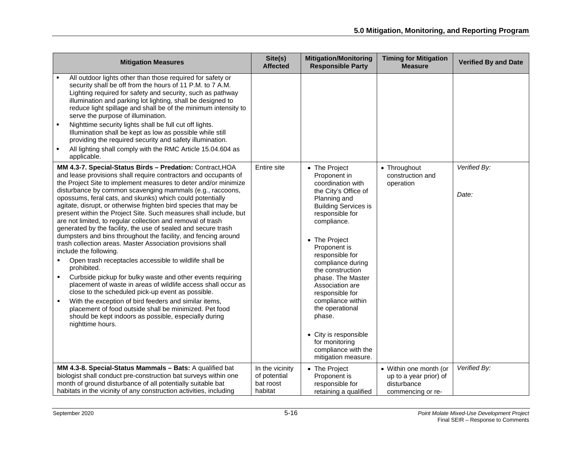| <b>Mitigation Measures</b>                                                                                                                                                                                                                                                                                                                                                                                                                                                                                                                                                                                                                                                                                                                                                                                                                                                                                                                                                                                                                                                                                                                                                                                                      | Site(s)<br><b>Affected</b>                              | <b>Mitigation/Monitoring</b><br><b>Responsible Party</b>                                                                                                                                                                                                                                                                                                                                                                                                       | <b>Timing for Mitigation</b><br><b>Measure</b>                                       | <b>Verified By and Date</b> |
|---------------------------------------------------------------------------------------------------------------------------------------------------------------------------------------------------------------------------------------------------------------------------------------------------------------------------------------------------------------------------------------------------------------------------------------------------------------------------------------------------------------------------------------------------------------------------------------------------------------------------------------------------------------------------------------------------------------------------------------------------------------------------------------------------------------------------------------------------------------------------------------------------------------------------------------------------------------------------------------------------------------------------------------------------------------------------------------------------------------------------------------------------------------------------------------------------------------------------------|---------------------------------------------------------|----------------------------------------------------------------------------------------------------------------------------------------------------------------------------------------------------------------------------------------------------------------------------------------------------------------------------------------------------------------------------------------------------------------------------------------------------------------|--------------------------------------------------------------------------------------|-----------------------------|
| All outdoor lights other than those required for safety or<br>security shall be off from the hours of 11 P.M. to 7 A.M.<br>Lighting required for safety and security, such as pathway<br>illumination and parking lot lighting, shall be designed to<br>reduce light spillage and shall be of the minimum intensity to<br>serve the purpose of illumination.<br>Nighttime security lights shall be full cut off lights.<br>Illumination shall be kept as low as possible while still<br>providing the required security and safety illumination.<br>All lighting shall comply with the RMC Article 15.04.604 as<br>applicable.                                                                                                                                                                                                                                                                                                                                                                                                                                                                                                                                                                                                  |                                                         |                                                                                                                                                                                                                                                                                                                                                                                                                                                                |                                                                                      |                             |
| MM 4.3-7. Special-Status Birds - Predation: Contract, HOA<br>and lease provisions shall require contractors and occupants of<br>the Project Site to implement measures to deter and/or minimize<br>disturbance by common scavenging mammals (e.g., raccoons,<br>opossums, feral cats, and skunks) which could potentially<br>agitate, disrupt, or otherwise frighten bird species that may be<br>present within the Project Site. Such measures shall include, but<br>are not limited, to regular collection and removal of trash<br>generated by the facility, the use of sealed and secure trash<br>dumpsters and bins throughout the facility, and fencing around<br>trash collection areas. Master Association provisions shall<br>include the following.<br>Open trash receptacles accessible to wildlife shall be<br>prohibited.<br>Curbside pickup for bulky waste and other events requiring<br>placement of waste in areas of wildlife access shall occur as<br>close to the scheduled pick-up event as possible.<br>With the exception of bird feeders and similar items,<br>٠<br>placement of food outside shall be minimized. Pet food<br>should be kept indoors as possible, especially during<br>nighttime hours. | Entire site                                             | • The Project<br>Proponent in<br>coordination with<br>the City's Office of<br>Planning and<br><b>Building Services is</b><br>responsible for<br>compliance.<br>• The Project<br>Proponent is<br>responsible for<br>compliance during<br>the construction<br>phase. The Master<br>Association are<br>responsible for<br>compliance within<br>the operational<br>phase.<br>• City is responsible<br>for monitoring<br>compliance with the<br>mitigation measure. | • Throughout<br>construction and<br>operation                                        | Verified By:<br>Date:       |
| MM 4.3-8. Special-Status Mammals - Bats: A qualified bat<br>biologist shall conduct pre-construction bat surveys within one<br>month of ground disturbance of all potentially suitable bat<br>habitats in the vicinity of any construction activities, including                                                                                                                                                                                                                                                                                                                                                                                                                                                                                                                                                                                                                                                                                                                                                                                                                                                                                                                                                                | In the vicinity<br>of potential<br>bat roost<br>habitat | • The Project<br>Proponent is<br>responsible for<br>retaining a qualified                                                                                                                                                                                                                                                                                                                                                                                      | • Within one month (or<br>up to a year prior) of<br>disturbance<br>commencing or re- | Verified By:                |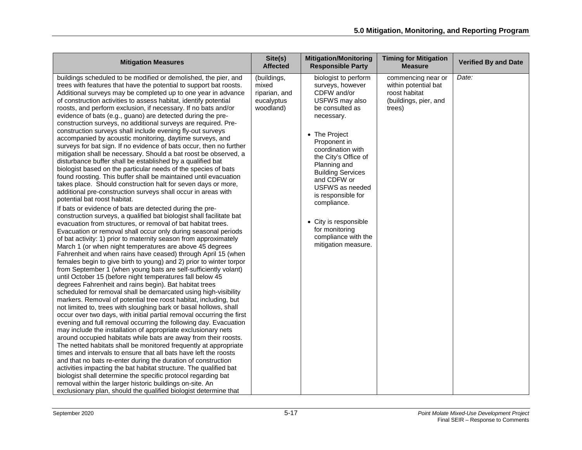| <b>Mitigation Measures</b>                                                                                                                                                                                                                                                                                                                                                                                                                                                                                                                                                                                                                                                                                                                                                                                                                                                                                                                                                                                                                                                                                                                                                                                                                                                                                                                                                                                                                                                                                                                                                                                                                                                                                                                                                                                                                                                                                                                                                                                                                                                                                                                                                                                                                                                                                                                                                                                                                                                                                                                                                                                                                                                                                                                                                                                                                   | Site(s)<br><b>Affected</b>                                       | <b>Mitigation/Monitoring</b><br><b>Responsible Party</b>                                                                                                                                                                                                                                                                                                                                             | <b>Timing for Mitigation</b><br><b>Measure</b>                                                 | <b>Verified By and Date</b> |
|----------------------------------------------------------------------------------------------------------------------------------------------------------------------------------------------------------------------------------------------------------------------------------------------------------------------------------------------------------------------------------------------------------------------------------------------------------------------------------------------------------------------------------------------------------------------------------------------------------------------------------------------------------------------------------------------------------------------------------------------------------------------------------------------------------------------------------------------------------------------------------------------------------------------------------------------------------------------------------------------------------------------------------------------------------------------------------------------------------------------------------------------------------------------------------------------------------------------------------------------------------------------------------------------------------------------------------------------------------------------------------------------------------------------------------------------------------------------------------------------------------------------------------------------------------------------------------------------------------------------------------------------------------------------------------------------------------------------------------------------------------------------------------------------------------------------------------------------------------------------------------------------------------------------------------------------------------------------------------------------------------------------------------------------------------------------------------------------------------------------------------------------------------------------------------------------------------------------------------------------------------------------------------------------------------------------------------------------------------------------------------------------------------------------------------------------------------------------------------------------------------------------------------------------------------------------------------------------------------------------------------------------------------------------------------------------------------------------------------------------------------------------------------------------------------------------------------------------|------------------------------------------------------------------|------------------------------------------------------------------------------------------------------------------------------------------------------------------------------------------------------------------------------------------------------------------------------------------------------------------------------------------------------------------------------------------------------|------------------------------------------------------------------------------------------------|-----------------------------|
| buildings scheduled to be modified or demolished, the pier, and<br>trees with features that have the potential to support bat roosts.<br>Additional surveys may be completed up to one year in advance<br>of construction activities to assess habitat, identify potential<br>roosts, and perform exclusion, if necessary. If no bats and/or<br>evidence of bats (e.g., guano) are detected during the pre-<br>construction surveys, no additional surveys are required. Pre-<br>construction surveys shall include evening fly-out surveys<br>accompanied by acoustic monitoring, daytime surveys, and<br>surveys for bat sign. If no evidence of bats occur, then no further<br>mitigation shall be necessary. Should a bat roost be observed, a<br>disturbance buffer shall be established by a qualified bat<br>biologist based on the particular needs of the species of bats<br>found roosting. This buffer shall be maintained until evacuation<br>takes place. Should construction halt for seven days or more,<br>additional pre-construction surveys shall occur in areas with<br>potential bat roost habitat.<br>If bats or evidence of bats are detected during the pre-<br>construction surveys, a qualified bat biologist shall facilitate bat<br>evacuation from structures, or removal of bat habitat trees.<br>Evacuation or removal shall occur only during seasonal periods<br>of bat activity: 1) prior to maternity season from approximately<br>March 1 (or when night temperatures are above 45 degrees<br>Fahrenheit and when rains have ceased) through April 15 (when<br>females begin to give birth to young) and 2) prior to winter torpor<br>from September 1 (when young bats are self-sufficiently volant)<br>until October 15 (before night temperatures fall below 45<br>degrees Fahrenheit and rains begin). Bat habitat trees<br>scheduled for removal shall be demarcated using high-visibility<br>markers. Removal of potential tree roost habitat, including, but<br>not limited to, trees with sloughing bark or basal hollows, shall<br>occur over two days, with initial partial removal occurring the first<br>evening and full removal occurring the following day. Evacuation<br>may include the installation of appropriate exclusionary nets<br>around occupied habitats while bats are away from their roosts.<br>The netted habitats shall be monitored frequently at appropriate<br>times and intervals to ensure that all bats have left the roosts<br>and that no bats re-enter during the duration of construction<br>activities impacting the bat habitat structure. The qualified bat<br>biologist shall determine the specific protocol regarding bat<br>removal within the larger historic buildings on-site. An<br>exclusionary plan, should the qualified biologist determine that | (buildings,<br>mixed<br>riparian, and<br>eucalyptus<br>woodland) | biologist to perform<br>surveys, however<br>CDFW and/or<br>USFWS may also<br>be consulted as<br>necessary.<br>• The Project<br>Proponent in<br>coordination with<br>the City's Office of<br>Planning and<br><b>Building Services</b><br>and CDFW or<br>USFWS as needed<br>is responsible for<br>compliance.<br>• City is responsible<br>for monitoring<br>compliance with the<br>mitigation measure. | commencing near or<br>within potential bat<br>roost habitat<br>(buildings, pier, and<br>trees) | Date:                       |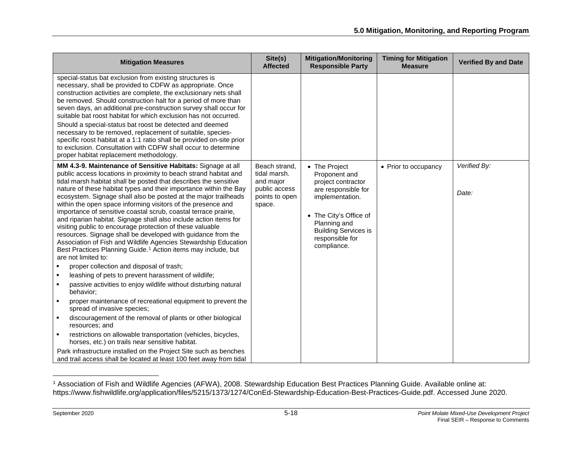<span id="page-17-0"></span>

| <b>Mitigation Measures</b>                                                                                                                                                                                                                                                                                                                                                                                                                                                                                                                                                                                                                                                                                                                                                                                                                                                                                                                                                                                                                                                                                                                                                                                                                                                                                                                                                                                                                                                                                                    | Site(s)<br><b>Affected</b>                                                              | <b>Mitigation/Monitoring</b><br><b>Responsible Party</b>                                                                                                                                                  | <b>Timing for Mitigation</b><br><b>Measure</b> | <b>Verified By and Date</b> |
|-------------------------------------------------------------------------------------------------------------------------------------------------------------------------------------------------------------------------------------------------------------------------------------------------------------------------------------------------------------------------------------------------------------------------------------------------------------------------------------------------------------------------------------------------------------------------------------------------------------------------------------------------------------------------------------------------------------------------------------------------------------------------------------------------------------------------------------------------------------------------------------------------------------------------------------------------------------------------------------------------------------------------------------------------------------------------------------------------------------------------------------------------------------------------------------------------------------------------------------------------------------------------------------------------------------------------------------------------------------------------------------------------------------------------------------------------------------------------------------------------------------------------------|-----------------------------------------------------------------------------------------|-----------------------------------------------------------------------------------------------------------------------------------------------------------------------------------------------------------|------------------------------------------------|-----------------------------|
| special-status bat exclusion from existing structures is<br>necessary, shall be provided to CDFW as appropriate. Once<br>construction activities are complete, the exclusionary nets shall<br>be removed. Should construction halt for a period of more than<br>seven days, an additional pre-construction survey shall occur for<br>suitable bat roost habitat for which exclusion has not occurred.<br>Should a special-status bat roost be detected and deemed<br>necessary to be removed, replacement of suitable, species-<br>specific roost habitat at a 1:1 ratio shall be provided on-site prior<br>to exclusion. Consultation with CDFW shall occur to determine<br>proper habitat replacement methodology.                                                                                                                                                                                                                                                                                                                                                                                                                                                                                                                                                                                                                                                                                                                                                                                                          |                                                                                         |                                                                                                                                                                                                           |                                                |                             |
| MM 4.3-9. Maintenance of Sensitive Habitats: Signage at all<br>public access locations in proximity to beach strand habitat and<br>tidal marsh habitat shall be posted that describes the sensitive<br>nature of these habitat types and their importance within the Bay<br>ecosystem. Signage shall also be posted at the major trailheads<br>within the open space informing visitors of the presence and<br>importance of sensitive coastal scrub, coastal terrace prairie,<br>and riparian habitat. Signage shall also include action items for<br>visiting public to encourage protection of these valuable<br>resources. Signage shall be developed with guidance from the<br>Association of Fish and Wildlife Agencies Stewardship Education<br>Best Practices Planning Guide. <sup>1</sup> Action items may include, but<br>are not limited to:<br>proper collection and disposal of trash;<br>$\blacksquare$<br>leashing of pets to prevent harassment of wildlife;<br>$\blacksquare$<br>passive activities to enjoy wildlife without disturbing natural<br>behavior;<br>proper maintenance of recreational equipment to prevent the<br>spread of invasive species;<br>discouragement of the removal of plants or other biological<br>resources; and<br>restrictions on allowable transportation (vehicles, bicycles,<br>horses, etc.) on trails near sensitive habitat.<br>Park infrastructure installed on the Project Site such as benches<br>and trail access shall be located at least 100 feet away from tidal | Beach strand,<br>tidal marsh.<br>and major<br>public access<br>points to open<br>space. | • The Project<br>Proponent and<br>project contractor<br>are responsible for<br>implementation.<br>• The City's Office of<br>Planning and<br><b>Building Services is</b><br>responsible for<br>compliance. | • Prior to occupancy                           | Verified By:<br>Date:       |

<sup>1</sup> Association of Fish and Wildlife Agencies (AFWA), 2008. Stewardship Education Best Practices Planning Guide. Available online at: https://www.fishwildlife.org/application/files/5215/1373/1274/ConEd-Stewardship-Education-Best-Practices-Guide.pdf. Accessed June 2020.

l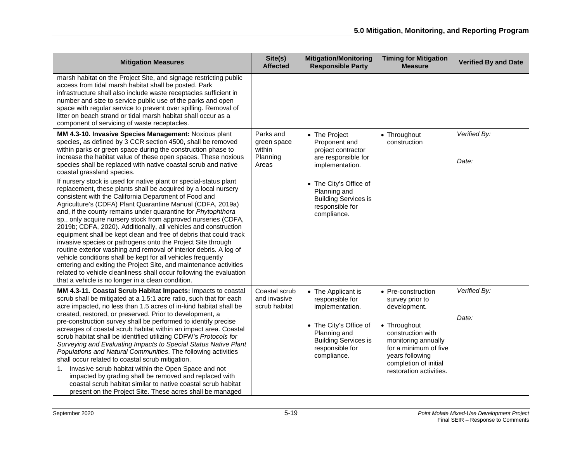| <b>Mitigation Measures</b>                                                                                                                                                                                                                                                                                                                                                                                                                                                                                                                                                                                                                                                                                                                                                                                                                                                                                                                                                                                                                                                                                                                                                                                                                                                                          | Site(s)<br><b>Affected</b>                              | <b>Mitigation/Monitoring</b><br><b>Responsible Party</b>                                                                                                                                                  | <b>Timing for Mitigation</b><br><b>Measure</b>                                                                                                                                                                    | <b>Verified By and Date</b> |
|-----------------------------------------------------------------------------------------------------------------------------------------------------------------------------------------------------------------------------------------------------------------------------------------------------------------------------------------------------------------------------------------------------------------------------------------------------------------------------------------------------------------------------------------------------------------------------------------------------------------------------------------------------------------------------------------------------------------------------------------------------------------------------------------------------------------------------------------------------------------------------------------------------------------------------------------------------------------------------------------------------------------------------------------------------------------------------------------------------------------------------------------------------------------------------------------------------------------------------------------------------------------------------------------------------|---------------------------------------------------------|-----------------------------------------------------------------------------------------------------------------------------------------------------------------------------------------------------------|-------------------------------------------------------------------------------------------------------------------------------------------------------------------------------------------------------------------|-----------------------------|
| marsh habitat on the Project Site, and signage restricting public<br>access from tidal marsh habitat shall be posted. Park<br>infrastructure shall also include waste receptacles sufficient in<br>number and size to service public use of the parks and open<br>space with regular service to prevent over spilling. Removal of<br>litter on beach strand or tidal marsh habitat shall occur as a<br>component of servicing of waste receptacles.                                                                                                                                                                                                                                                                                                                                                                                                                                                                                                                                                                                                                                                                                                                                                                                                                                                 |                                                         |                                                                                                                                                                                                           |                                                                                                                                                                                                                   |                             |
| MM 4.3-10. Invasive Species Management: Noxious plant<br>species, as defined by 3 CCR section 4500, shall be removed<br>within parks or green space during the construction phase to<br>increase the habitat value of these open spaces. These noxious<br>species shall be replaced with native coastal scrub and native<br>coastal grassland species.<br>If nursery stock is used for native plant or special-status plant<br>replacement, these plants shall be acquired by a local nursery<br>consistent with the California Department of Food and<br>Agriculture's (CDFA) Plant Quarantine Manual (CDFA, 2019a)<br>and, if the county remains under quarantine for Phytophthora<br>sp., only acquire nursery stock from approved nurseries (CDFA,<br>2019b; CDFA, 2020). Additionally, all vehicles and construction<br>equipment shall be kept clean and free of debris that could track<br>invasive species or pathogens onto the Project Site through<br>routine exterior washing and removal of interior debris. A log of<br>vehicle conditions shall be kept for all vehicles frequently<br>entering and exiting the Project Site, and maintenance activities<br>related to vehicle cleanliness shall occur following the evaluation<br>that a vehicle is no longer in a clean condition. | Parks and<br>green space<br>within<br>Planning<br>Areas | • The Project<br>Proponent and<br>project contractor<br>are responsible for<br>implementation.<br>• The City's Office of<br>Planning and<br><b>Building Services is</b><br>responsible for<br>compliance. | • Throughout<br>construction                                                                                                                                                                                      | Verified By:<br>Date:       |
| MM 4.3-11. Coastal Scrub Habitat Impacts: Impacts to coastal<br>scrub shall be mitigated at a 1.5:1 acre ratio, such that for each<br>acre impacted, no less than 1.5 acres of in-kind habitat shall be<br>created, restored, or preserved. Prior to development, a<br>pre-construction survey shall be performed to identify precise<br>acreages of coastal scrub habitat within an impact area. Coastal<br>scrub habitat shall be identified utilizing CDFW's Protocols for<br>Surveying and Evaluating Impacts to Special Status Native Plant<br>Populations and Natural Communities. The following activities<br>shall occur related to coastal scrub mitigation.<br>Invasive scrub habitat within the Open Space and not<br>1.<br>impacted by grading shall be removed and replaced with<br>coastal scrub habitat similar to native coastal scrub habitat<br>present on the Project Site. These acres shall be managed                                                                                                                                                                                                                                                                                                                                                                         | Coastal scrub<br>and invasive<br>scrub habitat          | • The Applicant is<br>responsible for<br>implementation.<br>• The City's Office of<br>Planning and<br><b>Building Services is</b><br>responsible for<br>compliance.                                       | • Pre-construction<br>survey prior to<br>development.<br>• Throughout<br>construction with<br>monitoring annually<br>for a minimum of five<br>years following<br>completion of initial<br>restoration activities. | Verified By:<br>Date:       |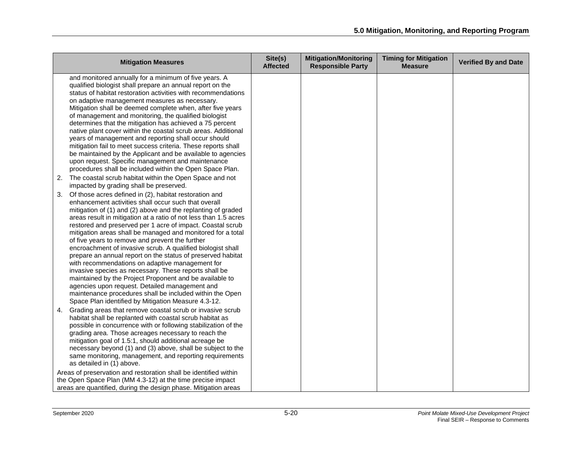| <b>Mitigation Measures</b>                                                                                                                                                                                                                                                                                                                                                                                                                                                                                                                                                                                                                                                                                                                                                                                                                                                                                         | Site(s)<br><b>Affected</b> | <b>Mitigation/Monitoring</b><br><b>Responsible Party</b> | <b>Timing for Mitigation</b><br><b>Measure</b> | <b>Verified By and Date</b> |
|--------------------------------------------------------------------------------------------------------------------------------------------------------------------------------------------------------------------------------------------------------------------------------------------------------------------------------------------------------------------------------------------------------------------------------------------------------------------------------------------------------------------------------------------------------------------------------------------------------------------------------------------------------------------------------------------------------------------------------------------------------------------------------------------------------------------------------------------------------------------------------------------------------------------|----------------------------|----------------------------------------------------------|------------------------------------------------|-----------------------------|
| and monitored annually for a minimum of five years. A<br>qualified biologist shall prepare an annual report on the<br>status of habitat restoration activities with recommendations<br>on adaptive management measures as necessary.<br>Mitigation shall be deemed complete when, after five years<br>of management and monitoring, the qualified biologist<br>determines that the mitigation has achieved a 75 percent<br>native plant cover within the coastal scrub areas. Additional<br>years of management and reporting shall occur should<br>mitigation fail to meet success criteria. These reports shall<br>be maintained by the Applicant and be available to agencies<br>upon request. Specific management and maintenance<br>procedures shall be included within the Open Space Plan.                                                                                                                  |                            |                                                          |                                                |                             |
| The coastal scrub habitat within the Open Space and not<br>2.<br>impacted by grading shall be preserved.                                                                                                                                                                                                                                                                                                                                                                                                                                                                                                                                                                                                                                                                                                                                                                                                           |                            |                                                          |                                                |                             |
| Of those acres defined in (2), habitat restoration and<br>3.<br>enhancement activities shall occur such that overall<br>mitigation of (1) and (2) above and the replanting of graded<br>areas result in mitigation at a ratio of not less than 1.5 acres<br>restored and preserved per 1 acre of impact. Coastal scrub<br>mitigation areas shall be managed and monitored for a total<br>of five years to remove and prevent the further<br>encroachment of invasive scrub. A qualified biologist shall<br>prepare an annual report on the status of preserved habitat<br>with recommendations on adaptive management for<br>invasive species as necessary. These reports shall be<br>maintained by the Project Proponent and be available to<br>agencies upon request. Detailed management and<br>maintenance procedures shall be included within the Open<br>Space Plan identified by Mitigation Measure 4.3-12. |                            |                                                          |                                                |                             |
| Grading areas that remove coastal scrub or invasive scrub<br>4.<br>habitat shall be replanted with coastal scrub habitat as<br>possible in concurrence with or following stabilization of the<br>grading area. Those acreages necessary to reach the<br>mitigation goal of 1.5:1, should additional acreage be<br>necessary beyond (1) and (3) above, shall be subject to the<br>same monitoring, management, and reporting requirements<br>as detailed in (1) above.<br>Areas of preservation and restoration shall be identified within                                                                                                                                                                                                                                                                                                                                                                          |                            |                                                          |                                                |                             |
| the Open Space Plan (MM 4.3-12) at the time precise impact<br>areas are quantified, during the design phase. Mitigation areas                                                                                                                                                                                                                                                                                                                                                                                                                                                                                                                                                                                                                                                                                                                                                                                      |                            |                                                          |                                                |                             |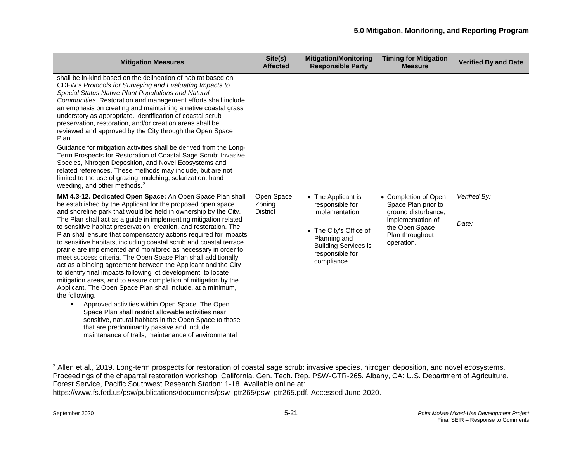<span id="page-20-0"></span>

| <b>Mitigation Measures</b>                                                                                                                                                                                                                                                                                                                                                                                                                                                                                                                                                                                                                                                                                                                                                                                                                                                                                                                                                                                                                                                                                                                                                        | Site(s)<br><b>Affected</b>              | <b>Mitigation/Monitoring</b><br><b>Responsible Party</b>                                                                                                            | <b>Timing for Mitigation</b><br><b>Measure</b>                                                                                             | <b>Verified By and Date</b> |
|-----------------------------------------------------------------------------------------------------------------------------------------------------------------------------------------------------------------------------------------------------------------------------------------------------------------------------------------------------------------------------------------------------------------------------------------------------------------------------------------------------------------------------------------------------------------------------------------------------------------------------------------------------------------------------------------------------------------------------------------------------------------------------------------------------------------------------------------------------------------------------------------------------------------------------------------------------------------------------------------------------------------------------------------------------------------------------------------------------------------------------------------------------------------------------------|-----------------------------------------|---------------------------------------------------------------------------------------------------------------------------------------------------------------------|--------------------------------------------------------------------------------------------------------------------------------------------|-----------------------------|
| shall be in-kind based on the delineation of habitat based on<br>CDFW's Protocols for Surveying and Evaluating Impacts to<br>Special Status Native Plant Populations and Natural<br>Communities. Restoration and management efforts shall include<br>an emphasis on creating and maintaining a native coastal grass<br>understory as appropriate. Identification of coastal scrub<br>preservation, restoration, and/or creation areas shall be<br>reviewed and approved by the City through the Open Space<br>Plan.<br>Guidance for mitigation activities shall be derived from the Long-<br>Term Prospects for Restoration of Coastal Sage Scrub: Invasive<br>Species, Nitrogen Deposition, and Novel Ecosystems and<br>related references. These methods may include, but are not<br>limited to the use of grazing, mulching, solarization, hand<br>weeding, and other methods. <sup>2</sup>                                                                                                                                                                                                                                                                                    |                                         |                                                                                                                                                                     |                                                                                                                                            |                             |
| MM 4.3-12. Dedicated Open Space: An Open Space Plan shall<br>be established by the Applicant for the proposed open space<br>and shoreline park that would be held in ownership by the City.<br>The Plan shall act as a guide in implementing mitigation related<br>to sensitive habitat preservation, creation, and restoration. The<br>Plan shall ensure that compensatory actions required for impacts<br>to sensitive habitats, including coastal scrub and coastal terrace<br>prairie are implemented and monitored as necessary in order to<br>meet success criteria. The Open Space Plan shall additionally<br>act as a binding agreement between the Applicant and the City<br>to identify final impacts following lot development, to locate<br>mitigation areas, and to assure completion of mitigation by the<br>Applicant. The Open Space Plan shall include, at a minimum,<br>the following.<br>Approved activities within Open Space. The Open<br>Space Plan shall restrict allowable activities near<br>sensitive, natural habitats in the Open Space to those<br>that are predominantly passive and include<br>maintenance of trails, maintenance of environmental | Open Space<br>Zoning<br><b>District</b> | • The Applicant is<br>responsible for<br>implementation.<br>• The City's Office of<br>Planning and<br><b>Building Services is</b><br>responsible for<br>compliance. | • Completion of Open<br>Space Plan prior to<br>ground disturbance,<br>implementation of<br>the Open Space<br>Plan throughout<br>operation. | Verified By:<br>Date:       |

 $\overline{a}$ 

<sup>&</sup>lt;sup>2</sup> Allen et al., 2019. Long-term prospects for restoration of coastal sage scrub: invasive species, nitrogen deposition, and novel ecosystems. Proceedings of the chaparral restoration workshop, California. Gen. Tech. Rep. PSW-GTR-265. Albany, CA: U.S. Department of Agriculture, Forest Service, Pacific Southwest Research Station: 1-18. Available online at:

https://www.fs.fed.us/psw/publications/documents/psw\_gtr265/psw\_gtr265.pdf. Accessed June 2020.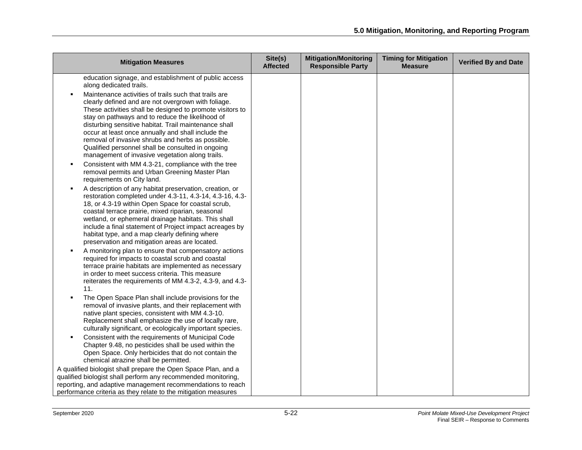| <b>Mitigation Measures</b>                                                                                                                                                                                                                                                                                                                                                                                                                                                                                                                                                                                                                                                                                                                        | Site(s)<br><b>Affected</b> | <b>Mitigation/Monitoring</b><br><b>Responsible Party</b> | <b>Timing for Mitigation</b><br><b>Measure</b> | <b>Verified By and Date</b> |
|---------------------------------------------------------------------------------------------------------------------------------------------------------------------------------------------------------------------------------------------------------------------------------------------------------------------------------------------------------------------------------------------------------------------------------------------------------------------------------------------------------------------------------------------------------------------------------------------------------------------------------------------------------------------------------------------------------------------------------------------------|----------------------------|----------------------------------------------------------|------------------------------------------------|-----------------------------|
| education signage, and establishment of public access<br>along dedicated trails.                                                                                                                                                                                                                                                                                                                                                                                                                                                                                                                                                                                                                                                                  |                            |                                                          |                                                |                             |
| Maintenance activities of trails such that trails are<br>clearly defined and are not overgrown with foliage.<br>These activities shall be designed to promote visitors to<br>stay on pathways and to reduce the likelihood of<br>disturbing sensitive habitat. Trail maintenance shall<br>occur at least once annually and shall include the<br>removal of invasive shrubs and herbs as possible.<br>Qualified personnel shall be consulted in ongoing<br>management of invasive vegetation along trails.<br>Consistent with MM 4.3-21, compliance with the tree<br>removal permits and Urban Greening Master Plan<br>requirements on City land.                                                                                                  |                            |                                                          |                                                |                             |
| A description of any habitat preservation, creation, or<br>restoration completed under 4.3-11, 4.3-14, 4.3-16, 4.3-<br>18, or 4.3-19 within Open Space for coastal scrub,<br>coastal terrace prairie, mixed riparian, seasonal<br>wetland, or ephemeral drainage habitats. This shall<br>include a final statement of Project impact acreages by<br>habitat type, and a map clearly defining where<br>preservation and mitigation areas are located.<br>A monitoring plan to ensure that compensatory actions<br>required for impacts to coastal scrub and coastal<br>terrace prairie habitats are implemented as necessary<br>in order to meet success criteria. This measure<br>reiterates the requirements of MM 4.3-2, 4.3-9, and 4.3-<br>11. |                            |                                                          |                                                |                             |
| The Open Space Plan shall include provisions for the<br>removal of invasive plants, and their replacement with<br>native plant species, consistent with MM 4.3-10.<br>Replacement shall emphasize the use of locally rare,<br>culturally significant, or ecologically important species.<br>Consistent with the requirements of Municipal Code<br>Chapter 9.48, no pesticides shall be used within the                                                                                                                                                                                                                                                                                                                                            |                            |                                                          |                                                |                             |
| Open Space. Only herbicides that do not contain the<br>chemical atrazine shall be permitted.                                                                                                                                                                                                                                                                                                                                                                                                                                                                                                                                                                                                                                                      |                            |                                                          |                                                |                             |
| A qualified biologist shall prepare the Open Space Plan, and a<br>qualified biologist shall perform any recommended monitoring,<br>reporting, and adaptive management recommendations to reach<br>performance criteria as they relate to the mitigation measures                                                                                                                                                                                                                                                                                                                                                                                                                                                                                  |                            |                                                          |                                                |                             |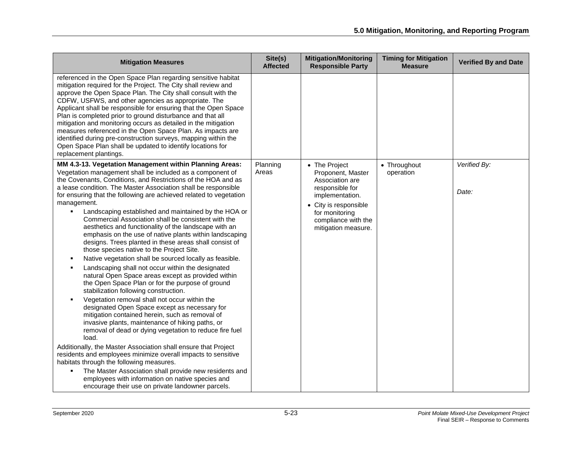| <b>Mitigation Measures</b>                                                                                                                                                                                                                                                                                                                                                                                                                                                                                                                                                                                                                                                                                                                                                                                                                                                                                                                                                                                                                                                                                                                                                                                                                                                                                                 | Site(s)<br><b>Affected</b> | <b>Mitigation/Monitoring</b><br><b>Responsible Party</b>                                                                                                                             | <b>Timing for Mitigation</b><br><b>Measure</b> | <b>Verified By and Date</b> |
|----------------------------------------------------------------------------------------------------------------------------------------------------------------------------------------------------------------------------------------------------------------------------------------------------------------------------------------------------------------------------------------------------------------------------------------------------------------------------------------------------------------------------------------------------------------------------------------------------------------------------------------------------------------------------------------------------------------------------------------------------------------------------------------------------------------------------------------------------------------------------------------------------------------------------------------------------------------------------------------------------------------------------------------------------------------------------------------------------------------------------------------------------------------------------------------------------------------------------------------------------------------------------------------------------------------------------|----------------------------|--------------------------------------------------------------------------------------------------------------------------------------------------------------------------------------|------------------------------------------------|-----------------------------|
| referenced in the Open Space Plan regarding sensitive habitat<br>mitigation required for the Project. The City shall review and<br>approve the Open Space Plan. The City shall consult with the<br>CDFW, USFWS, and other agencies as appropriate. The<br>Applicant shall be responsible for ensuring that the Open Space<br>Plan is completed prior to ground disturbance and that all<br>mitigation and monitoring occurs as detailed in the mitigation<br>measures referenced in the Open Space Plan. As impacts are<br>identified during pre-construction surveys, mapping within the<br>Open Space Plan shall be updated to identify locations for<br>replacement plantings.                                                                                                                                                                                                                                                                                                                                                                                                                                                                                                                                                                                                                                          |                            |                                                                                                                                                                                      |                                                |                             |
| MM 4.3-13. Vegetation Management within Planning Areas:<br>Vegetation management shall be included as a component of<br>the Covenants, Conditions, and Restrictions of the HOA and as<br>a lease condition. The Master Association shall be responsible<br>for ensuring that the following are achieved related to vegetation<br>management.<br>Landscaping established and maintained by the HOA or<br>$\blacksquare$<br>Commercial Association shall be consistent with the<br>aesthetics and functionality of the landscape with an<br>emphasis on the use of native plants within landscaping<br>designs. Trees planted in these areas shall consist of<br>those species native to the Project Site.<br>Native vegetation shall be sourced locally as feasible.<br>Landscaping shall not occur within the designated<br>natural Open Space areas except as provided within<br>the Open Space Plan or for the purpose of ground<br>stabilization following construction.<br>Vegetation removal shall not occur within the<br>designated Open Space except as necessary for<br>mitigation contained herein, such as removal of<br>invasive plants, maintenance of hiking paths, or<br>removal of dead or dying vegetation to reduce fire fuel<br>load.<br>Additionally, the Master Association shall ensure that Project | Planning<br>Areas          | • The Project<br>Proponent, Master<br>Association are<br>responsible for<br>implementation.<br>• City is responsible<br>for monitoring<br>compliance with the<br>mitigation measure. | • Throughout<br>operation                      | Verified By:<br>Date:       |
| residents and employees minimize overall impacts to sensitive<br>habitats through the following measures.<br>The Master Association shall provide new residents and<br>employees with information on native species and<br>encourage their use on private landowner parcels.                                                                                                                                                                                                                                                                                                                                                                                                                                                                                                                                                                                                                                                                                                                                                                                                                                                                                                                                                                                                                                               |                            |                                                                                                                                                                                      |                                                |                             |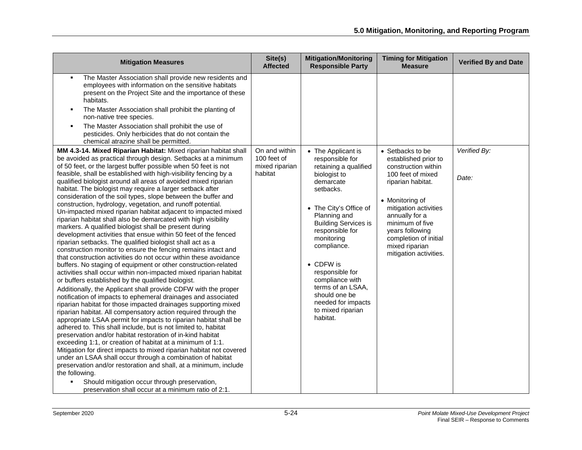| <b>Mitigation Measures</b>                                                                                                                                                                                                                                                                                                                                                                                                                                                                                                                                                                                                                                                                                                                                                                                                                                                                                                                                                                                                                                                                                                                                                                                                                                                                                                                                                                                                                                                                                                                                                                                                                                                                                                                                                                                                                                               | Site(s)<br><b>Affected</b>                     | <b>Mitigation/Monitoring</b><br><b>Responsible Party</b>                                                                                                                                                                                                                                                        | <b>Timing for Mitigation</b><br><b>Measure</b>                                                                                                                                                                  | <b>Verified By and Date</b> |
|--------------------------------------------------------------------------------------------------------------------------------------------------------------------------------------------------------------------------------------------------------------------------------------------------------------------------------------------------------------------------------------------------------------------------------------------------------------------------------------------------------------------------------------------------------------------------------------------------------------------------------------------------------------------------------------------------------------------------------------------------------------------------------------------------------------------------------------------------------------------------------------------------------------------------------------------------------------------------------------------------------------------------------------------------------------------------------------------------------------------------------------------------------------------------------------------------------------------------------------------------------------------------------------------------------------------------------------------------------------------------------------------------------------------------------------------------------------------------------------------------------------------------------------------------------------------------------------------------------------------------------------------------------------------------------------------------------------------------------------------------------------------------------------------------------------------------------------------------------------------------|------------------------------------------------|-----------------------------------------------------------------------------------------------------------------------------------------------------------------------------------------------------------------------------------------------------------------------------------------------------------------|-----------------------------------------------------------------------------------------------------------------------------------------------------------------------------------------------------------------|-----------------------------|
| The Master Association shall provide new residents and<br>employees with information on the sensitive habitats<br>present on the Project Site and the importance of these<br>habitats.<br>The Master Association shall prohibit the planting of<br>٠<br>non-native tree species.<br>The Master Association shall prohibit the use of<br>pesticides. Only herbicides that do not contain the<br>chemical atrazine shall be permitted.<br>MM 4.3-14. Mixed Riparian Habitat: Mixed riparian habitat shall<br>be avoided as practical through design. Setbacks at a minimum<br>of 50 feet, or the largest buffer possible when 50 feet is not                                                                                                                                                                                                                                                                                                                                                                                                                                                                                                                                                                                                                                                                                                                                                                                                                                                                                                                                                                                                                                                                                                                                                                                                                               | On and within<br>100 feet of<br>mixed riparian | • The Applicant is<br>responsible for<br>retaining a qualified                                                                                                                                                                                                                                                  | • Setbacks to be<br>established prior to<br>construction within                                                                                                                                                 | Verified By:                |
| feasible, shall be established with high-visibility fencing by a<br>qualified biologist around all areas of avoided mixed riparian<br>habitat. The biologist may require a larger setback after<br>consideration of the soil types, slope between the buffer and<br>construction, hydrology, vegetation, and runoff potential.<br>Un-impacted mixed riparian habitat adjacent to impacted mixed<br>riparian habitat shall also be demarcated with high visibility<br>markers. A qualified biologist shall be present during<br>development activities that ensue within 50 feet of the fenced<br>riparian setbacks. The qualified biologist shall act as a<br>construction monitor to ensure the fencing remains intact and<br>that construction activities do not occur within these avoidance<br>buffers. No staging of equipment or other construction-related<br>activities shall occur within non-impacted mixed riparian habitat<br>or buffers established by the qualified biologist.<br>Additionally, the Applicant shall provide CDFW with the proper<br>notification of impacts to ephemeral drainages and associated<br>riparian habitat for those impacted drainages supporting mixed<br>riparian habitat. All compensatory action required through the<br>appropriate LSAA permit for impacts to riparian habitat shall be<br>adhered to. This shall include, but is not limited to, habitat<br>preservation and/or habitat restoration of in-kind habitat<br>exceeding 1:1, or creation of habitat at a minimum of 1:1.<br>Mitigation for direct impacts to mixed riparian habitat not covered<br>under an LSAA shall occur through a combination of habitat<br>preservation and/or restoration and shall, at a minimum, include<br>the following.<br>Should mitigation occur through preservation,<br>preservation shall occur at a minimum ratio of 2:1. | habitat                                        | biologist to<br>demarcate<br>setbacks.<br>• The City's Office of<br>Planning and<br><b>Building Services is</b><br>responsible for<br>monitoring<br>compliance.<br>• CDFW is<br>responsible for<br>compliance with<br>terms of an LSAA,<br>should one be<br>needed for impacts<br>to mixed riparian<br>habitat. | 100 feet of mixed<br>riparian habitat.<br>• Monitoring of<br>mitigation activities<br>annually for a<br>minimum of five<br>years following<br>completion of initial<br>mixed riparian<br>mitigation activities. | Date:                       |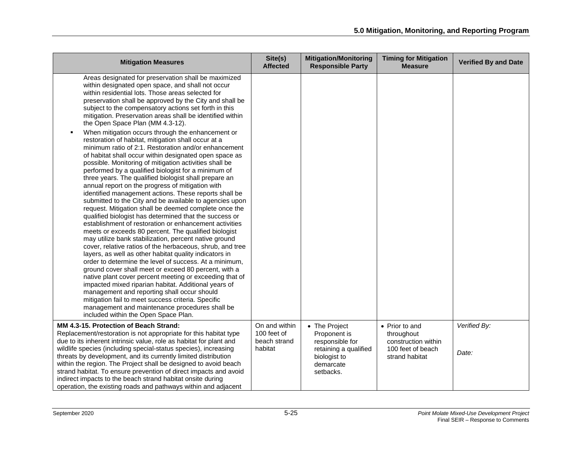| <b>Mitigation Measures</b>                                                                                                                                                                                                                                                                                                                                                                                                                                                                                                                                                                                                                                                                                                                                                                                                                                                                                                                                                                                                                                                                                                                                                                                                                                                                                                                                                                                                                                                                                                                                                                                                                                                                                                                                                                                                   | Site(s)<br><b>Affected</b>                              | <b>Mitigation/Monitoring</b><br><b>Responsible Party</b>                                                            | <b>Timing for Mitigation</b><br><b>Measure</b>                                             | <b>Verified By and Date</b> |
|------------------------------------------------------------------------------------------------------------------------------------------------------------------------------------------------------------------------------------------------------------------------------------------------------------------------------------------------------------------------------------------------------------------------------------------------------------------------------------------------------------------------------------------------------------------------------------------------------------------------------------------------------------------------------------------------------------------------------------------------------------------------------------------------------------------------------------------------------------------------------------------------------------------------------------------------------------------------------------------------------------------------------------------------------------------------------------------------------------------------------------------------------------------------------------------------------------------------------------------------------------------------------------------------------------------------------------------------------------------------------------------------------------------------------------------------------------------------------------------------------------------------------------------------------------------------------------------------------------------------------------------------------------------------------------------------------------------------------------------------------------------------------------------------------------------------------|---------------------------------------------------------|---------------------------------------------------------------------------------------------------------------------|--------------------------------------------------------------------------------------------|-----------------------------|
| Areas designated for preservation shall be maximized<br>within designated open space, and shall not occur<br>within residential lots. Those areas selected for<br>preservation shall be approved by the City and shall be<br>subject to the compensatory actions set forth in this<br>mitigation. Preservation areas shall be identified within<br>the Open Space Plan (MM 4.3-12).<br>When mitigation occurs through the enhancement or<br>restoration of habitat, mitigation shall occur at a<br>minimum ratio of 2:1. Restoration and/or enhancement<br>of habitat shall occur within designated open space as<br>possible. Monitoring of mitigation activities shall be<br>performed by a qualified biologist for a minimum of<br>three years. The qualified biologist shall prepare an<br>annual report on the progress of mitigation with<br>identified management actions. These reports shall be<br>submitted to the City and be available to agencies upon<br>request. Mitigation shall be deemed complete once the<br>qualified biologist has determined that the success or<br>establishment of restoration or enhancement activities<br>meets or exceeds 80 percent. The qualified biologist<br>may utilize bank stabilization, percent native ground<br>cover, relative ratios of the herbaceous, shrub, and tree<br>layers, as well as other habitat quality indicators in<br>order to determine the level of success. At a minimum,<br>ground cover shall meet or exceed 80 percent, with a<br>native plant cover percent meeting or exceeding that of<br>impacted mixed riparian habitat. Additional years of<br>management and reporting shall occur should<br>mitigation fail to meet success criteria. Specific<br>management and maintenance procedures shall be<br>included within the Open Space Plan. |                                                         |                                                                                                                     |                                                                                            |                             |
| MM 4.3-15. Protection of Beach Strand:<br>Replacement/restoration is not appropriate for this habitat type<br>due to its inherent intrinsic value, role as habitat for plant and<br>wildlife species (including special-status species), increasing<br>threats by development, and its currently limited distribution<br>within the region. The Project shall be designed to avoid beach<br>strand habitat. To ensure prevention of direct impacts and avoid<br>indirect impacts to the beach strand habitat onsite during<br>operation, the existing roads and pathways within and adiacent                                                                                                                                                                                                                                                                                                                                                                                                                                                                                                                                                                                                                                                                                                                                                                                                                                                                                                                                                                                                                                                                                                                                                                                                                                 | On and within<br>100 feet of<br>beach strand<br>habitat | • The Project<br>Proponent is<br>responsible for<br>retaining a qualified<br>biologist to<br>demarcate<br>setbacks. | • Prior to and<br>throughout<br>construction within<br>100 feet of beach<br>strand habitat | Verified By:<br>Date:       |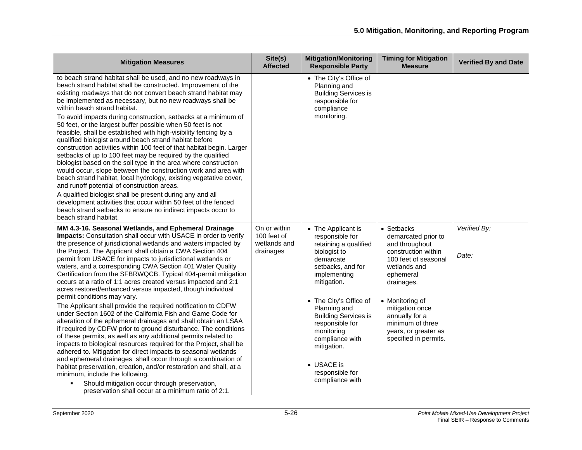| <b>Mitigation Measures</b>                                                                                                                                                                                                                                                                                                                                                                                                                                                                                                                                                                                                                                                                                                                                                                                                                                                                                                                                                                                                                                                                                                                                                                                                                                                                                                                                                          | Site(s)<br><b>Affected</b>                               | <b>Mitigation/Monitoring</b><br><b>Responsible Party</b>                                                                                                                                                                                                                                                                                        | <b>Timing for Mitigation</b><br><b>Measure</b>                                                                                                                                                                                                                             | <b>Verified By and Date</b> |
|-------------------------------------------------------------------------------------------------------------------------------------------------------------------------------------------------------------------------------------------------------------------------------------------------------------------------------------------------------------------------------------------------------------------------------------------------------------------------------------------------------------------------------------------------------------------------------------------------------------------------------------------------------------------------------------------------------------------------------------------------------------------------------------------------------------------------------------------------------------------------------------------------------------------------------------------------------------------------------------------------------------------------------------------------------------------------------------------------------------------------------------------------------------------------------------------------------------------------------------------------------------------------------------------------------------------------------------------------------------------------------------|----------------------------------------------------------|-------------------------------------------------------------------------------------------------------------------------------------------------------------------------------------------------------------------------------------------------------------------------------------------------------------------------------------------------|----------------------------------------------------------------------------------------------------------------------------------------------------------------------------------------------------------------------------------------------------------------------------|-----------------------------|
| to beach strand habitat shall be used, and no new roadways in<br>beach strand habitat shall be constructed. Improvement of the<br>existing roadways that do not convert beach strand habitat may<br>be implemented as necessary, but no new roadways shall be<br>within beach strand habitat.<br>To avoid impacts during construction, setbacks at a minimum of<br>50 feet, or the largest buffer possible when 50 feet is not<br>feasible, shall be established with high-visibility fencing by a<br>qualified biologist around beach strand habitat before<br>construction activities within 100 feet of that habitat begin. Larger<br>setbacks of up to 100 feet may be required by the qualified<br>biologist based on the soil type in the area where construction<br>would occur, slope between the construction work and area with<br>beach strand habitat, local hydrology, existing vegetative cover,<br>and runoff potential of construction areas.<br>A qualified biologist shall be present during any and all<br>development activities that occur within 50 feet of the fenced<br>beach strand setbacks to ensure no indirect impacts occur to<br>beach strand habitat.                                                                                                                                                                                               |                                                          | • The City's Office of<br>Planning and<br><b>Building Services is</b><br>responsible for<br>compliance<br>monitoring.                                                                                                                                                                                                                           |                                                                                                                                                                                                                                                                            |                             |
| MM 4.3-16. Seasonal Wetlands, and Ephemeral Drainage<br>Impacts: Consultation shall occur with USACE in order to verify<br>the presence of jurisdictional wetlands and waters impacted by<br>the Project. The Applicant shall obtain a CWA Section 404<br>permit from USACE for impacts to jurisdictional wetlands or<br>waters, and a corresponding CWA Section 401 Water Quality<br>Certification from the SFBRWQCB. Typical 404-permit mitigation<br>occurs at a ratio of 1:1 acres created versus impacted and 2:1<br>acres restored/enhanced versus impacted, though individual<br>permit conditions may vary.<br>The Applicant shall provide the required notification to CDFW<br>under Section 1602 of the California Fish and Game Code for<br>alteration of the ephemeral drainages and shall obtain an LSAA<br>if required by CDFW prior to ground disturbance. The conditions<br>of these permits, as well as any additional permits related to<br>impacts to biological resources required for the Project, shall be<br>adhered to. Mitigation for direct impacts to seasonal wetlands<br>and ephemeral drainages shall occur through a combination of<br>habitat preservation, creation, and/or restoration and shall, at a<br>minimum, include the following.<br>Should mitigation occur through preservation,<br>preservation shall occur at a minimum ratio of 2:1. | On or within<br>100 feet of<br>wetlands and<br>drainages | • The Applicant is<br>responsible for<br>retaining a qualified<br>biologist to<br>demarcate<br>setbacks, and for<br>implementing<br>mitigation.<br>• The City's Office of<br>Planning and<br><b>Building Services is</b><br>responsible for<br>monitoring<br>compliance with<br>mitigation.<br>• USACE is<br>responsible for<br>compliance with | • Setbacks<br>demarcated prior to<br>and throughout<br>construction within<br>100 feet of seasonal<br>wetlands and<br>ephemeral<br>drainages.<br>• Monitoring of<br>mitigation once<br>annually for a<br>minimum of three<br>years, or greater as<br>specified in permits. | Verified By:<br>Date:       |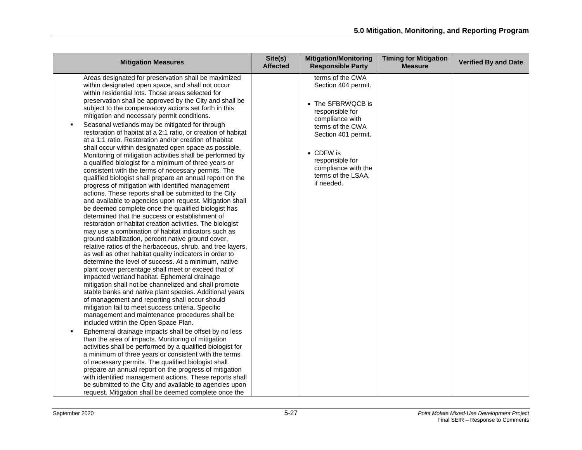| <b>Mitigation Measures</b>                                                                                                                                                                                                                                                                                                                                                                                                                                                                                                                                                                                                                                                                                                                                                                                                                                                                                                                                                                                                                                                                                                                                                                                                                                                                                                                                                                                                                                                                                                                                                                                                                                                                                                                                                                                                                                                                                                                                                                                                                                                                                                                                                                                                                                                                                                                                                                                                          | Site(s)<br><b>Affected</b> | <b>Mitigation/Monitoring</b><br><b>Responsible Party</b>                                                                                                                                                                                         | <b>Timing for Mitigation</b><br><b>Measure</b> | <b>Verified By and Date</b> |
|-------------------------------------------------------------------------------------------------------------------------------------------------------------------------------------------------------------------------------------------------------------------------------------------------------------------------------------------------------------------------------------------------------------------------------------------------------------------------------------------------------------------------------------------------------------------------------------------------------------------------------------------------------------------------------------------------------------------------------------------------------------------------------------------------------------------------------------------------------------------------------------------------------------------------------------------------------------------------------------------------------------------------------------------------------------------------------------------------------------------------------------------------------------------------------------------------------------------------------------------------------------------------------------------------------------------------------------------------------------------------------------------------------------------------------------------------------------------------------------------------------------------------------------------------------------------------------------------------------------------------------------------------------------------------------------------------------------------------------------------------------------------------------------------------------------------------------------------------------------------------------------------------------------------------------------------------------------------------------------------------------------------------------------------------------------------------------------------------------------------------------------------------------------------------------------------------------------------------------------------------------------------------------------------------------------------------------------------------------------------------------------------------------------------------------------|----------------------------|--------------------------------------------------------------------------------------------------------------------------------------------------------------------------------------------------------------------------------------------------|------------------------------------------------|-----------------------------|
| Areas designated for preservation shall be maximized<br>within designated open space, and shall not occur<br>within residential lots. Those areas selected for<br>preservation shall be approved by the City and shall be<br>subject to the compensatory actions set forth in this<br>mitigation and necessary permit conditions.<br>Seasonal wetlands may be mitigated for through<br>restoration of habitat at a 2:1 ratio, or creation of habitat<br>at a 1:1 ratio. Restoration and/or creation of habitat<br>shall occur within designated open space as possible.<br>Monitoring of mitigation activities shall be performed by<br>a qualified biologist for a minimum of three years or<br>consistent with the terms of necessary permits. The<br>qualified biologist shall prepare an annual report on the<br>progress of mitigation with identified management<br>actions. These reports shall be submitted to the City<br>and available to agencies upon request. Mitigation shall<br>be deemed complete once the qualified biologist has<br>determined that the success or establishment of<br>restoration or habitat creation activities. The biologist<br>may use a combination of habitat indicators such as<br>ground stabilization, percent native ground cover,<br>relative ratios of the herbaceous, shrub, and tree layers,<br>as well as other habitat quality indicators in order to<br>determine the level of success. At a minimum, native<br>plant cover percentage shall meet or exceed that of<br>impacted wetland habitat. Ephemeral drainage<br>mitigation shall not be channelized and shall promote<br>stable banks and native plant species. Additional years<br>of management and reporting shall occur should<br>mitigation fail to meet success criteria. Specific<br>management and maintenance procedures shall be<br>included within the Open Space Plan.<br>Ephemeral drainage impacts shall be offset by no less<br>than the area of impacts. Monitoring of mitigation<br>activities shall be performed by a qualified biologist for<br>a minimum of three years or consistent with the terms<br>of necessary permits. The qualified biologist shall<br>prepare an annual report on the progress of mitigation<br>with identified management actions. These reports shall<br>be submitted to the City and available to agencies upon<br>request. Mitigation shall be deemed complete once the |                            | terms of the CWA<br>Section 404 permit.<br>• The SFBRWQCB is<br>responsible for<br>compliance with<br>terms of the CWA<br>Section 401 permit.<br>$\bullet$ CDFW is<br>responsible for<br>compliance with the<br>terms of the LSAA,<br>if needed. |                                                |                             |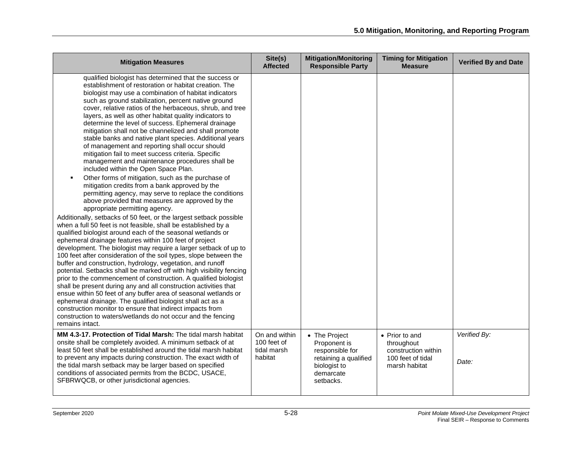| <b>Mitigation Measures</b>                                                                                                                                                                                                                                                                                                                                                                                                                                                                                                                                                                                                                                                                                                                                                                                                                                                                                                                                                                                                                                                                                                                                                                                                                                                                                                                                                                                                                                                                                                                                                                                                                                                                                                                                                                                                                                                                                                                                          | Site(s)<br><b>Affected</b>                             | <b>Mitigation/Monitoring</b><br><b>Responsible Party</b>                                                            | <b>Timing for Mitigation</b><br><b>Measure</b>                                            | <b>Verified By and Date</b> |
|---------------------------------------------------------------------------------------------------------------------------------------------------------------------------------------------------------------------------------------------------------------------------------------------------------------------------------------------------------------------------------------------------------------------------------------------------------------------------------------------------------------------------------------------------------------------------------------------------------------------------------------------------------------------------------------------------------------------------------------------------------------------------------------------------------------------------------------------------------------------------------------------------------------------------------------------------------------------------------------------------------------------------------------------------------------------------------------------------------------------------------------------------------------------------------------------------------------------------------------------------------------------------------------------------------------------------------------------------------------------------------------------------------------------------------------------------------------------------------------------------------------------------------------------------------------------------------------------------------------------------------------------------------------------------------------------------------------------------------------------------------------------------------------------------------------------------------------------------------------------------------------------------------------------------------------------------------------------|--------------------------------------------------------|---------------------------------------------------------------------------------------------------------------------|-------------------------------------------------------------------------------------------|-----------------------------|
| qualified biologist has determined that the success or<br>establishment of restoration or habitat creation. The<br>biologist may use a combination of habitat indicators<br>such as ground stabilization, percent native ground<br>cover, relative ratios of the herbaceous, shrub, and tree<br>layers, as well as other habitat quality indicators to<br>determine the level of success. Ephemeral drainage<br>mitigation shall not be channelized and shall promote<br>stable banks and native plant species. Additional years<br>of management and reporting shall occur should<br>mitigation fail to meet success criteria. Specific<br>management and maintenance procedures shall be<br>included within the Open Space Plan.<br>Other forms of mitigation, such as the purchase of<br>mitigation credits from a bank approved by the<br>permitting agency, may serve to replace the conditions<br>above provided that measures are approved by the<br>appropriate permitting agency.<br>Additionally, setbacks of 50 feet, or the largest setback possible<br>when a full 50 feet is not feasible, shall be established by a<br>qualified biologist around each of the seasonal wetlands or<br>ephemeral drainage features within 100 feet of project<br>development. The biologist may require a larger setback of up to<br>100 feet after consideration of the soil types, slope between the<br>buffer and construction, hydrology, vegetation, and runoff<br>potential. Setbacks shall be marked off with high visibility fencing<br>prior to the commencement of construction. A qualified biologist<br>shall be present during any and all construction activities that<br>ensue within 50 feet of any buffer area of seasonal wetlands or<br>ephemeral drainage. The qualified biologist shall act as a<br>construction monitor to ensure that indirect impacts from<br>construction to waters/wetlands do not occur and the fencing<br>remains intact. |                                                        |                                                                                                                     |                                                                                           |                             |
| MM 4.3-17. Protection of Tidal Marsh: The tidal marsh habitat<br>onsite shall be completely avoided. A minimum setback of at<br>least 50 feet shall be established around the tidal marsh habitat<br>to prevent any impacts during construction. The exact width of<br>the tidal marsh setback may be larger based on specified<br>conditions of associated permits from the BCDC, USACE,<br>SFBRWQCB, or other jurisdictional agencies.                                                                                                                                                                                                                                                                                                                                                                                                                                                                                                                                                                                                                                                                                                                                                                                                                                                                                                                                                                                                                                                                                                                                                                                                                                                                                                                                                                                                                                                                                                                            | On and within<br>100 feet of<br>tidal marsh<br>habitat | • The Project<br>Proponent is<br>responsible for<br>retaining a qualified<br>biologist to<br>demarcate<br>setbacks. | • Prior to and<br>throughout<br>construction within<br>100 feet of tidal<br>marsh habitat | Verified By:<br>Date:       |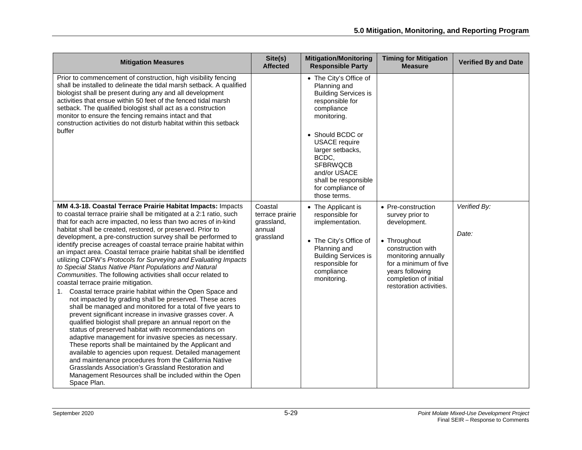| <b>Mitigation Measures</b>                                                                                                                                                                                                                                                                                                                                                                                                                                                                                                                                                                                                                                                                                                                                                                                                                                                                                                                                                                                                                                                                                                                                                                                                                                                                                                                                                                                                                                               | Site(s)<br><b>Affected</b>                                      | <b>Mitigation/Monitoring</b><br><b>Responsible Party</b>                                                                                                                                                                                                                                       | <b>Timing for Mitigation</b><br><b>Measure</b>                                                                                                                                                                    | <b>Verified By and Date</b> |
|--------------------------------------------------------------------------------------------------------------------------------------------------------------------------------------------------------------------------------------------------------------------------------------------------------------------------------------------------------------------------------------------------------------------------------------------------------------------------------------------------------------------------------------------------------------------------------------------------------------------------------------------------------------------------------------------------------------------------------------------------------------------------------------------------------------------------------------------------------------------------------------------------------------------------------------------------------------------------------------------------------------------------------------------------------------------------------------------------------------------------------------------------------------------------------------------------------------------------------------------------------------------------------------------------------------------------------------------------------------------------------------------------------------------------------------------------------------------------|-----------------------------------------------------------------|------------------------------------------------------------------------------------------------------------------------------------------------------------------------------------------------------------------------------------------------------------------------------------------------|-------------------------------------------------------------------------------------------------------------------------------------------------------------------------------------------------------------------|-----------------------------|
| Prior to commencement of construction, high visibility fencing<br>shall be installed to delineate the tidal marsh setback. A qualified<br>biologist shall be present during any and all development<br>activities that ensue within 50 feet of the fenced tidal marsh<br>setback. The qualified biologist shall act as a construction<br>monitor to ensure the fencing remains intact and that<br>construction activities do not disturb habitat within this setback<br>buffer                                                                                                                                                                                                                                                                                                                                                                                                                                                                                                                                                                                                                                                                                                                                                                                                                                                                                                                                                                                           |                                                                 | • The City's Office of<br>Planning and<br><b>Building Services is</b><br>responsible for<br>compliance<br>monitoring.<br>• Should BCDC or<br><b>USACE</b> require<br>larger setbacks,<br>BCDC,<br><b>SFBRWQCB</b><br>and/or USACE<br>shall be responsible<br>for compliance of<br>those terms. |                                                                                                                                                                                                                   |                             |
| MM 4.3-18. Coastal Terrace Prairie Habitat Impacts: Impacts<br>to coastal terrace prairie shall be mitigated at a 2:1 ratio, such<br>that for each acre impacted, no less than two acres of in-kind<br>habitat shall be created, restored, or preserved. Prior to<br>development, a pre-construction survey shall be performed to<br>identify precise acreages of coastal terrace prairie habitat within<br>an impact area. Coastal terrace prairie habitat shall be identified<br>utilizing CDFW's Protocols for Surveying and Evaluating Impacts<br>to Special Status Native Plant Populations and Natural<br>Communities. The following activities shall occur related to<br>coastal terrace prairie mitigation.<br>Coastal terrace prairie habitat within the Open Space and<br>1.<br>not impacted by grading shall be preserved. These acres<br>shall be managed and monitored for a total of five years to<br>prevent significant increase in invasive grasses cover. A<br>qualified biologist shall prepare an annual report on the<br>status of preserved habitat with recommendations on<br>adaptive management for invasive species as necessary.<br>These reports shall be maintained by the Applicant and<br>available to agencies upon request. Detailed management<br>and maintenance procedures from the California Native<br>Grasslands Association's Grassland Restoration and<br>Management Resources shall be included within the Open<br>Space Plan. | Coastal<br>terrace prairie<br>grassland,<br>annual<br>grassland | • The Applicant is<br>responsible for<br>implementation.<br>• The City's Office of<br>Planning and<br><b>Building Services is</b><br>responsible for<br>compliance<br>monitoring.                                                                                                              | • Pre-construction<br>survey prior to<br>development.<br>• Throughout<br>construction with<br>monitoring annually<br>for a minimum of five<br>years following<br>completion of initial<br>restoration activities. | Verified By:<br>Date:       |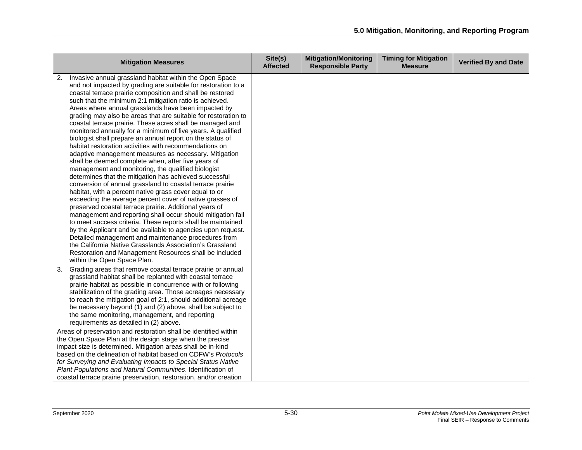| <b>Mitigation Measures</b>                                                                                                                                                                                                                                                                                                                                                                                                                                                                                                                                                                                                                                                                                                                                                                                                                                                                                                                                                                                                                                                                                                                                                                                                                                                                                                                                                                                                                                                         | Site(s)<br><b>Affected</b> | <b>Mitigation/Monitoring</b><br><b>Responsible Party</b> | <b>Timing for Mitigation</b><br><b>Measure</b> | <b>Verified By and Date</b> |
|------------------------------------------------------------------------------------------------------------------------------------------------------------------------------------------------------------------------------------------------------------------------------------------------------------------------------------------------------------------------------------------------------------------------------------------------------------------------------------------------------------------------------------------------------------------------------------------------------------------------------------------------------------------------------------------------------------------------------------------------------------------------------------------------------------------------------------------------------------------------------------------------------------------------------------------------------------------------------------------------------------------------------------------------------------------------------------------------------------------------------------------------------------------------------------------------------------------------------------------------------------------------------------------------------------------------------------------------------------------------------------------------------------------------------------------------------------------------------------|----------------------------|----------------------------------------------------------|------------------------------------------------|-----------------------------|
| Invasive annual grassland habitat within the Open Space<br>and not impacted by grading are suitable for restoration to a<br>coastal terrace prairie composition and shall be restored<br>such that the minimum 2:1 mitigation ratio is achieved.<br>Areas where annual grasslands have been impacted by<br>grading may also be areas that are suitable for restoration to<br>coastal terrace prairie. These acres shall be managed and<br>monitored annually for a minimum of five years. A qualified<br>biologist shall prepare an annual report on the status of<br>habitat restoration activities with recommendations on<br>adaptive management measures as necessary. Mitigation<br>shall be deemed complete when, after five years of<br>management and monitoring, the qualified biologist<br>determines that the mitigation has achieved successful<br>conversion of annual grassland to coastal terrace prairie<br>habitat, with a percent native grass cover equal to or<br>exceeding the average percent cover of native grasses of<br>preserved coastal terrace prairie. Additional years of<br>management and reporting shall occur should mitigation fail<br>to meet success criteria. These reports shall be maintained<br>by the Applicant and be available to agencies upon request.<br>Detailed management and maintenance procedures from<br>the California Native Grasslands Association's Grassland<br>Restoration and Management Resources shall be included |                            |                                                          |                                                |                             |
| within the Open Space Plan.<br>Grading areas that remove coastal terrace prairie or annual<br>3.<br>grassland habitat shall be replanted with coastal terrace<br>prairie habitat as possible in concurrence with or following<br>stabilization of the grading area. Those acreages necessary<br>to reach the mitigation goal of 2:1, should additional acreage<br>be necessary beyond (1) and (2) above, shall be subject to<br>the same monitoring, management, and reporting<br>requirements as detailed in (2) above.<br>Areas of preservation and restoration shall be identified within<br>the Open Space Plan at the design stage when the precise<br>impact size is determined. Mitigation areas shall be in-kind<br>based on the delineation of habitat based on CDFW's Protocols<br>for Surveying and Evaluating Impacts to Special Status Native<br>Plant Populations and Natural Communities. Identification of<br>coastal terrace prairie preservation, restoration, and/or creation                                                                                                                                                                                                                                                                                                                                                                                                                                                                                   |                            |                                                          |                                                |                             |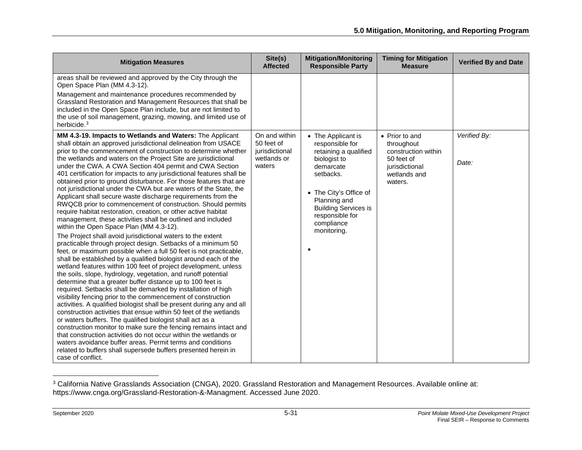<span id="page-30-0"></span>

| <b>Mitigation Measures</b>                                                                                                                                                                                                                                                                                                                                                                                                                                                                                                                                                                                                                                                                                                                                                                                                                                                                                                                                                                                                                                                                                                                                                                                                                                                                                                                                                                                                                                                                                                                                                                                                                                                                                                                                                                                                                  | Site(s)<br><b>Affected</b>              | <b>Mitigation/Monitoring</b><br><b>Responsible Party</b>                                                                                                                                 | <b>Timing for Mitigation</b><br><b>Measure</b>                                 | <b>Verified By and Date</b> |
|---------------------------------------------------------------------------------------------------------------------------------------------------------------------------------------------------------------------------------------------------------------------------------------------------------------------------------------------------------------------------------------------------------------------------------------------------------------------------------------------------------------------------------------------------------------------------------------------------------------------------------------------------------------------------------------------------------------------------------------------------------------------------------------------------------------------------------------------------------------------------------------------------------------------------------------------------------------------------------------------------------------------------------------------------------------------------------------------------------------------------------------------------------------------------------------------------------------------------------------------------------------------------------------------------------------------------------------------------------------------------------------------------------------------------------------------------------------------------------------------------------------------------------------------------------------------------------------------------------------------------------------------------------------------------------------------------------------------------------------------------------------------------------------------------------------------------------------------|-----------------------------------------|------------------------------------------------------------------------------------------------------------------------------------------------------------------------------------------|--------------------------------------------------------------------------------|-----------------------------|
| areas shall be reviewed and approved by the City through the<br>Open Space Plan (MM 4.3-12).<br>Management and maintenance procedures recommended by<br>Grassland Restoration and Management Resources that shall be<br>included in the Open Space Plan include, but are not limited to<br>the use of soil management, grazing, mowing, and limited use of<br>herbicide. <sup>3</sup><br>MM 4.3-19. Impacts to Wetlands and Waters: The Applicant<br>shall obtain an approved jurisdictional delineation from USACE                                                                                                                                                                                                                                                                                                                                                                                                                                                                                                                                                                                                                                                                                                                                                                                                                                                                                                                                                                                                                                                                                                                                                                                                                                                                                                                         | On and within<br>50 feet of             | • The Applicant is<br>responsible for                                                                                                                                                    | • Prior to and<br>throughout                                                   | Verified By:                |
| prior to the commencement of construction to determine whether<br>the wetlands and waters on the Project Site are jurisdictional<br>under the CWA. A CWA Section 404 permit and CWA Section<br>401 certification for impacts to any jurisdictional features shall be<br>obtained prior to ground disturbance. For those features that are<br>not jurisdictional under the CWA but are waters of the State, the<br>Applicant shall secure waste discharge requirements from the<br>RWQCB prior to commencement of construction. Should permits<br>require habitat restoration, creation, or other active habitat<br>management, these activities shall be outlined and included<br>within the Open Space Plan (MM 4.3-12).<br>The Project shall avoid jurisdictional waters to the extent<br>practicable through project design. Setbacks of a minimum 50<br>feet, or maximum possible when a full 50 feet is not practicable,<br>shall be established by a qualified biologist around each of the<br>wetland features within 100 feet of project development, unless<br>the soils, slope, hydrology, vegetation, and runoff potential<br>determine that a greater buffer distance up to 100 feet is<br>required. Setbacks shall be demarked by installation of high<br>visibility fencing prior to the commencement of construction<br>activities. A qualified biologist shall be present during any and all<br>construction activities that ensue within 50 feet of the wetlands<br>or waters buffers. The qualified biologist shall act as a<br>construction monitor to make sure the fencing remains intact and<br>that construction activities do not occur within the wetlands or<br>waters avoidance buffer areas. Permit terms and conditions<br>related to buffers shall supersede buffers presented herein in<br>case of conflict. | jurisdictional<br>wetlands or<br>waters | retaining a qualified<br>biologist to<br>demarcate<br>setbacks.<br>• The City's Office of<br>Planning and<br><b>Building Services is</b><br>responsible for<br>compliance<br>monitoring. | construction within<br>50 feet of<br>jurisdictional<br>wetlands and<br>waters. | Date:                       |

 $^3$  California Native Grasslands Association (CNGA), 2020. Grassland Restoration and Management Resources. Available online at: https://www.cnga.org/Grassland-Restoration-&-Managment. Accessed June 2020.

l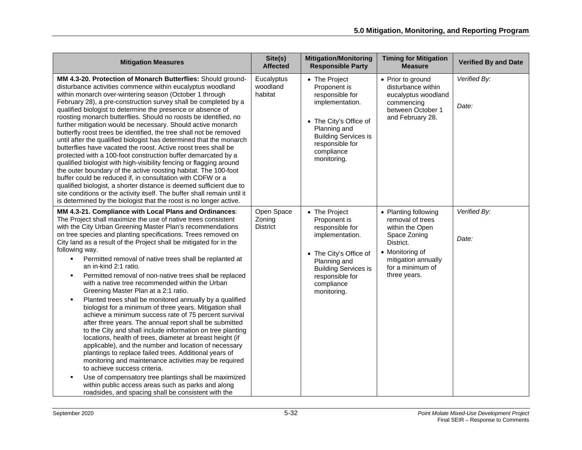| <b>Mitigation Measures</b>                                                                                                                                                                                                                                                                                                                                                                                                                                                                                                                                                                                                                                                                                                                                                                                                                                                                                                                                                                                                                                                                                                                                                                                                                                                                                                                        | Site(s)<br><b>Affected</b>              | <b>Mitigation/Monitoring</b><br><b>Responsible Party</b>                                                                                                                                     | <b>Timing for Mitigation</b><br><b>Measure</b>                                                                                                                         | <b>Verified By and Date</b> |
|---------------------------------------------------------------------------------------------------------------------------------------------------------------------------------------------------------------------------------------------------------------------------------------------------------------------------------------------------------------------------------------------------------------------------------------------------------------------------------------------------------------------------------------------------------------------------------------------------------------------------------------------------------------------------------------------------------------------------------------------------------------------------------------------------------------------------------------------------------------------------------------------------------------------------------------------------------------------------------------------------------------------------------------------------------------------------------------------------------------------------------------------------------------------------------------------------------------------------------------------------------------------------------------------------------------------------------------------------|-----------------------------------------|----------------------------------------------------------------------------------------------------------------------------------------------------------------------------------------------|------------------------------------------------------------------------------------------------------------------------------------------------------------------------|-----------------------------|
| MM 4.3-20. Protection of Monarch Butterflies: Should ground-<br>disturbance activities commence within eucalyptus woodland<br>within monarch over-wintering season (October 1 through<br>February 28), a pre-construction survey shall be completed by a<br>qualified biologist to determine the presence or absence of<br>roosting monarch butterflies. Should no roosts be identified, no<br>further mitigation would be necessary. Should active monarch<br>butterfly roost trees be identified, the tree shall not be removed<br>until after the qualified biologist has determined that the monarch<br>butterflies have vacated the roost. Active roost trees shall be<br>protected with a 100-foot construction buffer demarcated by a<br>qualified biologist with high-visibility fencing or flagging around<br>the outer boundary of the active roosting habitat. The 100-foot<br>buffer could be reduced if, in consultation with CDFW or a<br>qualified biologist, a shorter distance is deemed sufficient due to<br>site conditions or the activity itself. The buffer shall remain until it<br>is determined by the biologist that the roost is no longer active.                                                                                                                                                                     | Eucalyptus<br>woodland<br>habitat       | • The Project<br>Proponent is<br>responsible for<br>implementation.<br>• The City's Office of<br>Planning and<br><b>Building Services is</b><br>responsible for<br>compliance<br>monitoring. | • Prior to ground<br>disturbance within<br>eucalyptus woodland<br>commencing<br>between October 1<br>and February 28.                                                  | Verified By:<br>Date:       |
| MM 4.3-21. Compliance with Local Plans and Ordinances:<br>The Project shall maximize the use of native trees consistent<br>with the City Urban Greening Master Plan's recommendations<br>on tree species and planting specifications. Trees removed on<br>City land as a result of the Project shall be mitigated for in the<br>following way.<br>Permitted removal of native trees shall be replanted at<br>an in-kind 2:1 ratio.<br>Permitted removal of non-native trees shall be replaced<br>with a native tree recommended within the Urban<br>Greening Master Plan at a 2:1 ratio.<br>Planted trees shall be monitored annually by a qualified<br>biologist for a minimum of three years. Mitigation shall<br>achieve a minimum success rate of 75 percent survival<br>after three years. The annual report shall be submitted<br>to the City and shall include information on tree planting<br>locations, health of trees, diameter at breast height (if<br>applicable), and the number and location of necessary<br>plantings to replace failed trees. Additional years of<br>monitoring and maintenance activities may be required<br>to achieve success criteria.<br>Use of compensatory tree plantings shall be maximized<br>within public access areas such as parks and along<br>roadsides, and spacing shall be consistent with the | Open Space<br>Zoning<br><b>District</b> | • The Project<br>Proponent is<br>responsible for<br>implementation.<br>• The City's Office of<br>Planning and<br><b>Building Services is</b><br>responsible for<br>compliance<br>monitoring. | • Planting following<br>removal of trees<br>within the Open<br>Space Zoning<br>District.<br>• Monitoring of<br>mitigation annually<br>for a minimum of<br>three years. | Verified By:<br>Date:       |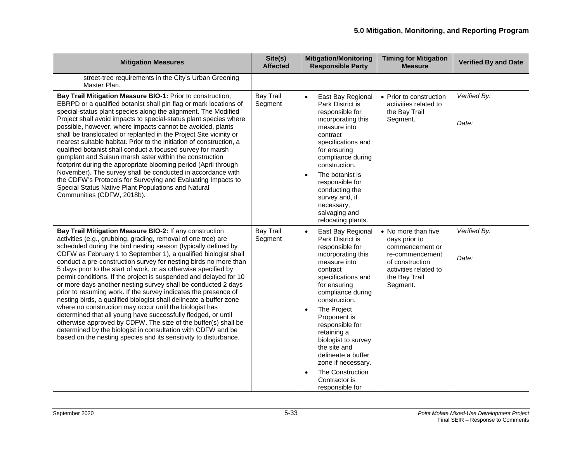| <b>Mitigation Measures</b>                                                                                                                                                                                                                                                                                                                                                                                                                                                                                                                                                                                                                                                                                                                                                                                                                                                                                                                                                                                            | Site(s)<br><b>Affected</b>  | <b>Mitigation/Monitoring</b><br><b>Responsible Party</b>                                                                                                                                                                                                                                                                                                                                                                     | <b>Timing for Mitigation</b><br><b>Measure</b>                                                                                                      | <b>Verified By and Date</b> |
|-----------------------------------------------------------------------------------------------------------------------------------------------------------------------------------------------------------------------------------------------------------------------------------------------------------------------------------------------------------------------------------------------------------------------------------------------------------------------------------------------------------------------------------------------------------------------------------------------------------------------------------------------------------------------------------------------------------------------------------------------------------------------------------------------------------------------------------------------------------------------------------------------------------------------------------------------------------------------------------------------------------------------|-----------------------------|------------------------------------------------------------------------------------------------------------------------------------------------------------------------------------------------------------------------------------------------------------------------------------------------------------------------------------------------------------------------------------------------------------------------------|-----------------------------------------------------------------------------------------------------------------------------------------------------|-----------------------------|
| street-tree requirements in the City's Urban Greening<br>Master Plan.                                                                                                                                                                                                                                                                                                                                                                                                                                                                                                                                                                                                                                                                                                                                                                                                                                                                                                                                                 |                             |                                                                                                                                                                                                                                                                                                                                                                                                                              |                                                                                                                                                     |                             |
| Bay Trail Mitigation Measure BIO-1: Prior to construction,<br>EBRPD or a qualified botanist shall pin flag or mark locations of<br>special-status plant species along the alignment. The Modified<br>Project shall avoid impacts to special-status plant species where<br>possible, however, where impacts cannot be avoided, plants<br>shall be translocated or replanted in the Project Site vicinity or<br>nearest suitable habitat. Prior to the initiation of construction, a<br>qualified botanist shall conduct a focused survey for marsh<br>gumplant and Suisun marsh aster within the construction<br>footprint during the appropriate blooming period (April through<br>November). The survey shall be conducted in accordance with<br>the CDFW's Protocols for Surveying and Evaluating Impacts to<br>Special Status Native Plant Populations and Natural<br>Communities (CDFW, 2018b).                                                                                                                   | <b>Bay Trail</b><br>Segment | $\bullet$<br>East Bay Regional<br>Park District is<br>responsible for<br>incorporating this<br>measure into<br>contract<br>specifications and<br>for ensuring<br>compliance during<br>construction.<br>The botanist is<br>$\bullet$<br>responsible for<br>conducting the<br>survey and, if<br>necessary,<br>salvaging and<br>relocating plants.                                                                              | • Prior to construction<br>activities related to<br>the Bay Trail<br>Segment.                                                                       | Verified By:<br>Date:       |
| Bay Trail Mitigation Measure BIO-2: If any construction<br>activities (e.g., grubbing, grading, removal of one tree) are<br>scheduled during the bird nesting season (typically defined by<br>CDFW as February 1 to September 1), a qualified biologist shall<br>conduct a pre-construction survey for nesting birds no more than<br>5 days prior to the start of work, or as otherwise specified by<br>permit conditions. If the project is suspended and delayed for 10<br>or more days another nesting survey shall be conducted 2 days<br>prior to resuming work. If the survey indicates the presence of<br>nesting birds, a qualified biologist shall delineate a buffer zone<br>where no construction may occur until the biologist has<br>determined that all young have successfully fledged, or until<br>otherwise approved by CDFW. The size of the buffer(s) shall be<br>determined by the biologist in consultation with CDFW and be<br>based on the nesting species and its sensitivity to disturbance. | <b>Bay Trail</b><br>Segment | East Bay Regional<br>$\bullet$<br>Park District is<br>responsible for<br>incorporating this<br>measure into<br>contract<br>specifications and<br>for ensuring<br>compliance during<br>construction.<br>The Project<br>Proponent is<br>responsible for<br>retaining a<br>biologist to survey<br>the site and<br>delineate a buffer<br>zone if necessary.<br>The Construction<br>$\bullet$<br>Contractor is<br>responsible for | • No more than five<br>days prior to<br>commencement or<br>re-commencement<br>of construction<br>activities related to<br>the Bay Trail<br>Segment. | Verified By:<br>Date:       |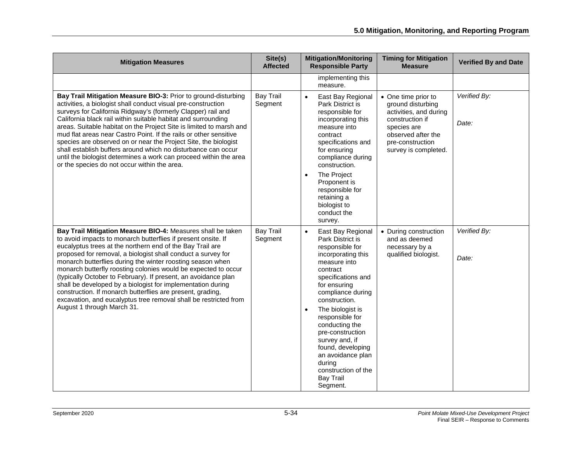| <b>Mitigation Measures</b>                                                                                                                                                                                                                                                                                                                                                                                                                                                                                                                                                                                                                                                                 | Site(s)<br><b>Affected</b>  | <b>Mitigation/Monitoring</b><br><b>Responsible Party</b>                                                                                                                                                                                                                                                                                                                                                                   | <b>Timing for Mitigation</b><br><b>Measure</b>                                                                                                                         | <b>Verified By and Date</b> |
|--------------------------------------------------------------------------------------------------------------------------------------------------------------------------------------------------------------------------------------------------------------------------------------------------------------------------------------------------------------------------------------------------------------------------------------------------------------------------------------------------------------------------------------------------------------------------------------------------------------------------------------------------------------------------------------------|-----------------------------|----------------------------------------------------------------------------------------------------------------------------------------------------------------------------------------------------------------------------------------------------------------------------------------------------------------------------------------------------------------------------------------------------------------------------|------------------------------------------------------------------------------------------------------------------------------------------------------------------------|-----------------------------|
|                                                                                                                                                                                                                                                                                                                                                                                                                                                                                                                                                                                                                                                                                            |                             | implementing this<br>measure.                                                                                                                                                                                                                                                                                                                                                                                              |                                                                                                                                                                        |                             |
| Bay Trail Mitigation Measure BIO-3: Prior to ground-disturbing<br>activities, a biologist shall conduct visual pre-construction<br>surveys for California Ridgway's (formerly Clapper) rail and<br>California black rail within suitable habitat and surrounding<br>areas. Suitable habitat on the Project Site is limited to marsh and<br>mud flat areas near Castro Point. If the rails or other sensitive<br>species are observed on or near the Project Site, the biologist<br>shall establish buffers around which no disturbance can occur<br>until the biologist determines a work can proceed within the area<br>or the species do not occur within the area.                      | <b>Bay Trail</b><br>Segment | $\bullet$<br>East Bay Regional<br>Park District is<br>responsible for<br>incorporating this<br>measure into<br>contract<br>specifications and<br>for ensuring<br>compliance during<br>construction.<br>The Project<br>$\bullet$<br>Proponent is<br>responsible for<br>retaining a<br>biologist to<br>conduct the<br>survey.                                                                                                | • One time prior to<br>ground disturbing<br>activities, and during<br>construction if<br>species are<br>observed after the<br>pre-construction<br>survey is completed. | Verified By:<br>Date:       |
| Bay Trail Mitigation Measure BIO-4: Measures shall be taken<br>to avoid impacts to monarch butterflies if present onsite. If<br>eucalyptus trees at the northern end of the Bay Trail are<br>proposed for removal, a biologist shall conduct a survey for<br>monarch butterflies during the winter roosting season when<br>monarch butterfly roosting colonies would be expected to occur<br>(typically October to February). If present, an avoidance plan<br>shall be developed by a biologist for implementation during<br>construction. If monarch butterflies are present, grading,<br>excavation, and eucalyptus tree removal shall be restricted from<br>August 1 through March 31. | <b>Bay Trail</b><br>Segment | $\bullet$<br>East Bay Regional<br>Park District is<br>responsible for<br>incorporating this<br>measure into<br>contract<br>specifications and<br>for ensuring<br>compliance during<br>construction.<br>The biologist is<br>$\bullet$<br>responsible for<br>conducting the<br>pre-construction<br>survey and, if<br>found, developing<br>an avoidance plan<br>during<br>construction of the<br><b>Bay Trail</b><br>Segment. | • During construction<br>and as deemed<br>necessary by a<br>qualified biologist.                                                                                       | Verified By:<br>Date:       |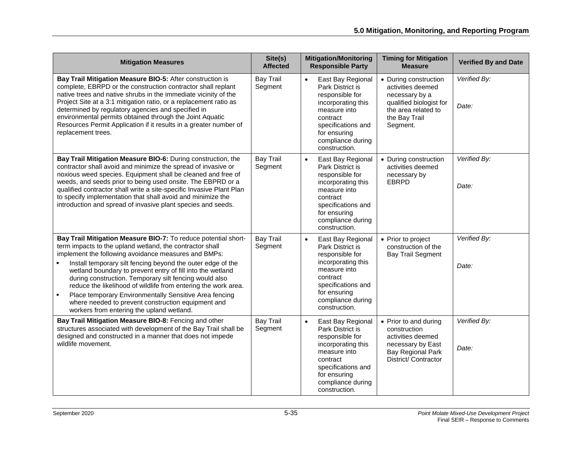| <b>Mitigation Measures</b>                                                                                                                                                                                                                                                                                                                                                                                                                                                                                                                                                                                    | Site(s)<br><b>Affected</b>  | <b>Mitigation/Monitoring</b><br><b>Responsible Party</b>                                                                                                                                            | <b>Timing for Mitigation</b><br><b>Measure</b>                                                                                              | <b>Verified By and Date</b> |
|---------------------------------------------------------------------------------------------------------------------------------------------------------------------------------------------------------------------------------------------------------------------------------------------------------------------------------------------------------------------------------------------------------------------------------------------------------------------------------------------------------------------------------------------------------------------------------------------------------------|-----------------------------|-----------------------------------------------------------------------------------------------------------------------------------------------------------------------------------------------------|---------------------------------------------------------------------------------------------------------------------------------------------|-----------------------------|
| Bay Trail Mitigation Measure BIO-5: After construction is<br>complete, EBRPD or the construction contractor shall replant<br>native trees and native shrubs in the immediate vicinity of the<br>Project Site at a 3:1 mitigation ratio, or a replacement ratio as<br>determined by regulatory agencies and specified in<br>environmental permits obtained through the Joint Aquatic<br>Resources Permit Application if it results in a greater number of<br>replacement trees.                                                                                                                                | <b>Bay Trail</b><br>Segment | East Bay Regional<br>$\bullet$<br>Park District is<br>responsible for<br>incorporating this<br>measure into<br>contract<br>specifications and<br>for ensuring<br>compliance during<br>construction. | • During construction<br>activities deemed<br>necessary by a<br>qualified biologist for<br>the area related to<br>the Bay Trail<br>Segment. | Verified By:<br>Date:       |
| Bay Trail Mitigation Measure BIO-6: During construction, the<br>contractor shall avoid and minimize the spread of invasive or<br>noxious weed species. Equipment shall be cleaned and free of<br>weeds, and seeds prior to being used onsite. The EBPRD or a<br>qualified contractor shall write a site-specific Invasive Plant Plan<br>to specify implementation that shall avoid and minimize the<br>introduction and spread of invasive plant species and seeds.                                                                                                                                           | <b>Bay Trail</b><br>Segment | East Bay Regional<br>$\bullet$<br>Park District is<br>responsible for<br>incorporating this<br>measure into<br>contract<br>specifications and<br>for ensuring<br>compliance during<br>construction. | • During construction<br>activities deemed<br>necessary by<br><b>EBRPD</b>                                                                  | Verified By:<br>Date:       |
| Bay Trail Mitigation Measure BIO-7: To reduce potential short-<br>term impacts to the upland wetland, the contractor shall<br>implement the following avoidance measures and BMPs:<br>Install temporary silt fencing beyond the outer edge of the<br>wetland boundary to prevent entry of fill into the wetland<br>during construction. Temporary silt fencing would also<br>reduce the likelihood of wildlife from entering the work area.<br>Place temporary Environmentally Sensitive Area fencing<br>٠<br>where needed to prevent construction equipment and<br>workers from entering the upland wetland. | <b>Bay Trail</b><br>Segment | $\bullet$<br>East Bay Regional<br>Park District is<br>responsible for<br>incorporating this<br>measure into<br>contract<br>specifications and<br>for ensuring<br>compliance during<br>construction. | • Prior to project<br>construction of the<br><b>Bay Trail Segment</b>                                                                       | Verified By:<br>Date:       |
| Bay Trail Mitigation Measure BIO-8: Fencing and other<br>structures associated with development of the Bay Trail shall be<br>designed and constructed in a manner that does not impede<br>wildlife movement.                                                                                                                                                                                                                                                                                                                                                                                                  | <b>Bay Trail</b><br>Segment | $\bullet$<br>East Bay Regional<br>Park District is<br>responsible for<br>incorporating this<br>measure into<br>contract<br>specifications and<br>for ensuring<br>compliance during<br>construction. | • Prior to and during<br>construction<br>activities deemed<br>necessary by East<br><b>Bay Regional Park</b><br>District/ Contractor         | Verified By:<br>Date:       |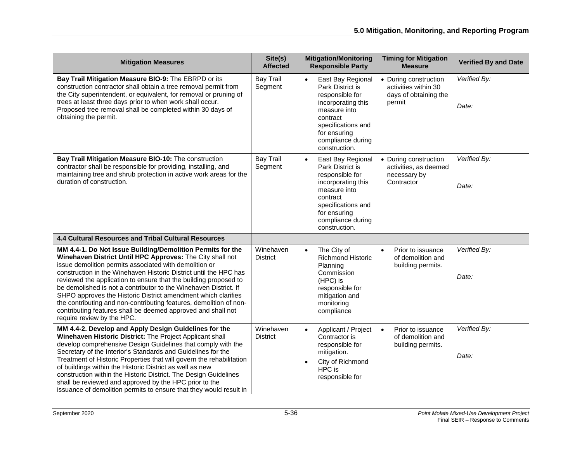| <b>Mitigation Measures</b>                                                                                                                                                                                                                                                                                                                                                                                                                                                                                                                                                                                                          | Site(s)<br><b>Affected</b>   | <b>Mitigation/Monitoring</b><br><b>Responsible Party</b>                                                                                                                                            | <b>Timing for Mitigation</b><br><b>Measure</b>                                   | <b>Verified By and Date</b> |
|-------------------------------------------------------------------------------------------------------------------------------------------------------------------------------------------------------------------------------------------------------------------------------------------------------------------------------------------------------------------------------------------------------------------------------------------------------------------------------------------------------------------------------------------------------------------------------------------------------------------------------------|------------------------------|-----------------------------------------------------------------------------------------------------------------------------------------------------------------------------------------------------|----------------------------------------------------------------------------------|-----------------------------|
| Bay Trail Mitigation Measure BIO-9: The EBRPD or its<br>construction contractor shall obtain a tree removal permit from<br>the City superintendent, or equivalent, for removal or pruning of<br>trees at least three days prior to when work shall occur.<br>Proposed tree removal shall be completed within 30 days of<br>obtaining the permit.                                                                                                                                                                                                                                                                                    | <b>Bay Trail</b><br>Segment  | East Bay Regional<br>Park District is<br>responsible for<br>incorporating this<br>measure into<br>contract<br>specifications and<br>for ensuring<br>compliance during<br>construction.              | • During construction<br>activities within 30<br>days of obtaining the<br>permit | Verified By:<br>Date:       |
| Bay Trail Mitigation Measure BIO-10: The construction<br>contractor shall be responsible for providing, installing, and<br>maintaining tree and shrub protection in active work areas for the<br>duration of construction.                                                                                                                                                                                                                                                                                                                                                                                                          | <b>Bay Trail</b><br>Segment  | East Bay Regional<br>$\bullet$<br>Park District is<br>responsible for<br>incorporating this<br>measure into<br>contract<br>specifications and<br>for ensuring<br>compliance during<br>construction. | • During construction<br>activities, as deemed<br>necessary by<br>Contractor     | Verified By:<br>Date:       |
| <b>4.4 Cultural Resources and Tribal Cultural Resources</b>                                                                                                                                                                                                                                                                                                                                                                                                                                                                                                                                                                         |                              |                                                                                                                                                                                                     |                                                                                  |                             |
| MM 4.4-1. Do Not Issue Building/Demolition Permits for the<br>Winehaven District Until HPC Approves: The City shall not<br>issue demolition permits associated with demolition or<br>construction in the Winehaven Historic District until the HPC has<br>reviewed the application to ensure that the building proposed to<br>be demolished is not a contributor to the Winehaven District. If<br>SHPO approves the Historic District amendment which clarifies<br>the contributing and non-contributing features, demolition of non-<br>contributing features shall be deemed approved and shall not<br>require review by the HPC. | Winehaven<br><b>District</b> | The City of<br>$\bullet$<br><b>Richmond Historic</b><br>Planning<br>Commission<br>(HPC) is<br>responsible for<br>mitigation and<br>monitoring<br>compliance                                         | Prior to issuance<br>$\bullet$<br>of demolition and<br>building permits.         | Verified By:<br>Date:       |
| MM 4.4-2. Develop and Apply Design Guidelines for the<br>Winehaven Historic District: The Project Applicant shall<br>develop comprehensive Design Guidelines that comply with the<br>Secretary of the Interior's Standards and Guidelines for the<br>Treatment of Historic Properties that will govern the rehabilitation<br>of buildings within the Historic District as well as new<br>construction within the Historic District. The Design Guidelines<br>shall be reviewed and approved by the HPC prior to the<br>issuance of demolition permits to ensure that they would result in                                           | Winehaven<br><b>District</b> | $\bullet$<br>Applicant / Project<br>Contractor is<br>responsible for<br>mitigation.<br>City of Richmond<br>$\bullet$<br>HPC is<br>responsible for                                                   | $\bullet$<br>Prior to issuance<br>of demolition and<br>building permits.         | Verified By:<br>Date:       |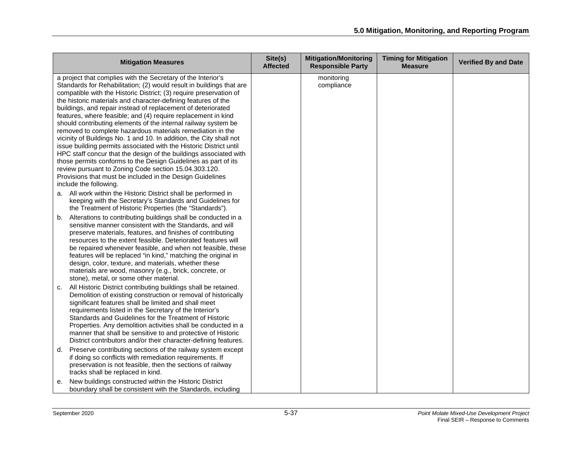| <b>Mitigation Measures</b>                                                                                                                                                                                                                                                                                                                                                                                                                                                                                                                                                                                                                                                                                                                                                                                                                                                                                                                                                       | Site(s)<br><b>Affected</b> | <b>Mitigation/Monitoring</b><br><b>Responsible Party</b> | <b>Timing for Mitigation</b><br><b>Measure</b> | <b>Verified By and Date</b> |
|----------------------------------------------------------------------------------------------------------------------------------------------------------------------------------------------------------------------------------------------------------------------------------------------------------------------------------------------------------------------------------------------------------------------------------------------------------------------------------------------------------------------------------------------------------------------------------------------------------------------------------------------------------------------------------------------------------------------------------------------------------------------------------------------------------------------------------------------------------------------------------------------------------------------------------------------------------------------------------|----------------------------|----------------------------------------------------------|------------------------------------------------|-----------------------------|
| a project that complies with the Secretary of the Interior's<br>Standards for Rehabilitation; (2) would result in buildings that are<br>compatible with the Historic District; (3) require preservation of<br>the historic materials and character-defining features of the<br>buildings, and repair instead of replacement of deteriorated<br>features, where feasible; and (4) require replacement in kind<br>should contributing elements of the internal railway system be<br>removed to complete hazardous materials remediation in the<br>vicinity of Buildings No. 1 and 10. In addition, the City shall not<br>issue building permits associated with the Historic District until<br>HPC staff concur that the design of the buildings associated with<br>those permits conforms to the Design Guidelines as part of its<br>review pursuant to Zoning Code section 15.04.303.120.<br>Provisions that must be included in the Design Guidelines<br>include the following. |                            | monitoring<br>compliance                                 |                                                |                             |
| a. All work within the Historic District shall be performed in<br>keeping with the Secretary's Standards and Guidelines for<br>the Treatment of Historic Properties (the "Standards").                                                                                                                                                                                                                                                                                                                                                                                                                                                                                                                                                                                                                                                                                                                                                                                           |                            |                                                          |                                                |                             |
| Alterations to contributing buildings shall be conducted in a<br>b.<br>sensitive manner consistent with the Standards, and will<br>preserve materials, features, and finishes of contributing<br>resources to the extent feasible. Deteriorated features will<br>be repaired whenever feasible, and when not feasible, these<br>features will be replaced "in kind," matching the original in<br>design, color, texture, and materials, whether these<br>materials are wood, masonry (e.g., brick, concrete, or<br>stone), metal, or some other material.                                                                                                                                                                                                                                                                                                                                                                                                                        |                            |                                                          |                                                |                             |
| All Historic District contributing buildings shall be retained.<br>c.<br>Demolition of existing construction or removal of historically<br>significant features shall be limited and shall meet<br>requirements listed in the Secretary of the Interior's<br>Standards and Guidelines for the Treatment of Historic<br>Properties. Any demolition activities shall be conducted in a<br>manner that shall be sensitive to and protective of Historic<br>District contributors and/or their character-defining features.                                                                                                                                                                                                                                                                                                                                                                                                                                                          |                            |                                                          |                                                |                             |
| Preserve contributing sections of the railway system except<br>d.<br>if doing so conflicts with remediation requirements. If<br>preservation is not feasible, then the sections of railway<br>tracks shall be replaced in kind.                                                                                                                                                                                                                                                                                                                                                                                                                                                                                                                                                                                                                                                                                                                                                  |                            |                                                          |                                                |                             |
| New buildings constructed within the Historic District<br>е.<br>boundary shall be consistent with the Standards, including                                                                                                                                                                                                                                                                                                                                                                                                                                                                                                                                                                                                                                                                                                                                                                                                                                                       |                            |                                                          |                                                |                             |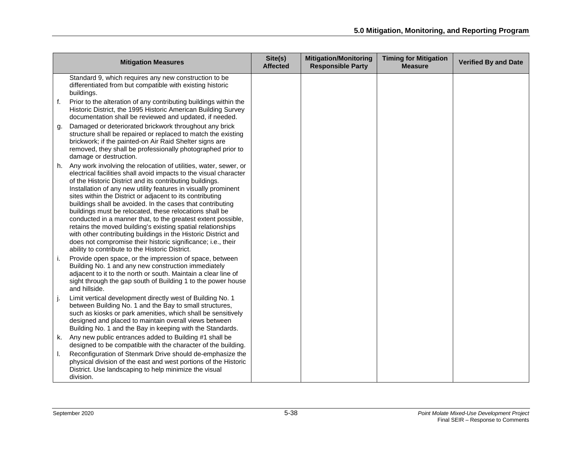| <b>Mitigation Measures</b>                                                                                                                                                                                                                                                                                                                                                                                                                                                                                                                                                                                                                                                                                                                                                       | Site(s)<br><b>Affected</b> | <b>Mitigation/Monitoring</b><br><b>Responsible Party</b> | <b>Timing for Mitigation</b><br><b>Measure</b> | <b>Verified By and Date</b> |
|----------------------------------------------------------------------------------------------------------------------------------------------------------------------------------------------------------------------------------------------------------------------------------------------------------------------------------------------------------------------------------------------------------------------------------------------------------------------------------------------------------------------------------------------------------------------------------------------------------------------------------------------------------------------------------------------------------------------------------------------------------------------------------|----------------------------|----------------------------------------------------------|------------------------------------------------|-----------------------------|
| Standard 9, which requires any new construction to be<br>differentiated from but compatible with existing historic<br>buildings.                                                                                                                                                                                                                                                                                                                                                                                                                                                                                                                                                                                                                                                 |                            |                                                          |                                                |                             |
| f.<br>Prior to the alteration of any contributing buildings within the<br>Historic District, the 1995 Historic American Building Survey<br>documentation shall be reviewed and updated, if needed.                                                                                                                                                                                                                                                                                                                                                                                                                                                                                                                                                                               |                            |                                                          |                                                |                             |
| Damaged or deteriorated brickwork throughout any brick<br>g.<br>structure shall be repaired or replaced to match the existing<br>brickwork; if the painted-on Air Raid Shelter signs are<br>removed, they shall be professionally photographed prior to<br>damage or destruction.                                                                                                                                                                                                                                                                                                                                                                                                                                                                                                |                            |                                                          |                                                |                             |
| h. Any work involving the relocation of utilities, water, sewer, or<br>electrical facilities shall avoid impacts to the visual character<br>of the Historic District and its contributing buildings.<br>Installation of any new utility features in visually prominent<br>sites within the District or adjacent to its contributing<br>buildings shall be avoided. In the cases that contributing<br>buildings must be relocated, these relocations shall be<br>conducted in a manner that, to the greatest extent possible,<br>retains the moved building's existing spatial relationships<br>with other contributing buildings in the Historic District and<br>does not compromise their historic significance; i.e., their<br>ability to contribute to the Historic District. |                            |                                                          |                                                |                             |
| Provide open space, or the impression of space, between<br>i.<br>Building No. 1 and any new construction immediately<br>adjacent to it to the north or south. Maintain a clear line of<br>sight through the gap south of Building 1 to the power house<br>and hillside.                                                                                                                                                                                                                                                                                                                                                                                                                                                                                                          |                            |                                                          |                                                |                             |
| Limit vertical development directly west of Building No. 1<br>between Building No. 1 and the Bay to small structures,<br>such as kiosks or park amenities, which shall be sensitively<br>designed and placed to maintain overall views between<br>Building No. 1 and the Bay in keeping with the Standards.                                                                                                                                                                                                                                                                                                                                                                                                                                                                      |                            |                                                          |                                                |                             |
| Any new public entrances added to Building #1 shall be<br>k.<br>designed to be compatible with the character of the building.                                                                                                                                                                                                                                                                                                                                                                                                                                                                                                                                                                                                                                                    |                            |                                                          |                                                |                             |
| Reconfiguration of Stenmark Drive should de-emphasize the<br>physical division of the east and west portions of the Historic<br>District. Use landscaping to help minimize the visual<br>division.                                                                                                                                                                                                                                                                                                                                                                                                                                                                                                                                                                               |                            |                                                          |                                                |                             |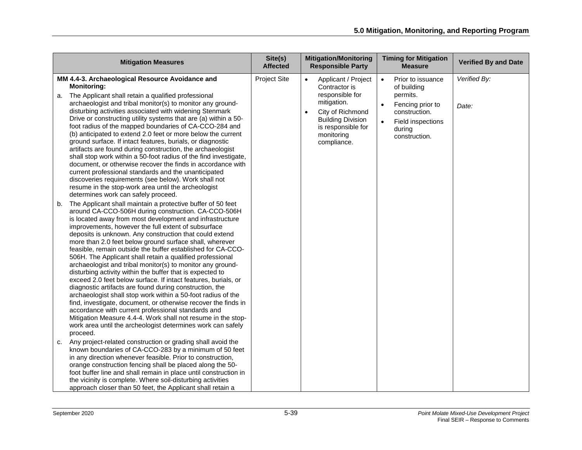| <b>Mitigation Measures</b>                                                                                                                                                                                                                                                                                                                                                                                                                                                                                                                                                                                                                                                                                                                                                                                                                                                                                                                                                                                                                                                               | Site(s)<br><b>Affected</b> | <b>Mitigation/Monitoring</b><br><b>Responsible Party</b>                                                                                                                                            | <b>Timing for Mitigation</b><br><b>Measure</b>                                                                                                                           | <b>Verified By and Date</b> |
|------------------------------------------------------------------------------------------------------------------------------------------------------------------------------------------------------------------------------------------------------------------------------------------------------------------------------------------------------------------------------------------------------------------------------------------------------------------------------------------------------------------------------------------------------------------------------------------------------------------------------------------------------------------------------------------------------------------------------------------------------------------------------------------------------------------------------------------------------------------------------------------------------------------------------------------------------------------------------------------------------------------------------------------------------------------------------------------|----------------------------|-----------------------------------------------------------------------------------------------------------------------------------------------------------------------------------------------------|--------------------------------------------------------------------------------------------------------------------------------------------------------------------------|-----------------------------|
| MM 4.4-3. Archaeological Resource Avoidance and<br><b>Monitoring:</b><br>The Applicant shall retain a qualified professional<br>а.<br>archaeologist and tribal monitor(s) to monitor any ground-<br>disturbing activities associated with widening Stenmark<br>Drive or constructing utility systems that are (a) within a 50-<br>foot radius of the mapped boundaries of CA-CCO-284 and<br>(b) anticipated to extend 2.0 feet or more below the current<br>ground surface. If intact features, burials, or diagnostic<br>artifacts are found during construction, the archaeologist<br>shall stop work within a 50-foot radius of the find investigate,<br>document, or otherwise recover the finds in accordance with<br>current professional standards and the unanticipated<br>discoveries requirements (see below). Work shall not<br>resume in the stop-work area until the archeologist<br>determines work can safely proceed.                                                                                                                                                    | <b>Project Site</b>        | Applicant / Project<br>$\bullet$<br>Contractor is<br>responsible for<br>mitigation.<br>City of Richmond<br>$\bullet$<br><b>Building Division</b><br>is responsible for<br>monitoring<br>compliance. | Prior to issuance<br>$\bullet$<br>of building<br>permits.<br>Fencing prior to<br>$\bullet$<br>construction.<br>Field inspections<br>$\bullet$<br>during<br>construction. | Verified By:<br>Date:       |
| The Applicant shall maintain a protective buffer of 50 feet<br>b.<br>around CA-CCO-506H during construction. CA-CCO-506H<br>is located away from most development and infrastructure<br>improvements, however the full extent of subsurface<br>deposits is unknown. Any construction that could extend<br>more than 2.0 feet below ground surface shall, wherever<br>feasible, remain outside the buffer established for CA-CCO-<br>506H. The Applicant shall retain a qualified professional<br>archaeologist and tribal monitor(s) to monitor any ground-<br>disturbing activity within the buffer that is expected to<br>exceed 2.0 feet below surface. If intact features, burials, or<br>diagnostic artifacts are found during construction, the<br>archaeologist shall stop work within a 50-foot radius of the<br>find, investigate, document, or otherwise recover the finds in<br>accordance with current professional standards and<br>Mitigation Measure 4.4-4. Work shall not resume in the stop-<br>work area until the archeologist determines work can safely<br>proceed. |                            |                                                                                                                                                                                                     |                                                                                                                                                                          |                             |
| Any project-related construction or grading shall avoid the<br>c.<br>known boundaries of CA-CCO-283 by a minimum of 50 feet<br>in any direction whenever feasible. Prior to construction,<br>orange construction fencing shall be placed along the 50-<br>foot buffer line and shall remain in place until construction in<br>the vicinity is complete. Where soil-disturbing activities<br>approach closer than 50 feet, the Applicant shall retain a                                                                                                                                                                                                                                                                                                                                                                                                                                                                                                                                                                                                                                   |                            |                                                                                                                                                                                                     |                                                                                                                                                                          |                             |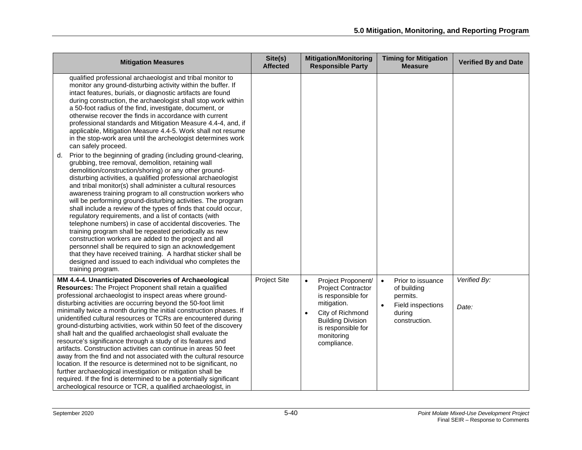| <b>Mitigation Measures</b>                                                                                                                                                                                                                                                                                                                                                                                                                                                                                                                                                                                                                                                                                                                                                                                                                                                                                                                                                                                                                                                                                                                                                                                                                                                                                                                                                                                                                                                                                                                                                      | Site(s)<br><b>Affected</b> | <b>Mitigation/Monitoring</b><br><b>Responsible Party</b>                                                                                                                                                          | <b>Timing for Mitigation</b><br><b>Measure</b>                                                            | <b>Verified By and Date</b> |
|---------------------------------------------------------------------------------------------------------------------------------------------------------------------------------------------------------------------------------------------------------------------------------------------------------------------------------------------------------------------------------------------------------------------------------------------------------------------------------------------------------------------------------------------------------------------------------------------------------------------------------------------------------------------------------------------------------------------------------------------------------------------------------------------------------------------------------------------------------------------------------------------------------------------------------------------------------------------------------------------------------------------------------------------------------------------------------------------------------------------------------------------------------------------------------------------------------------------------------------------------------------------------------------------------------------------------------------------------------------------------------------------------------------------------------------------------------------------------------------------------------------------------------------------------------------------------------|----------------------------|-------------------------------------------------------------------------------------------------------------------------------------------------------------------------------------------------------------------|-----------------------------------------------------------------------------------------------------------|-----------------------------|
| qualified professional archaeologist and tribal monitor to<br>monitor any ground-disturbing activity within the buffer. If<br>intact features, burials, or diagnostic artifacts are found<br>during construction, the archaeologist shall stop work within<br>a 50-foot radius of the find, investigate, document, or<br>otherwise recover the finds in accordance with current<br>professional standards and Mitigation Measure 4.4-4, and, if<br>applicable, Mitigation Measure 4.4-5. Work shall not resume<br>in the stop-work area until the archeologist determines work<br>can safely proceed.<br>Prior to the beginning of grading (including ground-clearing,<br>d.<br>grubbing, tree removal, demolition, retaining wall<br>demolition/construction/shoring) or any other ground-<br>disturbing activities, a qualified professional archaeologist<br>and tribal monitor(s) shall administer a cultural resources<br>awareness training program to all construction workers who<br>will be performing ground-disturbing activities. The program<br>shall include a review of the types of finds that could occur,<br>regulatory requirements, and a list of contacts (with<br>telephone numbers) in case of accidental discoveries. The<br>training program shall be repeated periodically as new<br>construction workers are added to the project and all<br>personnel shall be required to sign an acknowledgement<br>that they have received training. A hardhat sticker shall be<br>designed and issued to each individual who completes the<br>training program. |                            |                                                                                                                                                                                                                   |                                                                                                           |                             |
| MM 4.4-4. Unanticipated Discoveries of Archaeological<br>Resources: The Project Proponent shall retain a qualified<br>professional archaeologist to inspect areas where ground-<br>disturbing activities are occurring beyond the 50-foot limit<br>minimally twice a month during the initial construction phases. If<br>unidentified cultural resources or TCRs are encountered during<br>ground-disturbing activities, work within 50 feet of the discovery<br>shall halt and the qualified archaeologist shall evaluate the<br>resource's significance through a study of its features and<br>artifacts. Construction activities can continue in areas 50 feet<br>away from the find and not associated with the cultural resource<br>location. If the resource is determined not to be significant, no<br>further archaeological investigation or mitigation shall be<br>required. If the find is determined to be a potentially significant<br>archeological resource or TCR, a qualified archaeologist, in                                                                                                                                                                                                                                                                                                                                                                                                                                                                                                                                                                | <b>Project Site</b>        | Project Proponent/<br>$\bullet$<br><b>Project Contractor</b><br>is responsible for<br>mitigation.<br>City of Richmond<br>$\bullet$<br><b>Building Division</b><br>is responsible for<br>monitoring<br>compliance. | $\bullet$<br>Prior to issuance<br>of building<br>permits.<br>Field inspections<br>during<br>construction. | Verified By:<br>Date:       |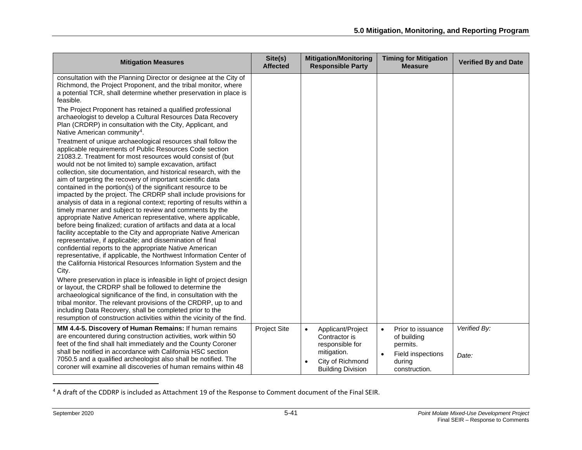<span id="page-40-0"></span>

| <b>Mitigation Measures</b>                                                                                                                                                                                                                                                                                                                                                                                                                                                                                                                                                                                                                                                                                                                                                                                                                                                                                                                                                                                                                                                                                                                                                                                                                                                                                                                                                                                                   | Site(s)<br><b>Affected</b> | <b>Mitigation/Monitoring</b><br><b>Responsible Party</b>                                                                          | <b>Timing for Mitigation</b><br><b>Measure</b>                                                                         | <b>Verified By and Date</b> |
|------------------------------------------------------------------------------------------------------------------------------------------------------------------------------------------------------------------------------------------------------------------------------------------------------------------------------------------------------------------------------------------------------------------------------------------------------------------------------------------------------------------------------------------------------------------------------------------------------------------------------------------------------------------------------------------------------------------------------------------------------------------------------------------------------------------------------------------------------------------------------------------------------------------------------------------------------------------------------------------------------------------------------------------------------------------------------------------------------------------------------------------------------------------------------------------------------------------------------------------------------------------------------------------------------------------------------------------------------------------------------------------------------------------------------|----------------------------|-----------------------------------------------------------------------------------------------------------------------------------|------------------------------------------------------------------------------------------------------------------------|-----------------------------|
| consultation with the Planning Director or designee at the City of<br>Richmond, the Project Proponent, and the tribal monitor, where<br>a potential TCR, shall determine whether preservation in place is<br>feasible.                                                                                                                                                                                                                                                                                                                                                                                                                                                                                                                                                                                                                                                                                                                                                                                                                                                                                                                                                                                                                                                                                                                                                                                                       |                            |                                                                                                                                   |                                                                                                                        |                             |
| The Project Proponent has retained a qualified professional<br>archaeologist to develop a Cultural Resources Data Recovery<br>Plan (CRDRP) in consultation with the City, Applicant, and<br>Native American community <sup>4</sup> .                                                                                                                                                                                                                                                                                                                                                                                                                                                                                                                                                                                                                                                                                                                                                                                                                                                                                                                                                                                                                                                                                                                                                                                         |                            |                                                                                                                                   |                                                                                                                        |                             |
| Treatment of unique archaeological resources shall follow the<br>applicable requirements of Public Resources Code section<br>21083.2. Treatment for most resources would consist of (but<br>would not be not limited to) sample excavation, artifact<br>collection, site documentation, and historical research, with the<br>aim of targeting the recovery of important scientific data<br>contained in the portion(s) of the significant resource to be<br>impacted by the project. The CRDRP shall include provisions for<br>analysis of data in a regional context; reporting of results within a<br>timely manner and subject to review and comments by the<br>appropriate Native American representative, where applicable,<br>before being finalized; curation of artifacts and data at a local<br>facility acceptable to the City and appropriate Native American<br>representative, if applicable; and dissemination of final<br>confidential reports to the appropriate Native American<br>representative, if applicable, the Northwest Information Center of<br>the California Historical Resources Information System and the<br>City.<br>Where preservation in place is infeasible in light of project design<br>or layout, the CRDRP shall be followed to determine the<br>archaeological significance of the find, in consultation with the<br>tribal monitor. The relevant provisions of the CRDRP, up to and |                            |                                                                                                                                   |                                                                                                                        |                             |
| including Data Recovery, shall be completed prior to the<br>resumption of construction activities within the vicinity of the find.                                                                                                                                                                                                                                                                                                                                                                                                                                                                                                                                                                                                                                                                                                                                                                                                                                                                                                                                                                                                                                                                                                                                                                                                                                                                                           |                            |                                                                                                                                   |                                                                                                                        |                             |
| MM 4.4-5. Discovery of Human Remains: If human remains<br>are encountered during construction activities, work within 50<br>feet of the find shall halt immediately and the County Coroner<br>shall be notified in accordance with California HSC section<br>7050.5 and a qualified archeologist also shall be notified. The<br>coroner will examine all discoveries of human remains within 48                                                                                                                                                                                                                                                                                                                                                                                                                                                                                                                                                                                                                                                                                                                                                                                                                                                                                                                                                                                                                              | Project Site               | Applicant/Project<br>$\bullet$<br>Contractor is<br>responsible for<br>mitigation.<br>City of Richmond<br><b>Building Division</b> | Prior to issuance<br>$\bullet$<br>of building<br>permits.<br>$\bullet$<br>Field inspections<br>during<br>construction. | Verified By:<br>Date:       |

<sup>4</sup> A draft of the CDDRP is included as Attachment 19 of the Response to Comment document of the Final SEIR.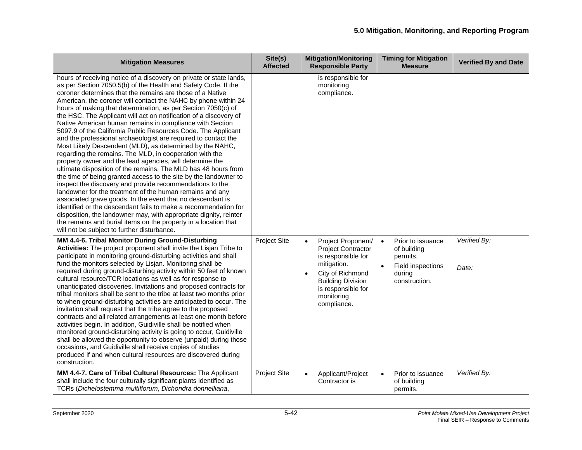| <b>Mitigation Measures</b>                                                                                                                                                                                                                                                                                                                                                                                                                                                                                                                                                                                                                                                                                                                                                                                                                                                                                                                                                                                                                                                                                                                                                                                                                                                                                                                                                         | Site(s)<br><b>Affected</b> | <b>Mitigation/Monitoring</b><br><b>Responsible Party</b>                                                                                                                                                          | <b>Timing for Mitigation</b><br><b>Measure</b>                                                            | <b>Verified By and Date</b> |
|------------------------------------------------------------------------------------------------------------------------------------------------------------------------------------------------------------------------------------------------------------------------------------------------------------------------------------------------------------------------------------------------------------------------------------------------------------------------------------------------------------------------------------------------------------------------------------------------------------------------------------------------------------------------------------------------------------------------------------------------------------------------------------------------------------------------------------------------------------------------------------------------------------------------------------------------------------------------------------------------------------------------------------------------------------------------------------------------------------------------------------------------------------------------------------------------------------------------------------------------------------------------------------------------------------------------------------------------------------------------------------|----------------------------|-------------------------------------------------------------------------------------------------------------------------------------------------------------------------------------------------------------------|-----------------------------------------------------------------------------------------------------------|-----------------------------|
| hours of receiving notice of a discovery on private or state lands,<br>as per Section 7050.5(b) of the Health and Safety Code. If the<br>coroner determines that the remains are those of a Native<br>American, the coroner will contact the NAHC by phone within 24<br>hours of making that determination, as per Section 7050(c) of<br>the HSC. The Applicant will act on notification of a discovery of<br>Native American human remains in compliance with Section<br>5097.9 of the California Public Resources Code. The Applicant<br>and the professional archaeologist are required to contact the<br>Most Likely Descendent (MLD), as determined by the NAHC,<br>regarding the remains. The MLD, in cooperation with the<br>property owner and the lead agencies, will determine the<br>ultimate disposition of the remains. The MLD has 48 hours from<br>the time of being granted access to the site by the landowner to<br>inspect the discovery and provide recommendations to the<br>landowner for the treatment of the human remains and any<br>associated grave goods. In the event that no descendant is<br>identified or the descendant fails to make a recommendation for<br>disposition, the landowner may, with appropriate dignity, reinter<br>the remains and burial items on the property in a location that<br>will not be subject to further disturbance. |                            | is responsible for<br>monitoring<br>compliance.                                                                                                                                                                   |                                                                                                           |                             |
| MM 4.4-6. Tribal Monitor During Ground-Disturbing<br>Activities: The project proponent shall invite the Lisjan Tribe to<br>participate in monitoring ground-disturbing activities and shall<br>fund the monitors selected by Lisjan. Monitoring shall be<br>required during ground-disturbing activity within 50 feet of known<br>cultural resource/TCR locations as well as for response to<br>unanticipated discoveries. Invitations and proposed contracts for<br>tribal monitors shall be sent to the tribe at least two months prior<br>to when ground-disturbing activities are anticipated to occur. The<br>invitation shall request that the tribe agree to the proposed<br>contracts and all related arrangements at least one month before<br>activities begin. In addition, Guidiville shall be notified when<br>monitored ground-disturbing activity is going to occur, Guidiville<br>shall be allowed the opportunity to observe (unpaid) during those<br>occasions, and Guidiville shall receive copies of studies<br>produced if and when cultural resources are discovered during<br>construction.                                                                                                                                                                                                                                                                 | <b>Project Site</b>        | Project Proponent/<br>$\bullet$<br><b>Project Contractor</b><br>is responsible for<br>mitigation.<br>City of Richmond<br>$\bullet$<br><b>Building Division</b><br>is responsible for<br>monitoring<br>compliance. | $\bullet$<br>Prior to issuance<br>of building<br>permits.<br>Field inspections<br>during<br>construction. | Verified By:<br>Date:       |
| MM 4.4-7. Care of Tribal Cultural Resources: The Applicant<br>shall include the four culturally significant plants identified as<br>TCRs (Dichelostemma multiflorum, Dichondra donnelliana,                                                                                                                                                                                                                                                                                                                                                                                                                                                                                                                                                                                                                                                                                                                                                                                                                                                                                                                                                                                                                                                                                                                                                                                        | <b>Project Site</b>        | Applicant/Project<br>$\bullet$<br>Contractor is                                                                                                                                                                   | Prior to issuance<br>$\bullet$<br>of building<br>permits.                                                 | Verified By:                |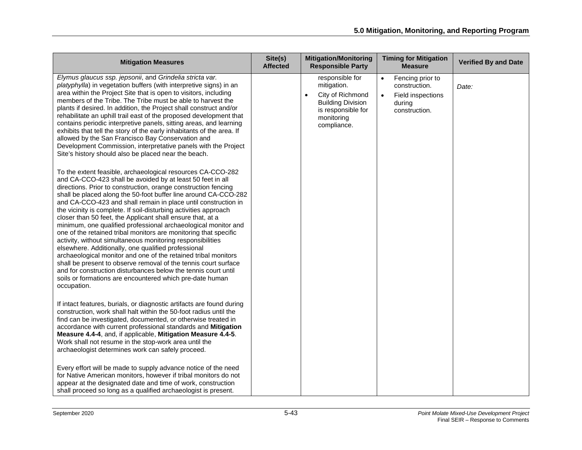| <b>Mitigation Measures</b>                                                                                                                                                                                                                                                                                                                                                                                                                                                                                                                                                                                                                                                                                                                                                                                                                                                                                                                                                                                      | Site(s)<br><b>Affected</b> | <b>Mitigation/Monitoring</b><br><b>Responsible Party</b>                                                                                       | <b>Timing for Mitigation</b><br><b>Measure</b>                                                              | <b>Verified By and Date</b> |
|-----------------------------------------------------------------------------------------------------------------------------------------------------------------------------------------------------------------------------------------------------------------------------------------------------------------------------------------------------------------------------------------------------------------------------------------------------------------------------------------------------------------------------------------------------------------------------------------------------------------------------------------------------------------------------------------------------------------------------------------------------------------------------------------------------------------------------------------------------------------------------------------------------------------------------------------------------------------------------------------------------------------|----------------------------|------------------------------------------------------------------------------------------------------------------------------------------------|-------------------------------------------------------------------------------------------------------------|-----------------------------|
| Elymus glaucus ssp. jepsonii, and Grindelia stricta var.<br>platyphylla) in vegetation buffers (with interpretive signs) in an<br>area within the Project Site that is open to visitors, including<br>members of the Tribe. The Tribe must be able to harvest the<br>plants if desired. In addition, the Project shall construct and/or<br>rehabilitate an uphill trail east of the proposed development that<br>contains periodic interpretive panels, sitting areas, and learning<br>exhibits that tell the story of the early inhabitants of the area. If<br>allowed by the San Francisco Bay Conservation and<br>Development Commission, interpretative panels with the Project<br>Site's history should also be placed near the beach.                                                                                                                                                                                                                                                                     |                            | responsible for<br>mitigation.<br>City of Richmond<br>$\bullet$<br><b>Building Division</b><br>is responsible for<br>monitoring<br>compliance. | Fencing prior to<br>$\bullet$<br>construction.<br>Field inspections<br>$\bullet$<br>during<br>construction. | Date:                       |
| To the extent feasible, archaeological resources CA-CCO-282<br>and CA-CCO-423 shall be avoided by at least 50 feet in all<br>directions. Prior to construction, orange construction fencing<br>shall be placed along the 50-foot buffer line around CA-CCO-282<br>and CA-CCO-423 and shall remain in place until construction in<br>the vicinity is complete. If soil-disturbing activities approach<br>closer than 50 feet, the Applicant shall ensure that, at a<br>minimum, one qualified professional archaeological monitor and<br>one of the retained tribal monitors are monitoring that specific<br>activity, without simultaneous monitoring responsibilities<br>elsewhere. Additionally, one qualified professional<br>archaeological monitor and one of the retained tribal monitors<br>shall be present to observe removal of the tennis court surface<br>and for construction disturbances below the tennis court until<br>soils or formations are encountered which pre-date human<br>occupation. |                            |                                                                                                                                                |                                                                                                             |                             |
| If intact features, burials, or diagnostic artifacts are found during<br>construction, work shall halt within the 50-foot radius until the<br>find can be investigated, documented, or otherwise treated in<br>accordance with current professional standards and Mitigation<br>Measure 4.4-4, and, if applicable, Mitigation Measure 4.4-5.<br>Work shall not resume in the stop-work area until the<br>archaeologist determines work can safely proceed.                                                                                                                                                                                                                                                                                                                                                                                                                                                                                                                                                      |                            |                                                                                                                                                |                                                                                                             |                             |
| Every effort will be made to supply advance notice of the need<br>for Native American monitors, however if tribal monitors do not<br>appear at the designated date and time of work, construction<br>shall proceed so long as a qualified archaeologist is present.                                                                                                                                                                                                                                                                                                                                                                                                                                                                                                                                                                                                                                                                                                                                             |                            |                                                                                                                                                |                                                                                                             |                             |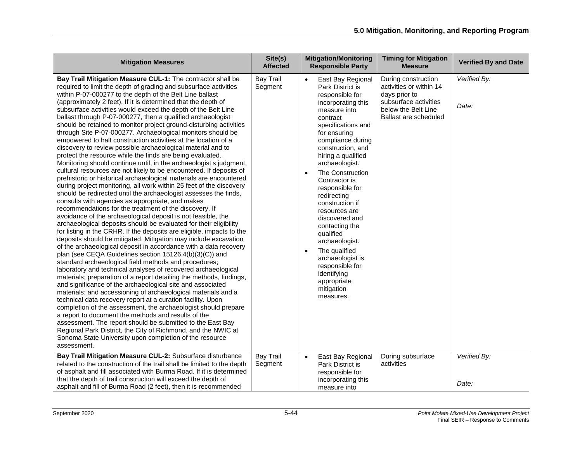| <b>Mitigation Measures</b>                                                                                                                                                                                                                                                                                                                                                                                                                                                                                                                                                                                                                                                                                                                                                                                                                                                                                                                                                                                                                                                                                                                                                                                                                                                                                                                                                                                                                                                                                                                                                                                                                                                                                                                                                                                                                                                                                                                                                                                                                                                                                                                                                                                                                                                                                                                                   | Site(s)<br><b>Affected</b>  | <b>Mitigation/Monitoring</b><br><b>Responsible Party</b>                                                                                                                                                                                                                                                                                                                                                                                                                                                                                                                 | <b>Timing for Mitigation</b><br><b>Measure</b>                                                                                           | <b>Verified By and Date</b> |
|--------------------------------------------------------------------------------------------------------------------------------------------------------------------------------------------------------------------------------------------------------------------------------------------------------------------------------------------------------------------------------------------------------------------------------------------------------------------------------------------------------------------------------------------------------------------------------------------------------------------------------------------------------------------------------------------------------------------------------------------------------------------------------------------------------------------------------------------------------------------------------------------------------------------------------------------------------------------------------------------------------------------------------------------------------------------------------------------------------------------------------------------------------------------------------------------------------------------------------------------------------------------------------------------------------------------------------------------------------------------------------------------------------------------------------------------------------------------------------------------------------------------------------------------------------------------------------------------------------------------------------------------------------------------------------------------------------------------------------------------------------------------------------------------------------------------------------------------------------------------------------------------------------------------------------------------------------------------------------------------------------------------------------------------------------------------------------------------------------------------------------------------------------------------------------------------------------------------------------------------------------------------------------------------------------------------------------------------------------------|-----------------------------|--------------------------------------------------------------------------------------------------------------------------------------------------------------------------------------------------------------------------------------------------------------------------------------------------------------------------------------------------------------------------------------------------------------------------------------------------------------------------------------------------------------------------------------------------------------------------|------------------------------------------------------------------------------------------------------------------------------------------|-----------------------------|
| Bay Trail Mitigation Measure CUL-1: The contractor shall be<br>required to limit the depth of grading and subsurface activities<br>within P-07-000277 to the depth of the Belt Line ballast<br>(approximately 2 feet). If it is determined that the depth of<br>subsurface activities would exceed the depth of the Belt Line<br>ballast through P-07-000277, then a qualified archaeologist<br>should be retained to monitor project ground-disturbing activities<br>through Site P-07-000277. Archaeological monitors should be<br>empowered to halt construction activities at the location of a<br>discovery to review possible archaeological material and to<br>protect the resource while the finds are being evaluated.<br>Monitoring should continue until, in the archaeologist's judgment,<br>cultural resources are not likely to be encountered. If deposits of<br>prehistoric or historical archaeological materials are encountered<br>during project monitoring, all work within 25 feet of the discovery<br>should be redirected until the archaeologist assesses the finds,<br>consults with agencies as appropriate, and makes<br>recommendations for the treatment of the discovery. If<br>avoidance of the archaeological deposit is not feasible, the<br>archaeological deposits should be evaluated for their eligibility<br>for listing in the CRHR. If the deposits are eligible, impacts to the<br>deposits should be mitigated. Mitigation may include excavation<br>of the archaeological deposit in accordance with a data recovery<br>plan (see CEQA Guidelines section 15126.4(b)(3)(C)) and<br>standard archaeological field methods and procedures;<br>laboratory and technical analyses of recovered archaeological<br>materials; preparation of a report detailing the methods, findings,<br>and significance of the archaeological site and associated<br>materials; and accessioning of archaeological materials and a<br>technical data recovery report at a curation facility. Upon<br>completion of the assessment, the archaeologist should prepare<br>a report to document the methods and results of the<br>assessment. The report should be submitted to the East Bay<br>Regional Park District, the City of Richmond, and the NWIC at<br>Sonoma State University upon completion of the resource<br>assessment. | <b>Bay Trail</b><br>Segment | East Bay Regional<br>$\bullet$<br>Park District is<br>responsible for<br>incorporating this<br>measure into<br>contract<br>specifications and<br>for ensuring<br>compliance during<br>construction, and<br>hiring a qualified<br>archaeologist.<br>The Construction<br>$\bullet$<br>Contractor is<br>responsible for<br>redirecting<br>construction if<br>resources are<br>discovered and<br>contacting the<br>qualified<br>archaeologist.<br>The qualified<br>$\bullet$<br>archaeologist is<br>responsible for<br>identifying<br>appropriate<br>mitigation<br>measures. | During construction<br>activities or within 14<br>days prior to<br>subsurface activities<br>below the Belt Line<br>Ballast are scheduled | Verified By:<br>Date:       |
| Bay Trail Mitigation Measure CUL-2: Subsurface disturbance<br>related to the construction of the trail shall be limited to the depth<br>of asphalt and fill associated with Burma Road. If it is determined<br>that the depth of trail construction will exceed the depth of<br>asphalt and fill of Burma Road (2 feet), then it is recommended                                                                                                                                                                                                                                                                                                                                                                                                                                                                                                                                                                                                                                                                                                                                                                                                                                                                                                                                                                                                                                                                                                                                                                                                                                                                                                                                                                                                                                                                                                                                                                                                                                                                                                                                                                                                                                                                                                                                                                                                              | <b>Bay Trail</b><br>Segment | East Bay Regional<br>$\bullet$<br>Park District is<br>responsible for<br>incorporating this<br>measure into                                                                                                                                                                                                                                                                                                                                                                                                                                                              | During subsurface<br>activities                                                                                                          | Verified By:<br>Date:       |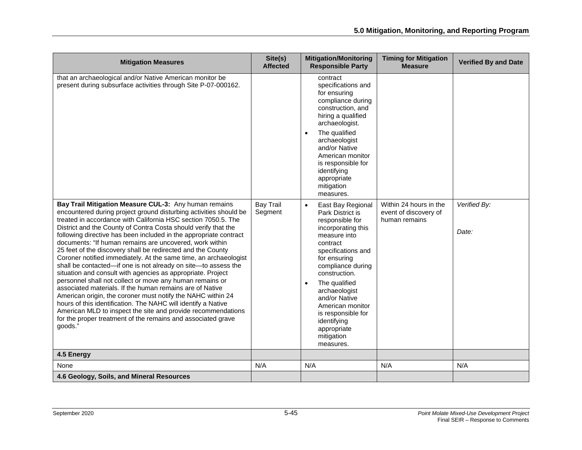| <b>Mitigation Measures</b>                                                                                                                                                                                                                                                                                                                                                                                                                                                                                                                                                                                                                                                                                                                                                                                                                                                                                                                                                                                                                                           | Site(s)<br><b>Affected</b>  | <b>Mitigation/Monitoring</b><br><b>Responsible Party</b>                                                                                                                                                                                                                                                                                                               | <b>Timing for Mitigation</b><br><b>Measure</b>                   | <b>Verified By and Date</b> |
|----------------------------------------------------------------------------------------------------------------------------------------------------------------------------------------------------------------------------------------------------------------------------------------------------------------------------------------------------------------------------------------------------------------------------------------------------------------------------------------------------------------------------------------------------------------------------------------------------------------------------------------------------------------------------------------------------------------------------------------------------------------------------------------------------------------------------------------------------------------------------------------------------------------------------------------------------------------------------------------------------------------------------------------------------------------------|-----------------------------|------------------------------------------------------------------------------------------------------------------------------------------------------------------------------------------------------------------------------------------------------------------------------------------------------------------------------------------------------------------------|------------------------------------------------------------------|-----------------------------|
| that an archaeological and/or Native American monitor be<br>present during subsurface activities through Site P-07-000162.                                                                                                                                                                                                                                                                                                                                                                                                                                                                                                                                                                                                                                                                                                                                                                                                                                                                                                                                           |                             | contract<br>specifications and<br>for ensuring<br>compliance during<br>construction, and<br>hiring a qualified<br>archaeologist.<br>The qualified<br>$\bullet$<br>archaeologist<br>and/or Native<br>American monitor<br>is responsible for<br>identifying<br>appropriate<br>mitigation<br>measures.                                                                    |                                                                  |                             |
| Bay Trail Mitigation Measure CUL-3: Any human remains<br>encountered during project ground disturbing activities should be<br>treated in accordance with California HSC section 7050.5. The<br>District and the County of Contra Costa should verify that the<br>following directive has been included in the appropriate contract<br>documents: "If human remains are uncovered, work within<br>25 feet of the discovery shall be redirected and the County<br>Coroner notified immediately. At the same time, an archaeologist<br>shall be contacted-if one is not already on site-to assess the<br>situation and consult with agencies as appropriate. Project<br>personnel shall not collect or move any human remains or<br>associated materials. If the human remains are of Native<br>American origin, the coroner must notify the NAHC within 24<br>hours of this identification. The NAHC will identify a Native<br>American MLD to inspect the site and provide recommendations<br>for the proper treatment of the remains and associated grave<br>goods." | <b>Bay Trail</b><br>Segment | East Bay Regional<br>$\bullet$<br>Park District is<br>responsible for<br>incorporating this<br>measure into<br>contract<br>specifications and<br>for ensuring<br>compliance during<br>construction.<br>The qualified<br>$\bullet$<br>archaeologist<br>and/or Native<br>American monitor<br>is responsible for<br>identifying<br>appropriate<br>mitigation<br>measures. | Within 24 hours in the<br>event of discovery of<br>human remains | Verified By:<br>Date:       |
| 4.5 Energy                                                                                                                                                                                                                                                                                                                                                                                                                                                                                                                                                                                                                                                                                                                                                                                                                                                                                                                                                                                                                                                           |                             |                                                                                                                                                                                                                                                                                                                                                                        |                                                                  |                             |
| None                                                                                                                                                                                                                                                                                                                                                                                                                                                                                                                                                                                                                                                                                                                                                                                                                                                                                                                                                                                                                                                                 | N/A                         | N/A                                                                                                                                                                                                                                                                                                                                                                    | N/A                                                              | N/A                         |
| 4.6 Geology, Soils, and Mineral Resources                                                                                                                                                                                                                                                                                                                                                                                                                                                                                                                                                                                                                                                                                                                                                                                                                                                                                                                                                                                                                            |                             |                                                                                                                                                                                                                                                                                                                                                                        |                                                                  |                             |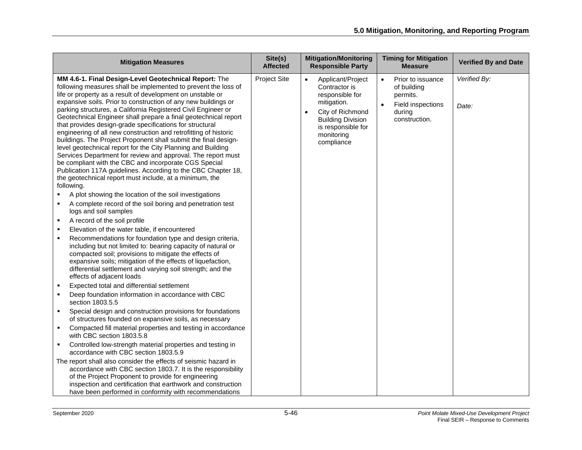| <b>Mitigation Measures</b>                                                                                                                                                                                                                                                                                                                                                                                                                                                                                                                                                                                                                                                                                                     | Site(s)<br><b>Affected</b> | <b>Mitigation/Monitoring</b><br><b>Responsible Party</b>                                                                                                               | <b>Timing for Mitigation</b><br><b>Measure</b>                                                            | <b>Verified By and Date</b> |
|--------------------------------------------------------------------------------------------------------------------------------------------------------------------------------------------------------------------------------------------------------------------------------------------------------------------------------------------------------------------------------------------------------------------------------------------------------------------------------------------------------------------------------------------------------------------------------------------------------------------------------------------------------------------------------------------------------------------------------|----------------------------|------------------------------------------------------------------------------------------------------------------------------------------------------------------------|-----------------------------------------------------------------------------------------------------------|-----------------------------|
| MM 4.6-1. Final Design-Level Geotechnical Report: The<br>following measures shall be implemented to prevent the loss of<br>life or property as a result of development on unstable or<br>expansive soils. Prior to construction of any new buildings or<br>parking structures, a California Registered Civil Engineer or<br>Geotechnical Engineer shall prepare a final geotechnical report<br>that provides design-grade specifications for structural<br>engineering of all new construction and retrofitting of historic<br>buildings. The Project Proponent shall submit the final design-<br>level geotechnical report for the City Planning and Building<br>Services Department for review and approval. The report must | <b>Project Site</b>        | Applicant/Project<br>Contractor is<br>responsible for<br>mitigation.<br>City of Richmond<br><b>Building Division</b><br>is responsible for<br>monitoring<br>compliance | Prior to issuance<br>$\bullet$<br>of building<br>permits.<br>Field inspections<br>during<br>construction. | Verified By:<br>Date:       |
| be compliant with the CBC and incorporate CGS Special<br>Publication 117A guidelines. According to the CBC Chapter 18,<br>the geotechnical report must include, at a minimum, the<br>following.                                                                                                                                                                                                                                                                                                                                                                                                                                                                                                                                |                            |                                                                                                                                                                        |                                                                                                           |                             |
| A plot showing the location of the soil investigations<br>A complete record of the soil boring and penetration test                                                                                                                                                                                                                                                                                                                                                                                                                                                                                                                                                                                                            |                            |                                                                                                                                                                        |                                                                                                           |                             |
| logs and soil samples                                                                                                                                                                                                                                                                                                                                                                                                                                                                                                                                                                                                                                                                                                          |                            |                                                                                                                                                                        |                                                                                                           |                             |
| A record of the soil profile                                                                                                                                                                                                                                                                                                                                                                                                                                                                                                                                                                                                                                                                                                   |                            |                                                                                                                                                                        |                                                                                                           |                             |
| Elevation of the water table, if encountered                                                                                                                                                                                                                                                                                                                                                                                                                                                                                                                                                                                                                                                                                   |                            |                                                                                                                                                                        |                                                                                                           |                             |
| Recommendations for foundation type and design criteria,<br>including but not limited to: bearing capacity of natural or<br>compacted soil; provisions to mitigate the effects of<br>expansive soils; mitigation of the effects of liquefaction,<br>differential settlement and varying soil strength; and the<br>effects of adjacent loads                                                                                                                                                                                                                                                                                                                                                                                    |                            |                                                                                                                                                                        |                                                                                                           |                             |
| Expected total and differential settlement                                                                                                                                                                                                                                                                                                                                                                                                                                                                                                                                                                                                                                                                                     |                            |                                                                                                                                                                        |                                                                                                           |                             |
| Deep foundation information in accordance with CBC<br>$\blacksquare$<br>section 1803.5.5                                                                                                                                                                                                                                                                                                                                                                                                                                                                                                                                                                                                                                       |                            |                                                                                                                                                                        |                                                                                                           |                             |
| Special design and construction provisions for foundations<br>$\blacksquare$<br>of structures founded on expansive soils, as necessary                                                                                                                                                                                                                                                                                                                                                                                                                                                                                                                                                                                         |                            |                                                                                                                                                                        |                                                                                                           |                             |
| Compacted fill material properties and testing in accordance<br>with CBC section 1803.5.8                                                                                                                                                                                                                                                                                                                                                                                                                                                                                                                                                                                                                                      |                            |                                                                                                                                                                        |                                                                                                           |                             |
| Controlled low-strength material properties and testing in<br>accordance with CBC section 1803.5.9                                                                                                                                                                                                                                                                                                                                                                                                                                                                                                                                                                                                                             |                            |                                                                                                                                                                        |                                                                                                           |                             |
| The report shall also consider the effects of seismic hazard in<br>accordance with CBC section 1803.7. It is the responsibility<br>of the Project Proponent to provide for engineering<br>inspection and certification that earthwork and construction<br>have been performed in conformity with recommendations                                                                                                                                                                                                                                                                                                                                                                                                               |                            |                                                                                                                                                                        |                                                                                                           |                             |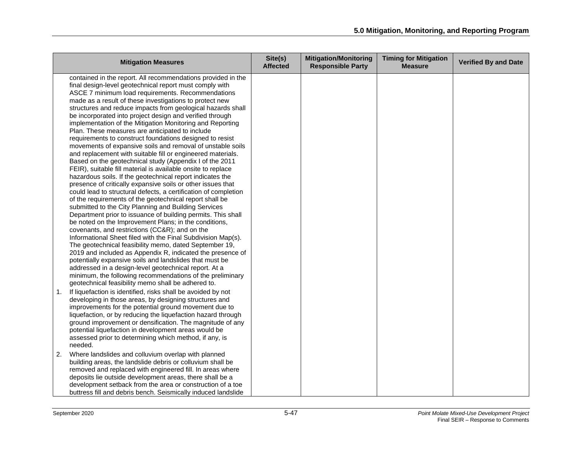|    | <b>Mitigation Measures</b>                                                                                                                                                                                                                                                                                                                                                                                                                                                                                                                                                                                                                                                                                                                                                                                                                                                                                                                                                                                                                                                                                                                                                                                                                                                                                                                                                                                                                                                                                                                                                                                                                                                                                                         | Site(s)<br><b>Affected</b> | <b>Mitigation/Monitoring</b><br><b>Responsible Party</b> | <b>Timing for Mitigation</b><br><b>Measure</b> | <b>Verified By and Date</b> |
|----|------------------------------------------------------------------------------------------------------------------------------------------------------------------------------------------------------------------------------------------------------------------------------------------------------------------------------------------------------------------------------------------------------------------------------------------------------------------------------------------------------------------------------------------------------------------------------------------------------------------------------------------------------------------------------------------------------------------------------------------------------------------------------------------------------------------------------------------------------------------------------------------------------------------------------------------------------------------------------------------------------------------------------------------------------------------------------------------------------------------------------------------------------------------------------------------------------------------------------------------------------------------------------------------------------------------------------------------------------------------------------------------------------------------------------------------------------------------------------------------------------------------------------------------------------------------------------------------------------------------------------------------------------------------------------------------------------------------------------------|----------------------------|----------------------------------------------------------|------------------------------------------------|-----------------------------|
|    | contained in the report. All recommendations provided in the<br>final design-level geotechnical report must comply with<br>ASCE 7 minimum load requirements. Recommendations<br>made as a result of these investigations to protect new<br>structures and reduce impacts from geological hazards shall<br>be incorporated into project design and verified through<br>implementation of the Mitigation Monitoring and Reporting<br>Plan. These measures are anticipated to include<br>requirements to construct foundations designed to resist<br>movements of expansive soils and removal of unstable soils<br>and replacement with suitable fill or engineered materials.<br>Based on the geotechnical study (Appendix I of the 2011<br>FEIR), suitable fill material is available onsite to replace<br>hazardous soils. If the geotechnical report indicates the<br>presence of critically expansive soils or other issues that<br>could lead to structural defects, a certification of completion<br>of the requirements of the geotechnical report shall be<br>submitted to the City Planning and Building Services<br>Department prior to issuance of building permits. This shall<br>be noted on the Improvement Plans; in the conditions,<br>covenants, and restrictions (CC&R); and on the<br>Informational Sheet filed with the Final Subdivision Map(s).<br>The geotechnical feasibility memo, dated September 19,<br>2019 and included as Appendix R, indicated the presence of<br>potentially expansive soils and landslides that must be<br>addressed in a design-level geotechnical report. At a<br>minimum, the following recommendations of the preliminary<br>geotechnical feasibility memo shall be adhered to. |                            |                                                          |                                                |                             |
| 1. | If liquefaction is identified, risks shall be avoided by not<br>developing in those areas, by designing structures and<br>improvements for the potential ground movement due to<br>liquefaction, or by reducing the liquefaction hazard through<br>ground improvement or densification. The magnitude of any<br>potential liquefaction in development areas would be<br>assessed prior to determining which method, if any, is<br>needed.                                                                                                                                                                                                                                                                                                                                                                                                                                                                                                                                                                                                                                                                                                                                                                                                                                                                                                                                                                                                                                                                                                                                                                                                                                                                                          |                            |                                                          |                                                |                             |
| 2. | Where landslides and colluvium overlap with planned<br>building areas, the landslide debris or colluvium shall be<br>removed and replaced with engineered fill. In areas where<br>deposits lie outside development areas, there shall be a<br>development setback from the area or construction of a toe<br>buttress fill and debris bench. Seismically induced landslide                                                                                                                                                                                                                                                                                                                                                                                                                                                                                                                                                                                                                                                                                                                                                                                                                                                                                                                                                                                                                                                                                                                                                                                                                                                                                                                                                          |                            |                                                          |                                                |                             |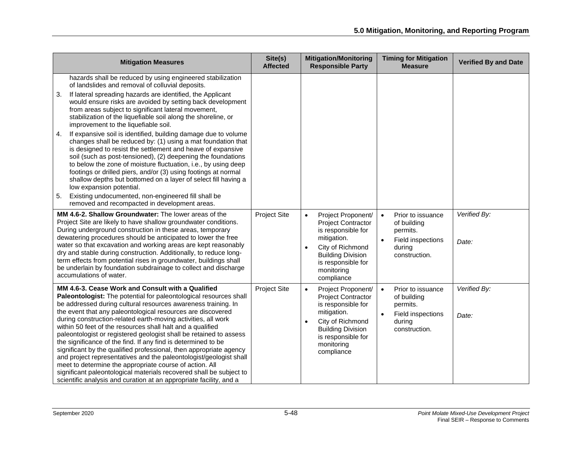| <b>Mitigation Measures</b>                                                                                                                                                                                                                                                                                                                                                                                                                                                                                                                                                                                                                                                                                                                                                                                                                                                                                                                                                                                                              | Site(s)<br><b>Affected</b> | <b>Mitigation/Monitoring</b><br><b>Responsible Party</b>                                                                                                                                                         | <b>Timing for Mitigation</b><br><b>Measure</b>                                                            | <b>Verified By and Date</b> |
|-----------------------------------------------------------------------------------------------------------------------------------------------------------------------------------------------------------------------------------------------------------------------------------------------------------------------------------------------------------------------------------------------------------------------------------------------------------------------------------------------------------------------------------------------------------------------------------------------------------------------------------------------------------------------------------------------------------------------------------------------------------------------------------------------------------------------------------------------------------------------------------------------------------------------------------------------------------------------------------------------------------------------------------------|----------------------------|------------------------------------------------------------------------------------------------------------------------------------------------------------------------------------------------------------------|-----------------------------------------------------------------------------------------------------------|-----------------------------|
| hazards shall be reduced by using engineered stabilization<br>of landslides and removal of colluvial deposits.<br>If lateral spreading hazards are identified, the Applicant<br>3.<br>would ensure risks are avoided by setting back development<br>from areas subject to significant lateral movement,<br>stabilization of the liquefiable soil along the shoreline, or<br>improvement to the liquefiable soil.<br>If expansive soil is identified, building damage due to volume<br>4.<br>changes shall be reduced by: (1) using a mat foundation that<br>is designed to resist the settlement and heave of expansive<br>soil (such as post-tensioned), (2) deepening the foundations<br>to below the zone of moisture fluctuation, i.e., by using deep<br>footings or drilled piers, and/or (3) using footings at normal<br>shallow depths but bottomed on a layer of select fill having a<br>low expansion potential.<br>Existing undocumented, non-engineered fill shall be<br>5.<br>removed and recompacted in development areas. |                            |                                                                                                                                                                                                                  |                                                                                                           |                             |
| MM 4.6-2. Shallow Groundwater: The lower areas of the<br>Project Site are likely to have shallow groundwater conditions.<br>During underground construction in these areas, temporary<br>dewatering procedures should be anticipated to lower the free<br>water so that excavation and working areas are kept reasonably<br>dry and stable during construction. Additionally, to reduce long-<br>term effects from potential rises in groundwater, buildings shall<br>be underlain by foundation subdrainage to collect and discharge<br>accumulations of water.                                                                                                                                                                                                                                                                                                                                                                                                                                                                        | <b>Project Site</b>        | Project Proponent/<br>$\bullet$<br><b>Project Contractor</b><br>is responsible for<br>mitigation.<br>City of Richmond<br><b>Building Division</b><br>is responsible for<br>monitoring<br>compliance              | Prior to issuance<br>$\bullet$<br>of building<br>permits.<br>Field inspections<br>during<br>construction. | Verified By:<br>Date:       |
| MM 4.6-3. Cease Work and Consult with a Qualified<br>Paleontologist: The potential for paleontological resources shall<br>be addressed during cultural resources awareness training. In<br>the event that any paleontological resources are discovered<br>during construction-related earth-moving activities, all work<br>within 50 feet of the resources shall halt and a qualified<br>paleontologist or registered geologist shall be retained to assess<br>the significance of the find. If any find is determined to be<br>significant by the qualified professional, then appropriate agency<br>and project representatives and the paleontologist/geologist shall<br>meet to determine the appropriate course of action. All<br>significant paleontological materials recovered shall be subject to<br>scientific analysis and curation at an appropriate facility, and a                                                                                                                                                        | <b>Project Site</b>        | Project Proponent/<br>$\bullet$<br><b>Project Contractor</b><br>is responsible for<br>mitigation.<br>City of Richmond<br>$\bullet$<br><b>Building Division</b><br>is responsible for<br>monitoring<br>compliance | Prior to issuance<br>$\bullet$<br>of building<br>permits.<br>Field inspections<br>during<br>construction. | Verified By:<br>Date:       |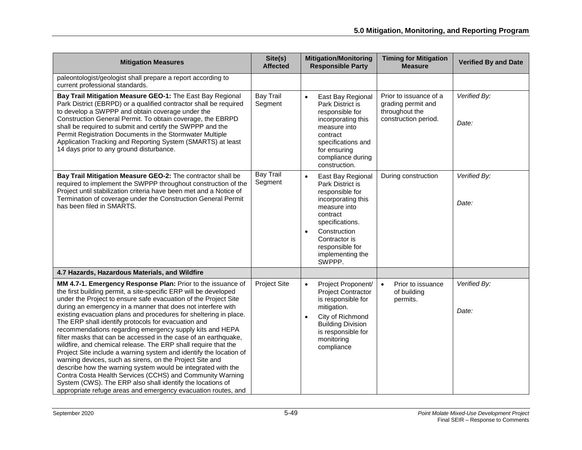| <b>Mitigation Measures</b>                                                                                                                                                                                                                                                                                                                                                                                                                                                                                                                                                                                                                                                                                                                                                                                                                                                                                                                                                                    | Site(s)<br><b>Affected</b>  | <b>Mitigation/Monitoring</b><br><b>Responsible Party</b>                                                                                                                                                                     | <b>Timing for Mitigation</b><br><b>Measure</b>                                         | <b>Verified By and Date</b> |
|-----------------------------------------------------------------------------------------------------------------------------------------------------------------------------------------------------------------------------------------------------------------------------------------------------------------------------------------------------------------------------------------------------------------------------------------------------------------------------------------------------------------------------------------------------------------------------------------------------------------------------------------------------------------------------------------------------------------------------------------------------------------------------------------------------------------------------------------------------------------------------------------------------------------------------------------------------------------------------------------------|-----------------------------|------------------------------------------------------------------------------------------------------------------------------------------------------------------------------------------------------------------------------|----------------------------------------------------------------------------------------|-----------------------------|
| paleontologist/geologist shall prepare a report according to<br>current professional standards.                                                                                                                                                                                                                                                                                                                                                                                                                                                                                                                                                                                                                                                                                                                                                                                                                                                                                               |                             |                                                                                                                                                                                                                              |                                                                                        |                             |
| Bay Trail Mitigation Measure GEO-1: The East Bay Regional<br>Park District (EBRPD) or a qualified contractor shall be required<br>to develop a SWPPP and obtain coverage under the<br>Construction General Permit. To obtain coverage, the EBRPD<br>shall be required to submit and certify the SWPPP and the<br>Permit Registration Documents in the Stormwater Multiple<br>Application Tracking and Reporting System (SMARTS) at least<br>14 days prior to any ground disturbance.                                                                                                                                                                                                                                                                                                                                                                                                                                                                                                          | <b>Bay Trail</b><br>Segment | $\bullet$<br>East Bay Regional<br>Park District is<br>responsible for<br>incorporating this<br>measure into<br>contract<br>specifications and<br>for ensuring<br>compliance during<br>construction.                          | Prior to issuance of a<br>grading permit and<br>throughout the<br>construction period. | Verified By:<br>Date:       |
| Bay Trail Mitigation Measure GEO-2: The contractor shall be<br>required to implement the SWPPP throughout construction of the<br>Project until stabilization criteria have been met and a Notice of<br>Termination of coverage under the Construction General Permit<br>has been filed in SMARTS.                                                                                                                                                                                                                                                                                                                                                                                                                                                                                                                                                                                                                                                                                             | <b>Bay Trail</b><br>Segment | East Bay Regional<br>Park District is<br>responsible for<br>incorporating this<br>measure into<br>contract<br>specifications.<br>Construction<br>$\bullet$<br>Contractor is<br>responsible for<br>implementing the<br>SWPPP. | During construction                                                                    | Verified By:<br>Date:       |
| 4.7 Hazards, Hazardous Materials, and Wildfire                                                                                                                                                                                                                                                                                                                                                                                                                                                                                                                                                                                                                                                                                                                                                                                                                                                                                                                                                |                             |                                                                                                                                                                                                                              |                                                                                        |                             |
| MM 4.7-1. Emergency Response Plan: Prior to the issuance of<br>the first building permit, a site-specific ERP will be developed<br>under the Project to ensure safe evacuation of the Project Site<br>during an emergency in a manner that does not interfere with<br>existing evacuation plans and procedures for sheltering in place.<br>The ERP shall identify protocols for evacuation and<br>recommendations regarding emergency supply kits and HEPA<br>filter masks that can be accessed in the case of an earthquake,<br>wildfire, and chemical release. The ERP shall require that the<br>Project Site include a warning system and identify the location of<br>warning devices, such as sirens, on the Project Site and<br>describe how the warning system would be integrated with the<br>Contra Costa Health Services (CCHS) and Community Warning<br>System (CWS). The ERP also shall identify the locations of<br>appropriate refuge areas and emergency evacuation routes, and | <b>Project Site</b>         | Project Proponent/<br>$\bullet$<br><b>Project Contractor</b><br>is responsible for<br>mitigation.<br>City of Richmond<br>$\bullet$<br><b>Building Division</b><br>is responsible for<br>monitoring<br>compliance             | $\bullet$<br>Prior to issuance<br>of building<br>permits.                              | Verified By:<br>Date:       |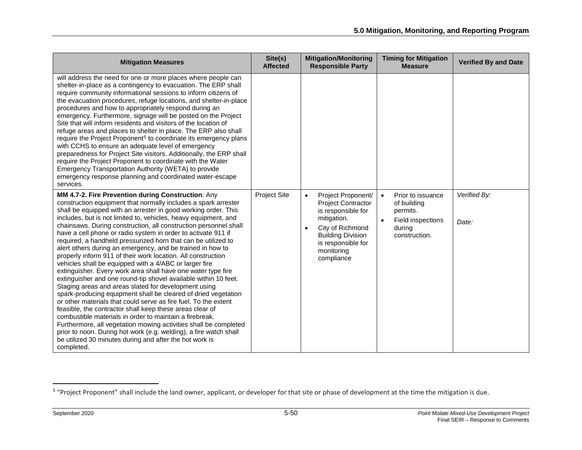<span id="page-49-0"></span>

| <b>Mitigation Measures</b>                                                                                                                                                                                                                                                                                                                                                                                                                                                                                                                                                                                                                                                                                                                                                                                                                                                                                                                                                                                                                                                                                                                                                                                                                                                                                                       | Site(s)<br><b>Affected</b> | <b>Mitigation/Monitoring</b><br><b>Responsible Party</b>                                                                                                                                                         | <b>Timing for Mitigation</b><br><b>Measure</b>                                                                         | <b>Verified By and Date</b> |
|----------------------------------------------------------------------------------------------------------------------------------------------------------------------------------------------------------------------------------------------------------------------------------------------------------------------------------------------------------------------------------------------------------------------------------------------------------------------------------------------------------------------------------------------------------------------------------------------------------------------------------------------------------------------------------------------------------------------------------------------------------------------------------------------------------------------------------------------------------------------------------------------------------------------------------------------------------------------------------------------------------------------------------------------------------------------------------------------------------------------------------------------------------------------------------------------------------------------------------------------------------------------------------------------------------------------------------|----------------------------|------------------------------------------------------------------------------------------------------------------------------------------------------------------------------------------------------------------|------------------------------------------------------------------------------------------------------------------------|-----------------------------|
| will address the need for one or more places where people can<br>shelter-in-place as a contingency to evacuation. The ERP shall<br>require community informational sessions to inform citizens of<br>the evacuation procedures, refuge locations, and shelter-in-place<br>procedures and how to appropriately respond during an<br>emergency. Furthermore, signage will be posted on the Project<br>Site that will inform residents and visitors of the location of<br>refuge areas and places to shelter in place. The ERP also shall<br>require the Project Proponent <sup>5</sup> to coordinate its emergency plans<br>with CCHS to ensure an adequate level of emergency<br>preparedness for Project Site visitors. Additionally, the ERP shall<br>require the Project Proponent to coordinate with the Water<br>Emergency Transportation Authority (WETA) to provide<br>emergency response planning and coordinated water-escape<br>services.                                                                                                                                                                                                                                                                                                                                                                               |                            |                                                                                                                                                                                                                  |                                                                                                                        |                             |
| MM 4.7-2. Fire Prevention during Construction: Any<br>construction equipment that normally includes a spark arrester<br>shall be equipped with an arrester in good working order. This<br>includes, but is not limited to, vehicles, heavy equipment, and<br>chainsaws. During construction, all construction personnel shall<br>have a cell phone or radio system in order to activate 911 if<br>required, a handheld pressurized horn that can be utilized to<br>alert others during an emergency, and be trained in how to<br>properly inform 911 of their work location. All construction<br>vehicles shall be equipped with a 4/ABC or larger fire<br>extinguisher. Every work area shall have one water type fire<br>extinguisher and one round-tip shovel available within 10 feet.<br>Staging areas and areas slated for development using<br>spark-producing equipment shall be cleared of dried vegetation<br>or other materials that could serve as fire fuel. To the extent<br>feasible, the contractor shall keep these areas clear of<br>combustible materials in order to maintain a firebreak.<br>Furthermore, all vegetation mowing activities shall be completed<br>prior to noon. During hot work (e.g. welding), a fire watch shall<br>be utilized 30 minutes during and after the hot work is<br>completed. | Project Site               | Project Proponent/<br>$\bullet$<br><b>Project Contractor</b><br>is responsible for<br>mitigation.<br>City of Richmond<br>$\bullet$<br><b>Building Division</b><br>is responsible for<br>monitoring<br>compliance | Prior to issuance<br>$\bullet$<br>of building<br>permits.<br>Field inspections<br>$\bullet$<br>during<br>construction. | Verified By:<br>Date:       |

<sup>&</sup>lt;sup>5</sup> "Project Proponent" shall include the land owner, applicant, or developer for that site or phase of development at the time the mitigation is due.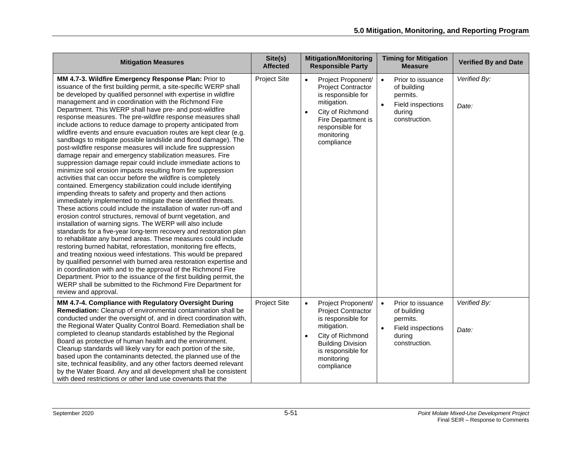| <b>Mitigation Measures</b>                                                                                                                                                                                                                                                                                                                                                                                                                                                                                                                                                                                                                                                                                                                                                                                                                                                                                                                                                                                                                                                                                                                                                                                                                                                                                                                                                                                                                                                                                                                                                                                                                                                                                                                                                                                                                                                                            | Site(s)<br><b>Affected</b> | <b>Mitigation/Monitoring</b><br><b>Responsible Party</b>                                                                                                                                                         | <b>Timing for Mitigation</b><br><b>Measure</b>                                                                         | <b>Verified By and Date</b> |
|-------------------------------------------------------------------------------------------------------------------------------------------------------------------------------------------------------------------------------------------------------------------------------------------------------------------------------------------------------------------------------------------------------------------------------------------------------------------------------------------------------------------------------------------------------------------------------------------------------------------------------------------------------------------------------------------------------------------------------------------------------------------------------------------------------------------------------------------------------------------------------------------------------------------------------------------------------------------------------------------------------------------------------------------------------------------------------------------------------------------------------------------------------------------------------------------------------------------------------------------------------------------------------------------------------------------------------------------------------------------------------------------------------------------------------------------------------------------------------------------------------------------------------------------------------------------------------------------------------------------------------------------------------------------------------------------------------------------------------------------------------------------------------------------------------------------------------------------------------------------------------------------------------|----------------------------|------------------------------------------------------------------------------------------------------------------------------------------------------------------------------------------------------------------|------------------------------------------------------------------------------------------------------------------------|-----------------------------|
| MM 4.7-3. Wildfire Emergency Response Plan: Prior to<br>issuance of the first building permit, a site-specific WERP shall<br>be developed by qualified personnel with expertise in wildfire<br>management and in coordination with the Richmond Fire<br>Department. This WERP shall have pre- and post-wildfire<br>response measures. The pre-wildfire response measures shall<br>include actions to reduce damage to property anticipated from<br>wildfire events and ensure evacuation routes are kept clear (e.g.<br>sandbags to mitigate possible landslide and flood damage). The<br>post-wildfire response measures will include fire suppression<br>damage repair and emergency stabilization measures. Fire<br>suppression damage repair could include immediate actions to<br>minimize soil erosion impacts resulting from fire suppression<br>activities that can occur before the wildfire is completely<br>contained. Emergency stabilization could include identifying<br>impending threats to safety and property and then actions<br>immediately implemented to mitigate these identified threats.<br>These actions could include the installation of water run-off and<br>erosion control structures, removal of burnt vegetation, and<br>installation of warning signs. The WERP will also include<br>standards for a five-year long-term recovery and restoration plan<br>to rehabilitate any burned areas. These measures could include<br>restoring burned habitat, reforestation, monitoring fire effects,<br>and treating noxious weed infestations. This would be prepared<br>by qualified personnel with burned area restoration expertise and<br>in coordination with and to the approval of the Richmond Fire<br>Department. Prior to the issuance of the first building permit, the<br>WERP shall be submitted to the Richmond Fire Department for<br>review and approval. | <b>Project Site</b>        | Project Proponent/<br>$\bullet$<br><b>Project Contractor</b><br>is responsible for<br>mitigation.<br>City of Richmond<br>$\bullet$<br>Fire Department is<br>responsible for<br>monitoring<br>compliance          | Prior to issuance<br>$\bullet$<br>of building<br>permits.<br>Field inspections<br>during<br>construction.              | Verified By:<br>Date:       |
| MM 4.7-4. Compliance with Regulatory Oversight During<br>Remediation: Cleanup of environmental contamination shall be<br>conducted under the oversight of, and in direct coordination with,<br>the Regional Water Quality Control Board. Remediation shall be<br>completed to cleanup standards established by the Regional<br>Board as protective of human health and the environment.<br>Cleanup standards will likely vary for each portion of the site,<br>based upon the contaminants detected, the planned use of the<br>site, technical feasibility, and any other factors deemed relevant<br>by the Water Board. Any and all development shall be consistent<br>with deed restrictions or other land use covenants that the                                                                                                                                                                                                                                                                                                                                                                                                                                                                                                                                                                                                                                                                                                                                                                                                                                                                                                                                                                                                                                                                                                                                                                   | <b>Project Site</b>        | Project Proponent/<br>$\bullet$<br><b>Project Contractor</b><br>is responsible for<br>mitigation.<br>City of Richmond<br>$\bullet$<br><b>Building Division</b><br>is responsible for<br>monitoring<br>compliance | Prior to issuance<br>$\bullet$<br>of building<br>permits.<br>Field inspections<br>$\bullet$<br>during<br>construction. | Verified By:<br>Date:       |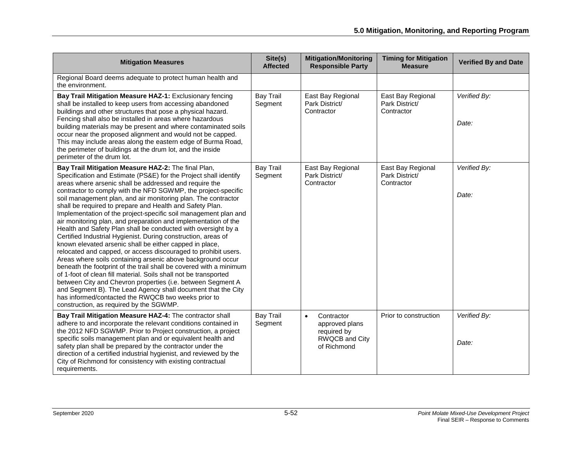| <b>Mitigation Measures</b>                                                                                                                                                                                                                                                                                                                                                                                                                                                                                                                                                                                                                                                                                                                                                                                                                                                                                                                                                                                                                                                                                                                                                                                                    | Site(s)<br><b>Affected</b>  | <b>Mitigation/Monitoring</b><br><b>Responsible Party</b>                                  | <b>Timing for Mitigation</b><br><b>Measure</b>    | <b>Verified By and Date</b> |
|-------------------------------------------------------------------------------------------------------------------------------------------------------------------------------------------------------------------------------------------------------------------------------------------------------------------------------------------------------------------------------------------------------------------------------------------------------------------------------------------------------------------------------------------------------------------------------------------------------------------------------------------------------------------------------------------------------------------------------------------------------------------------------------------------------------------------------------------------------------------------------------------------------------------------------------------------------------------------------------------------------------------------------------------------------------------------------------------------------------------------------------------------------------------------------------------------------------------------------|-----------------------------|-------------------------------------------------------------------------------------------|---------------------------------------------------|-----------------------------|
| Regional Board deems adequate to protect human health and<br>the environment.                                                                                                                                                                                                                                                                                                                                                                                                                                                                                                                                                                                                                                                                                                                                                                                                                                                                                                                                                                                                                                                                                                                                                 |                             |                                                                                           |                                                   |                             |
| Bay Trail Mitigation Measure HAZ-1: Exclusionary fencing<br>shall be installed to keep users from accessing abandoned<br>buildings and other structures that pose a physical hazard.<br>Fencing shall also be installed in areas where hazardous<br>building materials may be present and where contaminated soils<br>occur near the proposed alignment and would not be capped.<br>This may include areas along the eastern edge of Burma Road,<br>the perimeter of buildings at the drum lot, and the inside<br>perimeter of the drum lot.                                                                                                                                                                                                                                                                                                                                                                                                                                                                                                                                                                                                                                                                                  | <b>Bay Trail</b><br>Segment | East Bay Regional<br>Park District/<br>Contractor                                         | East Bay Regional<br>Park District/<br>Contractor | Verified By:<br>Date:       |
| Bay Trail Mitigation Measure HAZ-2: The final Plan,<br>Specification and Estimate (PS&E) for the Project shall identify<br>areas where arsenic shall be addressed and require the<br>contractor to comply with the NFD SGWMP, the project-specific<br>soil management plan, and air monitoring plan. The contractor<br>shall be required to prepare and Health and Safety Plan.<br>Implementation of the project-specific soil management plan and<br>air monitoring plan, and preparation and implementation of the<br>Health and Safety Plan shall be conducted with oversight by a<br>Certified Industrial Hygienist. During construction, areas of<br>known elevated arsenic shall be either capped in place,<br>relocated and capped, or access discouraged to prohibit users.<br>Areas where soils containing arsenic above background occur<br>beneath the footprint of the trail shall be covered with a minimum<br>of 1-foot of clean fill material. Soils shall not be transported<br>between City and Chevron properties (i.e. between Segment A<br>and Segment B). The Lead Agency shall document that the City<br>has informed/contacted the RWQCB two weeks prior to<br>construction, as required by the SGWMP. | <b>Bay Trail</b><br>Segment | East Bay Regional<br>Park District/<br>Contractor                                         | East Bay Regional<br>Park District/<br>Contractor | Verified By:<br>Date:       |
| Bay Trail Mitigation Measure HAZ-4: The contractor shall<br>adhere to and incorporate the relevant conditions contained in<br>the 2012 NFD SGWMP. Prior to Project construction, a project<br>specific soils management plan and or equivalent health and<br>safety plan shall be prepared by the contractor under the<br>direction of a certified industrial hygienist, and reviewed by the<br>City of Richmond for consistency with existing contractual<br>requirements.                                                                                                                                                                                                                                                                                                                                                                                                                                                                                                                                                                                                                                                                                                                                                   | <b>Bay Trail</b><br>Segment | Contractor<br>$\bullet$<br>approved plans<br>required by<br>RWQCB and City<br>of Richmond | Prior to construction                             | Verified By:<br>Date:       |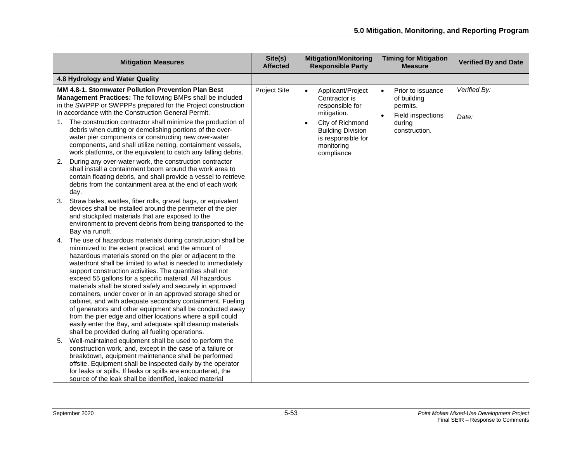| <b>Mitigation Measures</b>                                                                                                                                                                                                                                                                                                                                                                                                                                                                                                                                                                                                                                                                                                                                                                                          | Site(s)<br><b>Affected</b> | <b>Mitigation/Monitoring</b><br><b>Responsible Party</b>                                                                                                                                         | <b>Timing for Mitigation</b><br><b>Measure</b>                                                            | <b>Verified By and Date</b> |
|---------------------------------------------------------------------------------------------------------------------------------------------------------------------------------------------------------------------------------------------------------------------------------------------------------------------------------------------------------------------------------------------------------------------------------------------------------------------------------------------------------------------------------------------------------------------------------------------------------------------------------------------------------------------------------------------------------------------------------------------------------------------------------------------------------------------|----------------------------|--------------------------------------------------------------------------------------------------------------------------------------------------------------------------------------------------|-----------------------------------------------------------------------------------------------------------|-----------------------------|
| 4.8 Hydrology and Water Quality                                                                                                                                                                                                                                                                                                                                                                                                                                                                                                                                                                                                                                                                                                                                                                                     |                            |                                                                                                                                                                                                  |                                                                                                           |                             |
| MM 4.8-1. Stormwater Pollution Prevention Plan Best<br>Management Practices: The following BMPs shall be included<br>in the SWPPP or SWPPPs prepared for the Project construction<br>in accordance with the Construction General Permit.<br>The construction contractor shall minimize the production of<br>debris when cutting or demolishing portions of the over-<br>water pier components or constructing new over-water<br>components, and shall utilize netting, containment vessels,<br>work platforms, or the equivalent to catch any falling debris.                                                                                                                                                                                                                                                       | <b>Project Site</b>        | Applicant/Project<br>$\bullet$<br>Contractor is<br>responsible for<br>mitigation.<br>City of Richmond<br>$\bullet$<br><b>Building Division</b><br>is responsible for<br>monitoring<br>compliance | Prior to issuance<br>$\bullet$<br>of building<br>permits.<br>Field inspections<br>during<br>construction. | Verified By:<br>Date:       |
| During any over-water work, the construction contractor<br>2.<br>shall install a containment boom around the work area to<br>contain floating debris, and shall provide a vessel to retrieve<br>debris from the containment area at the end of each work<br>day.                                                                                                                                                                                                                                                                                                                                                                                                                                                                                                                                                    |                            |                                                                                                                                                                                                  |                                                                                                           |                             |
| Straw bales, wattles, fiber rolls, gravel bags, or equivalent<br>3.<br>devices shall be installed around the perimeter of the pier<br>and stockpiled materials that are exposed to the<br>environment to prevent debris from being transported to the<br>Bay via runoff.                                                                                                                                                                                                                                                                                                                                                                                                                                                                                                                                            |                            |                                                                                                                                                                                                  |                                                                                                           |                             |
| The use of hazardous materials during construction shall be<br>4.<br>minimized to the extent practical, and the amount of<br>hazardous materials stored on the pier or adjacent to the<br>waterfront shall be limited to what is needed to immediately<br>support construction activities. The quantities shall not<br>exceed 55 gallons for a specific material. All hazardous<br>materials shall be stored safely and securely in approved<br>containers, under cover or in an approved storage shed or<br>cabinet, and with adequate secondary containment. Fueling<br>of generators and other equipment shall be conducted away<br>from the pier edge and other locations where a spill could<br>easily enter the Bay, and adequate spill cleanup materials<br>shall be provided during all fueling operations. |                            |                                                                                                                                                                                                  |                                                                                                           |                             |
| Well-maintained equipment shall be used to perform the<br>5.<br>construction work, and, except in the case of a failure or<br>breakdown, equipment maintenance shall be performed<br>offsite. Equipment shall be inspected daily by the operator<br>for leaks or spills. If leaks or spills are encountered, the<br>source of the leak shall be identified, leaked material                                                                                                                                                                                                                                                                                                                                                                                                                                         |                            |                                                                                                                                                                                                  |                                                                                                           |                             |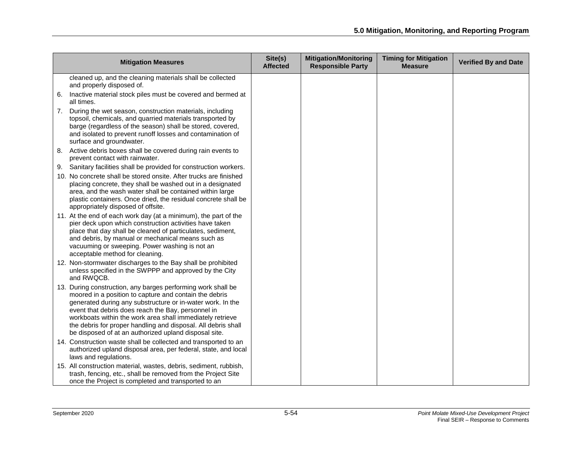| <b>Mitigation Measures</b>                                                                                                                                                                                                                                                                                                                                                                                                        | Site(s)<br><b>Affected</b> | <b>Mitigation/Monitoring</b><br><b>Responsible Party</b> | <b>Timing for Mitigation</b><br><b>Measure</b> | <b>Verified By and Date</b> |
|-----------------------------------------------------------------------------------------------------------------------------------------------------------------------------------------------------------------------------------------------------------------------------------------------------------------------------------------------------------------------------------------------------------------------------------|----------------------------|----------------------------------------------------------|------------------------------------------------|-----------------------------|
| cleaned up, and the cleaning materials shall be collected<br>and properly disposed of.                                                                                                                                                                                                                                                                                                                                            |                            |                                                          |                                                |                             |
| Inactive material stock piles must be covered and bermed at<br>6.<br>all times.                                                                                                                                                                                                                                                                                                                                                   |                            |                                                          |                                                |                             |
| During the wet season, construction materials, including<br>7.<br>topsoil, chemicals, and quarried materials transported by<br>barge (regardless of the season) shall be stored, covered,<br>and isolated to prevent runoff losses and contamination of<br>surface and groundwater.                                                                                                                                               |                            |                                                          |                                                |                             |
| 8. Active debris boxes shall be covered during rain events to<br>prevent contact with rainwater.                                                                                                                                                                                                                                                                                                                                  |                            |                                                          |                                                |                             |
| 9. Sanitary facilities shall be provided for construction workers.<br>10. No concrete shall be stored onsite. After trucks are finished<br>placing concrete, they shall be washed out in a designated<br>area, and the wash water shall be contained within large<br>plastic containers. Once dried, the residual concrete shall be<br>appropriately disposed of offsite.                                                         |                            |                                                          |                                                |                             |
| 11. At the end of each work day (at a minimum), the part of the<br>pier deck upon which construction activities have taken<br>place that day shall be cleaned of particulates, sediment,<br>and debris, by manual or mechanical means such as<br>vacuuming or sweeping. Power washing is not an<br>acceptable method for cleaning.                                                                                                |                            |                                                          |                                                |                             |
| 12. Non-stormwater discharges to the Bay shall be prohibited<br>unless specified in the SWPPP and approved by the City<br>and RWQCB.                                                                                                                                                                                                                                                                                              |                            |                                                          |                                                |                             |
| 13. During construction, any barges performing work shall be<br>moored in a position to capture and contain the debris<br>generated during any substructure or in-water work. In the<br>event that debris does reach the Bay, personnel in<br>workboats within the work area shall immediately retrieve<br>the debris for proper handling and disposal. All debris shall<br>be disposed of at an authorized upland disposal site. |                            |                                                          |                                                |                             |
| 14. Construction waste shall be collected and transported to an<br>authorized upland disposal area, per federal, state, and local<br>laws and regulations.                                                                                                                                                                                                                                                                        |                            |                                                          |                                                |                             |
| 15. All construction material, wastes, debris, sediment, rubbish,<br>trash, fencing, etc., shall be removed from the Project Site<br>once the Project is completed and transported to an                                                                                                                                                                                                                                          |                            |                                                          |                                                |                             |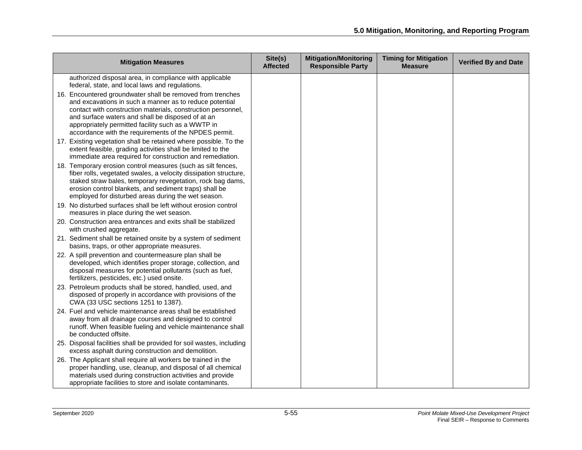| <b>Mitigation Measures</b>                                                                                                                                                                                                                                                                                                                                | Site(s)<br><b>Affected</b> | <b>Mitigation/Monitoring</b><br><b>Responsible Party</b> | <b>Timing for Mitigation</b><br><b>Measure</b> | <b>Verified By and Date</b> |
|-----------------------------------------------------------------------------------------------------------------------------------------------------------------------------------------------------------------------------------------------------------------------------------------------------------------------------------------------------------|----------------------------|----------------------------------------------------------|------------------------------------------------|-----------------------------|
| authorized disposal area, in compliance with applicable<br>federal, state, and local laws and regulations.                                                                                                                                                                                                                                                |                            |                                                          |                                                |                             |
| 16. Encountered groundwater shall be removed from trenches<br>and excavations in such a manner as to reduce potential<br>contact with construction materials, construction personnel,<br>and surface waters and shall be disposed of at an<br>appropriately permitted facility such as a WWTP in<br>accordance with the requirements of the NPDES permit. |                            |                                                          |                                                |                             |
| 17. Existing vegetation shall be retained where possible. To the<br>extent feasible, grading activities shall be limited to the<br>immediate area required for construction and remediation.                                                                                                                                                              |                            |                                                          |                                                |                             |
| 18. Temporary erosion control measures (such as silt fences,<br>fiber rolls, vegetated swales, a velocity dissipation structure,<br>staked straw bales, temporary revegetation, rock bag dams,<br>erosion control blankets, and sediment traps) shall be<br>employed for disturbed areas during the wet season.                                           |                            |                                                          |                                                |                             |
| 19. No disturbed surfaces shall be left without erosion control<br>measures in place during the wet season.                                                                                                                                                                                                                                               |                            |                                                          |                                                |                             |
| 20. Construction area entrances and exits shall be stabilized<br>with crushed aggregate.                                                                                                                                                                                                                                                                  |                            |                                                          |                                                |                             |
| 21. Sediment shall be retained onsite by a system of sediment<br>basins, traps, or other appropriate measures.                                                                                                                                                                                                                                            |                            |                                                          |                                                |                             |
| 22. A spill prevention and countermeasure plan shall be<br>developed, which identifies proper storage, collection, and<br>disposal measures for potential pollutants (such as fuel,<br>fertilizers, pesticides, etc.) used onsite.                                                                                                                        |                            |                                                          |                                                |                             |
| 23. Petroleum products shall be stored, handled, used, and<br>disposed of properly in accordance with provisions of the<br>CWA (33 USC sections 1251 to 1387).                                                                                                                                                                                            |                            |                                                          |                                                |                             |
| 24. Fuel and vehicle maintenance areas shall be established<br>away from all drainage courses and designed to control<br>runoff. When feasible fueling and vehicle maintenance shall<br>be conducted offsite.                                                                                                                                             |                            |                                                          |                                                |                             |
| 25. Disposal facilities shall be provided for soil wastes, including<br>excess asphalt during construction and demolition.                                                                                                                                                                                                                                |                            |                                                          |                                                |                             |
| 26. The Applicant shall require all workers be trained in the<br>proper handling, use, cleanup, and disposal of all chemical<br>materials used during construction activities and provide<br>appropriate facilities to store and isolate contaminants.                                                                                                    |                            |                                                          |                                                |                             |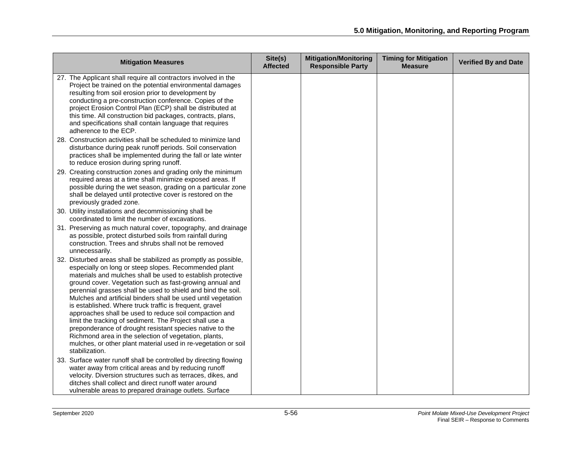| <b>Mitigation Measures</b>                                                                                                                                                                                                                                                                                                                                                                                                                                                                                                                                                                                                                                                                                                                                                     | Site(s)<br><b>Affected</b> | <b>Mitigation/Monitoring</b><br><b>Responsible Party</b> | <b>Timing for Mitigation</b><br><b>Measure</b> | <b>Verified By and Date</b> |
|--------------------------------------------------------------------------------------------------------------------------------------------------------------------------------------------------------------------------------------------------------------------------------------------------------------------------------------------------------------------------------------------------------------------------------------------------------------------------------------------------------------------------------------------------------------------------------------------------------------------------------------------------------------------------------------------------------------------------------------------------------------------------------|----------------------------|----------------------------------------------------------|------------------------------------------------|-----------------------------|
| 27. The Applicant shall require all contractors involved in the<br>Project be trained on the potential environmental damages<br>resulting from soil erosion prior to development by<br>conducting a pre-construction conference. Copies of the<br>project Erosion Control Plan (ECP) shall be distributed at<br>this time. All construction bid packages, contracts, plans,<br>and specifications shall contain language that requires<br>adherence to the ECP.                                                                                                                                                                                                                                                                                                                |                            |                                                          |                                                |                             |
| 28. Construction activities shall be scheduled to minimize land<br>disturbance during peak runoff periods. Soil conservation<br>practices shall be implemented during the fall or late winter<br>to reduce erosion during spring runoff.                                                                                                                                                                                                                                                                                                                                                                                                                                                                                                                                       |                            |                                                          |                                                |                             |
| 29. Creating construction zones and grading only the minimum<br>required areas at a time shall minimize exposed areas. If<br>possible during the wet season, grading on a particular zone<br>shall be delayed until protective cover is restored on the<br>previously graded zone.                                                                                                                                                                                                                                                                                                                                                                                                                                                                                             |                            |                                                          |                                                |                             |
| 30. Utility installations and decommissioning shall be<br>coordinated to limit the number of excavations.                                                                                                                                                                                                                                                                                                                                                                                                                                                                                                                                                                                                                                                                      |                            |                                                          |                                                |                             |
| 31. Preserving as much natural cover, topography, and drainage<br>as possible, protect disturbed soils from rainfall during<br>construction. Trees and shrubs shall not be removed<br>unnecessarily.                                                                                                                                                                                                                                                                                                                                                                                                                                                                                                                                                                           |                            |                                                          |                                                |                             |
| 32. Disturbed areas shall be stabilized as promptly as possible,<br>especially on long or steep slopes. Recommended plant<br>materials and mulches shall be used to establish protective<br>ground cover. Vegetation such as fast-growing annual and<br>perennial grasses shall be used to shield and bind the soil.<br>Mulches and artificial binders shall be used until vegetation<br>is established. Where truck traffic is frequent, gravel<br>approaches shall be used to reduce soil compaction and<br>limit the tracking of sediment. The Project shall use a<br>preponderance of drought resistant species native to the<br>Richmond area in the selection of vegetation, plants,<br>mulches, or other plant material used in re-vegetation or soil<br>stabilization. |                            |                                                          |                                                |                             |
| 33. Surface water runoff shall be controlled by directing flowing<br>water away from critical areas and by reducing runoff<br>velocity. Diversion structures such as terraces, dikes, and<br>ditches shall collect and direct runoff water around<br>vulnerable areas to prepared drainage outlets. Surface                                                                                                                                                                                                                                                                                                                                                                                                                                                                    |                            |                                                          |                                                |                             |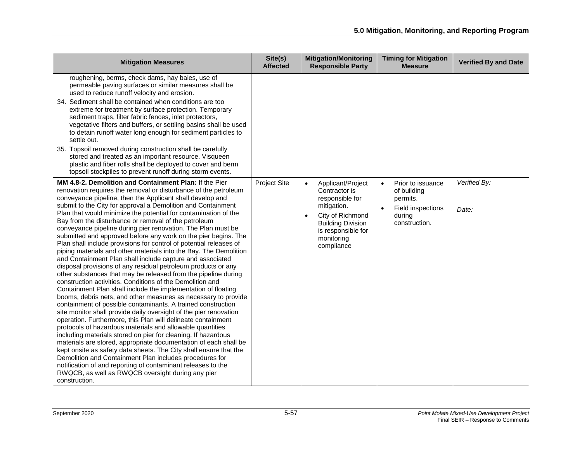| <b>Mitigation Measures</b>                                                                                                                                                                                                                                                                                                                                                                                                                                                                                                                                                                                                                                                                                                                                                                                                                                                                                                                                                                                                                                                                                                                                                                                                                                                  | Site(s)<br><b>Affected</b> | <b>Mitigation/Monitoring</b><br><b>Responsible Party</b>                                                      | <b>Timing for Mitigation</b><br><b>Measure</b>            | <b>Verified By and Date</b> |
|-----------------------------------------------------------------------------------------------------------------------------------------------------------------------------------------------------------------------------------------------------------------------------------------------------------------------------------------------------------------------------------------------------------------------------------------------------------------------------------------------------------------------------------------------------------------------------------------------------------------------------------------------------------------------------------------------------------------------------------------------------------------------------------------------------------------------------------------------------------------------------------------------------------------------------------------------------------------------------------------------------------------------------------------------------------------------------------------------------------------------------------------------------------------------------------------------------------------------------------------------------------------------------|----------------------------|---------------------------------------------------------------------------------------------------------------|-----------------------------------------------------------|-----------------------------|
| roughening, berms, check dams, hay bales, use of<br>permeable paving surfaces or similar measures shall be<br>used to reduce runoff velocity and erosion.<br>34. Sediment shall be contained when conditions are too                                                                                                                                                                                                                                                                                                                                                                                                                                                                                                                                                                                                                                                                                                                                                                                                                                                                                                                                                                                                                                                        |                            |                                                                                                               |                                                           |                             |
| extreme for treatment by surface protection. Temporary<br>sediment traps, filter fabric fences, inlet protectors,<br>vegetative filters and buffers, or settling basins shall be used<br>to detain runoff water long enough for sediment particles to<br>settle out.                                                                                                                                                                                                                                                                                                                                                                                                                                                                                                                                                                                                                                                                                                                                                                                                                                                                                                                                                                                                        |                            |                                                                                                               |                                                           |                             |
| 35. Topsoil removed during construction shall be carefully<br>stored and treated as an important resource. Visqueen<br>plastic and fiber rolls shall be deployed to cover and berm<br>topsoil stockpiles to prevent runoff during storm events.                                                                                                                                                                                                                                                                                                                                                                                                                                                                                                                                                                                                                                                                                                                                                                                                                                                                                                                                                                                                                             |                            |                                                                                                               |                                                           |                             |
| MM 4.8-2. Demolition and Containment Plan: If the Pier<br>renovation requires the removal or disturbance of the petroleum<br>conveyance pipeline, then the Applicant shall develop and                                                                                                                                                                                                                                                                                                                                                                                                                                                                                                                                                                                                                                                                                                                                                                                                                                                                                                                                                                                                                                                                                      | <b>Project Site</b>        | Applicant/Project<br>$\bullet$<br>Contractor is<br>responsible for                                            | Prior to issuance<br>$\bullet$<br>of building<br>permits. | Verified By:                |
| submit to the City for approval a Demolition and Containment<br>Plan that would minimize the potential for contamination of the<br>Bay from the disturbance or removal of the petroleum<br>conveyance pipeline during pier renovation. The Plan must be<br>submitted and approved before any work on the pier begins. The<br>Plan shall include provisions for control of potential releases of<br>piping materials and other materials into the Bay. The Demolition<br>and Containment Plan shall include capture and associated<br>disposal provisions of any residual petroleum products or any<br>other substances that may be released from the pipeline during<br>construction activities. Conditions of the Demolition and<br>Containment Plan shall include the implementation of floating<br>booms, debris nets, and other measures as necessary to provide<br>containment of possible contaminants. A trained construction<br>site monitor shall provide daily oversight of the pier renovation<br>operation. Furthermore, this Plan will delineate containment<br>protocols of hazardous materials and allowable quantities<br>including materials stored on pier for cleaning. If hazardous<br>materials are stored, appropriate documentation of each shall be |                            | mitigation.<br>City of Richmond<br><b>Building Division</b><br>is responsible for<br>monitoring<br>compliance | Field inspections<br>during<br>construction.              | Date:                       |
| kept onsite as safety data sheets. The City shall ensure that the<br>Demolition and Containment Plan includes procedures for<br>notification of and reporting of contaminant releases to the<br>RWQCB, as well as RWQCB oversight during any pier<br>construction.                                                                                                                                                                                                                                                                                                                                                                                                                                                                                                                                                                                                                                                                                                                                                                                                                                                                                                                                                                                                          |                            |                                                                                                               |                                                           |                             |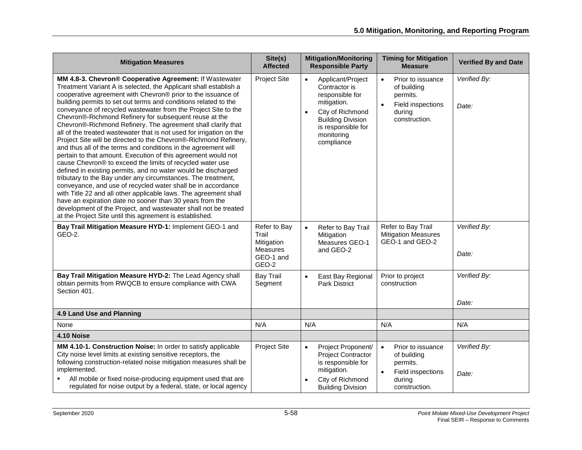| <b>Mitigation Measures</b>                                                                                                                                                                                                                                                                                                                                                                                                                                                                                                                                                                                                                                                                                                                                                                                                                                                                                                                                                                                                                                                                                                                                                                                                                                             | Site(s)<br><b>Affected</b>                                            | <b>Mitigation/Monitoring</b><br><b>Responsible Party</b>                                                                                                                                         | <b>Timing for Mitigation</b><br><b>Measure</b>                                                                         | <b>Verified By and Date</b> |
|------------------------------------------------------------------------------------------------------------------------------------------------------------------------------------------------------------------------------------------------------------------------------------------------------------------------------------------------------------------------------------------------------------------------------------------------------------------------------------------------------------------------------------------------------------------------------------------------------------------------------------------------------------------------------------------------------------------------------------------------------------------------------------------------------------------------------------------------------------------------------------------------------------------------------------------------------------------------------------------------------------------------------------------------------------------------------------------------------------------------------------------------------------------------------------------------------------------------------------------------------------------------|-----------------------------------------------------------------------|--------------------------------------------------------------------------------------------------------------------------------------------------------------------------------------------------|------------------------------------------------------------------------------------------------------------------------|-----------------------------|
| MM 4.8-3. Chevron® Cooperative Agreement: If Wastewater<br>Treatment Variant A is selected, the Applicant shall establish a<br>cooperative agreement with Chevron® prior to the issuance of<br>building permits to set out terms and conditions related to the<br>conveyance of recycled wastewater from the Project Site to the<br>Chevron®-Richmond Refinery for subsequent reuse at the<br>Chevron®-Richmond Refinery. The agreement shall clarify that<br>all of the treated wastewater that is not used for irrigation on the<br>Project Site will be directed to the Chevron®-Richmond Refinery,<br>and thus all of the terms and conditions in the agreement will<br>pertain to that amount. Execution of this agreement would not<br>cause Chevron® to exceed the limits of recycled water use<br>defined in existing permits, and no water would be discharged<br>tributary to the Bay under any circumstances. The treatment,<br>conveyance, and use of recycled water shall be in accordance<br>with Title 22 and all other applicable laws. The agreement shall<br>have an expiration date no sooner than 30 years from the<br>development of the Project, and wastewater shall not be treated<br>at the Project Site until this agreement is established. | <b>Project Site</b>                                                   | Applicant/Project<br>$\bullet$<br>Contractor is<br>responsible for<br>mitigation.<br>City of Richmond<br>$\bullet$<br><b>Building Division</b><br>is responsible for<br>monitoring<br>compliance | $\bullet$<br>Prior to issuance<br>of building<br>permits.<br>$\bullet$<br>Field inspections<br>during<br>construction. | Verified By:<br>Date:       |
| Bay Trail Mitigation Measure HYD-1: Implement GEO-1 and<br>GEO-2.                                                                                                                                                                                                                                                                                                                                                                                                                                                                                                                                                                                                                                                                                                                                                                                                                                                                                                                                                                                                                                                                                                                                                                                                      | Refer to Bay<br>Trail<br>Mitigation<br>Measures<br>GEO-1 and<br>GEO-2 | $\bullet$<br>Refer to Bay Trail<br>Mitigation<br>Measures GEO-1<br>and GEO-2                                                                                                                     | Refer to Bay Trail<br><b>Mitigation Measures</b><br>GEO-1 and GEO-2                                                    | Verified By:<br>Date:       |
| Bay Trail Mitigation Measure HYD-2: The Lead Agency shall<br>obtain permits from RWQCB to ensure compliance with CWA<br>Section 401.                                                                                                                                                                                                                                                                                                                                                                                                                                                                                                                                                                                                                                                                                                                                                                                                                                                                                                                                                                                                                                                                                                                                   | <b>Bay Trail</b><br>Segment                                           | East Bay Regional<br>$\bullet$<br><b>Park District</b>                                                                                                                                           | Prior to project<br>construction                                                                                       | Verified By:<br>Date:       |
| 4.9 Land Use and Planning                                                                                                                                                                                                                                                                                                                                                                                                                                                                                                                                                                                                                                                                                                                                                                                                                                                                                                                                                                                                                                                                                                                                                                                                                                              |                                                                       |                                                                                                                                                                                                  |                                                                                                                        |                             |
| None                                                                                                                                                                                                                                                                                                                                                                                                                                                                                                                                                                                                                                                                                                                                                                                                                                                                                                                                                                                                                                                                                                                                                                                                                                                                   | N/A                                                                   | N/A                                                                                                                                                                                              | N/A                                                                                                                    | N/A                         |
| 4.10 Noise                                                                                                                                                                                                                                                                                                                                                                                                                                                                                                                                                                                                                                                                                                                                                                                                                                                                                                                                                                                                                                                                                                                                                                                                                                                             |                                                                       |                                                                                                                                                                                                  |                                                                                                                        |                             |
| MM 4.10-1. Construction Noise: In order to satisfy applicable<br>City noise level limits at existing sensitive receptors, the<br>following construction-related noise mitigation measures shall be<br>implemented.<br>All mobile or fixed noise-producing equipment used that are<br>regulated for noise output by a federal, state, or local agency                                                                                                                                                                                                                                                                                                                                                                                                                                                                                                                                                                                                                                                                                                                                                                                                                                                                                                                   | <b>Project Site</b>                                                   | Project Proponent/<br>$\bullet$<br>Project Contractor<br>is responsible for<br>mitigation.<br>City of Richmond<br><b>Building Division</b>                                                       | $\bullet$<br>Prior to issuance<br>of building<br>permits.<br>$\bullet$<br>Field inspections<br>during<br>construction. | Verified By:<br>Date:       |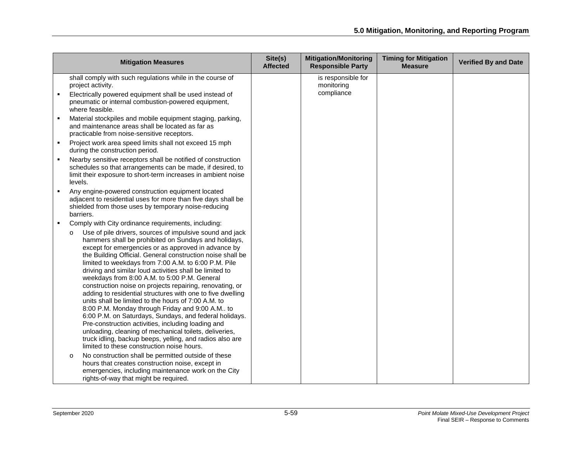|   | <b>Mitigation Measures</b>                                                                                                                                                                                                                                                                                                                                                                                                                                                                                                                                                                                                                                                                                                                                                                                                                                                                                                                  | Site(s)<br><b>Affected</b> | <b>Mitigation/Monitoring</b><br><b>Responsible Party</b> | <b>Timing for Mitigation</b><br><b>Measure</b> | <b>Verified By and Date</b> |
|---|---------------------------------------------------------------------------------------------------------------------------------------------------------------------------------------------------------------------------------------------------------------------------------------------------------------------------------------------------------------------------------------------------------------------------------------------------------------------------------------------------------------------------------------------------------------------------------------------------------------------------------------------------------------------------------------------------------------------------------------------------------------------------------------------------------------------------------------------------------------------------------------------------------------------------------------------|----------------------------|----------------------------------------------------------|------------------------------------------------|-----------------------------|
|   | shall comply with such regulations while in the course of<br>project activity.                                                                                                                                                                                                                                                                                                                                                                                                                                                                                                                                                                                                                                                                                                                                                                                                                                                              |                            | is responsible for<br>monitoring                         |                                                |                             |
|   | Electrically powered equipment shall be used instead of<br>pneumatic or internal combustion-powered equipment,<br>where feasible.                                                                                                                                                                                                                                                                                                                                                                                                                                                                                                                                                                                                                                                                                                                                                                                                           |                            | compliance                                               |                                                |                             |
|   | Material stockpiles and mobile equipment staging, parking,<br>and maintenance areas shall be located as far as<br>practicable from noise-sensitive receptors.                                                                                                                                                                                                                                                                                                                                                                                                                                                                                                                                                                                                                                                                                                                                                                               |                            |                                                          |                                                |                             |
| ٠ | Project work area speed limits shall not exceed 15 mph<br>during the construction period.                                                                                                                                                                                                                                                                                                                                                                                                                                                                                                                                                                                                                                                                                                                                                                                                                                                   |                            |                                                          |                                                |                             |
|   | Nearby sensitive receptors shall be notified of construction<br>schedules so that arrangements can be made, if desired, to<br>limit their exposure to short-term increases in ambient noise<br>levels.                                                                                                                                                                                                                                                                                                                                                                                                                                                                                                                                                                                                                                                                                                                                      |                            |                                                          |                                                |                             |
| ٠ | Any engine-powered construction equipment located<br>adjacent to residential uses for more than five days shall be<br>shielded from those uses by temporary noise-reducing<br>barriers.                                                                                                                                                                                                                                                                                                                                                                                                                                                                                                                                                                                                                                                                                                                                                     |                            |                                                          |                                                |                             |
|   | Comply with City ordinance requirements, including:                                                                                                                                                                                                                                                                                                                                                                                                                                                                                                                                                                                                                                                                                                                                                                                                                                                                                         |                            |                                                          |                                                |                             |
|   | Use of pile drivers, sources of impulsive sound and jack<br>$\circ$<br>hammers shall be prohibited on Sundays and holidays,<br>except for emergencies or as approved in advance by<br>the Building Official. General construction noise shall be<br>limited to weekdays from 7:00 A.M. to 6:00 P.M. Pile<br>driving and similar loud activities shall be limited to<br>weekdays from 8:00 A.M. to 5:00 P.M. General<br>construction noise on projects repairing, renovating, or<br>adding to residential structures with one to five dwelling<br>units shall be limited to the hours of 7:00 A.M. to<br>8:00 P.M. Monday through Friday and 9:00 A.M to<br>6:00 P.M. on Saturdays, Sundays, and federal holidays.<br>Pre-construction activities, including loading and<br>unloading, cleaning of mechanical toilets, deliveries,<br>truck idling, backup beeps, yelling, and radios also are<br>limited to these construction noise hours. |                            |                                                          |                                                |                             |
|   | No construction shall be permitted outside of these<br>$\circ$<br>hours that creates construction noise, except in<br>emergencies, including maintenance work on the City<br>rights-of-way that might be required.                                                                                                                                                                                                                                                                                                                                                                                                                                                                                                                                                                                                                                                                                                                          |                            |                                                          |                                                |                             |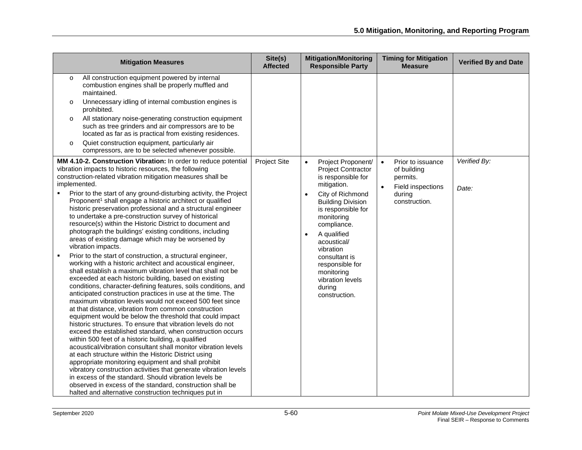| <b>Mitigation Measures</b>                                                                                                                                                                                                                                                                                                                                                                                                                                                                                                                                                                                                                                                                                                                                                                                                                                                                                                                                                                                                                                                                                                                                                                                                                                                                                                                                                                                                                                                                                                                                                                                                                                                                                                                                                                                                                                                   | Site(s)<br><b>Affected</b> | <b>Mitigation/Monitoring</b><br><b>Responsible Party</b>                                                                                                                                                                                                                                                                                                                   | <b>Timing for Mitigation</b><br><b>Measure</b>                                                            | <b>Verified By and Date</b> |
|------------------------------------------------------------------------------------------------------------------------------------------------------------------------------------------------------------------------------------------------------------------------------------------------------------------------------------------------------------------------------------------------------------------------------------------------------------------------------------------------------------------------------------------------------------------------------------------------------------------------------------------------------------------------------------------------------------------------------------------------------------------------------------------------------------------------------------------------------------------------------------------------------------------------------------------------------------------------------------------------------------------------------------------------------------------------------------------------------------------------------------------------------------------------------------------------------------------------------------------------------------------------------------------------------------------------------------------------------------------------------------------------------------------------------------------------------------------------------------------------------------------------------------------------------------------------------------------------------------------------------------------------------------------------------------------------------------------------------------------------------------------------------------------------------------------------------------------------------------------------------|----------------------------|----------------------------------------------------------------------------------------------------------------------------------------------------------------------------------------------------------------------------------------------------------------------------------------------------------------------------------------------------------------------------|-----------------------------------------------------------------------------------------------------------|-----------------------------|
| All construction equipment powered by internal<br>$\circ$<br>combustion engines shall be properly muffled and<br>maintained.<br>Unnecessary idling of internal combustion engines is<br>$\circ$<br>prohibited.<br>All stationary noise-generating construction equipment<br>$\circ$<br>such as tree grinders and air compressors are to be<br>located as far as is practical from existing residences.<br>Quiet construction equipment, particularly air<br>$\circ$<br>compressors, are to be selected whenever possible.                                                                                                                                                                                                                                                                                                                                                                                                                                                                                                                                                                                                                                                                                                                                                                                                                                                                                                                                                                                                                                                                                                                                                                                                                                                                                                                                                    |                            |                                                                                                                                                                                                                                                                                                                                                                            |                                                                                                           |                             |
| MM 4.10-2. Construction Vibration: In order to reduce potential<br>vibration impacts to historic resources, the following<br>construction-related vibration mitigation measures shall be<br>implemented.<br>Prior to the start of any ground-disturbing activity, the Project<br>Proponent <sup>1</sup> shall engage a historic architect or qualified<br>historic preservation professional and a structural engineer<br>to undertake a pre-construction survey of historical<br>resource(s) within the Historic District to document and<br>photograph the buildings' existing conditions, including<br>areas of existing damage which may be worsened by<br>vibration impacts.<br>Prior to the start of construction, a structural engineer,<br>working with a historic architect and acoustical engineer,<br>shall establish a maximum vibration level that shall not be<br>exceeded at each historic building, based on existing<br>conditions, character-defining features, soils conditions, and<br>anticipated construction practices in use at the time. The<br>maximum vibration levels would not exceed 500 feet since<br>at that distance, vibration from common construction<br>equipment would be below the threshold that could impact<br>historic structures. To ensure that vibration levels do not<br>exceed the established standard, when construction occurs<br>within 500 feet of a historic building, a qualified<br>acoustical/vibration consultant shall monitor vibration levels<br>at each structure within the Historic District using<br>appropriate monitoring equipment and shall prohibit<br>vibratory construction activities that generate vibration levels<br>in excess of the standard. Should vibration levels be<br>observed in excess of the standard, construction shall be<br>halted and alternative construction techniques put in | <b>Project Site</b>        | Project Proponent/<br>$\bullet$<br><b>Project Contractor</b><br>is responsible for<br>mitigation.<br>City of Richmond<br>$\bullet$<br><b>Building Division</b><br>is responsible for<br>monitoring<br>compliance.<br>A qualified<br>$\bullet$<br>acoustical/<br>vibration<br>consultant is<br>responsible for<br>monitoring<br>vibration levels<br>during<br>construction. | Prior to issuance<br>$\bullet$<br>of building<br>permits.<br>Field inspections<br>during<br>construction. | Verified By:<br>Date:       |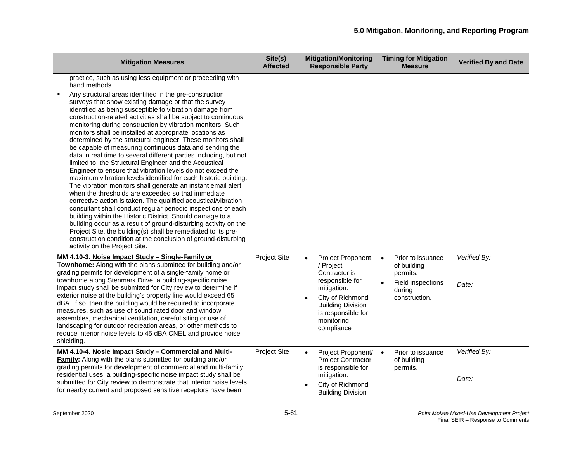| <b>Mitigation Measures</b>                                                                                                                                                                                                                                                                                                                                                                                                                                                                                                                                                                                                                                                                                                                                                                                                                                                                                                                                                                                                                                                                                                                                                                                                                                                                                                                                                                                 | Site(s)<br><b>Affected</b> | <b>Mitigation/Monitoring</b><br><b>Responsible Party</b>                                                                                                                                                      | <b>Timing for Mitigation</b><br><b>Measure</b>                                                            | <b>Verified By and Date</b> |
|------------------------------------------------------------------------------------------------------------------------------------------------------------------------------------------------------------------------------------------------------------------------------------------------------------------------------------------------------------------------------------------------------------------------------------------------------------------------------------------------------------------------------------------------------------------------------------------------------------------------------------------------------------------------------------------------------------------------------------------------------------------------------------------------------------------------------------------------------------------------------------------------------------------------------------------------------------------------------------------------------------------------------------------------------------------------------------------------------------------------------------------------------------------------------------------------------------------------------------------------------------------------------------------------------------------------------------------------------------------------------------------------------------|----------------------------|---------------------------------------------------------------------------------------------------------------------------------------------------------------------------------------------------------------|-----------------------------------------------------------------------------------------------------------|-----------------------------|
| practice, such as using less equipment or proceeding with<br>hand methods.<br>Any structural areas identified in the pre-construction<br>surveys that show existing damage or that the survey<br>identified as being susceptible to vibration damage from<br>construction-related activities shall be subject to continuous<br>monitoring during construction by vibration monitors. Such<br>monitors shall be installed at appropriate locations as<br>determined by the structural engineer. These monitors shall<br>be capable of measuring continuous data and sending the<br>data in real time to several different parties including, but not<br>limited to, the Structural Engineer and the Acoustical<br>Engineer to ensure that vibration levels do not exceed the<br>maximum vibration levels identified for each historic building.<br>The vibration monitors shall generate an instant email alert<br>when the thresholds are exceeded so that immediate<br>corrective action is taken. The qualified acoustical/vibration<br>consultant shall conduct regular periodic inspections of each<br>building within the Historic District. Should damage to a<br>building occur as a result of ground-disturbing activity on the<br>Project Site, the building(s) shall be remediated to its pre-<br>construction condition at the conclusion of ground-disturbing<br>activity on the Project Site. |                            |                                                                                                                                                                                                               |                                                                                                           |                             |
| MM 4.10-3. Noise Impact Study - Single-Family or<br>Townhome: Along with the plans submitted for building and/or<br>grading permits for development of a single-family home or<br>townhome along Stenmark Drive, a building-specific noise<br>impact study shall be submitted for City review to determine if<br>exterior noise at the building's property line would exceed 65<br>dBA. If so, then the building would be required to incorporate<br>measures, such as use of sound rated door and window<br>assembles, mechanical ventilation, careful siting or use of<br>landscaping for outdoor recreation areas, or other methods to<br>reduce interior noise levels to 45 dBA CNEL and provide noise<br>shielding.                                                                                                                                                                                                                                                                                                                                                                                                                                                                                                                                                                                                                                                                                   | <b>Project Site</b>        | $\bullet$<br>Project Proponent<br>/ Project<br>Contractor is<br>responsible for<br>mitigation.<br>City of Richmond<br>$\bullet$<br><b>Building Division</b><br>is responsible for<br>monitoring<br>compliance | $\bullet$<br>Prior to issuance<br>of building<br>permits.<br>Field inspections<br>during<br>construction. | Verified By:<br>Date:       |
| MM 4.10-4. Nosie Impact Study - Commercial and Multi-<br><b>Family:</b> Along with the plans submitted for building and/or<br>grading permits for development of commercial and multi-family<br>residential uses, a building-specific noise impact study shall be<br>submitted for City review to demonstrate that interior noise levels<br>for nearby current and proposed sensitive receptors have been                                                                                                                                                                                                                                                                                                                                                                                                                                                                                                                                                                                                                                                                                                                                                                                                                                                                                                                                                                                                  | <b>Project Site</b>        | Project Proponent/<br>$\bullet$<br><b>Project Contractor</b><br>is responsible for<br>mitigation.<br>City of Richmond<br><b>Building Division</b>                                                             | Prior to issuance<br>$\bullet$<br>of building<br>permits.                                                 | Verified By:<br>Date:       |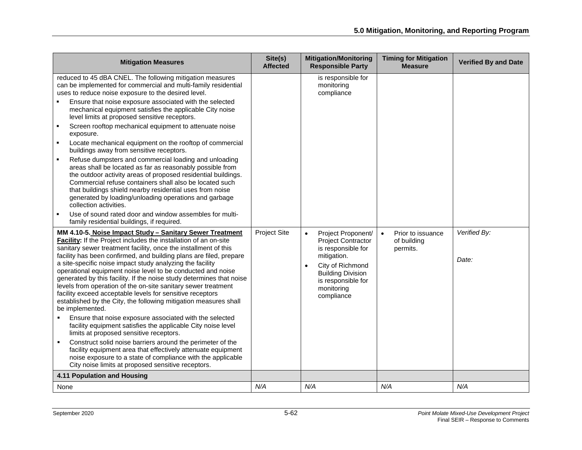| <b>Mitigation Measures</b>                                                                                                                                                                                                                                                                                                                                                                                                                                                                                                                                                                                                                                                                                                                                                                                                                                                                                                                                                                                                                                                                                                                                                 | Site(s)<br><b>Affected</b> | <b>Mitigation/Monitoring</b><br><b>Responsible Party</b>                                                                                                                                            | <b>Timing for Mitigation</b><br><b>Measure</b>            | <b>Verified By and Date</b> |
|----------------------------------------------------------------------------------------------------------------------------------------------------------------------------------------------------------------------------------------------------------------------------------------------------------------------------------------------------------------------------------------------------------------------------------------------------------------------------------------------------------------------------------------------------------------------------------------------------------------------------------------------------------------------------------------------------------------------------------------------------------------------------------------------------------------------------------------------------------------------------------------------------------------------------------------------------------------------------------------------------------------------------------------------------------------------------------------------------------------------------------------------------------------------------|----------------------------|-----------------------------------------------------------------------------------------------------------------------------------------------------------------------------------------------------|-----------------------------------------------------------|-----------------------------|
| reduced to 45 dBA CNEL. The following mitigation measures<br>can be implemented for commercial and multi-family residential<br>uses to reduce noise exposure to the desired level.<br>Ensure that noise exposure associated with the selected<br>mechanical equipment satisfies the applicable City noise<br>level limits at proposed sensitive receptors.<br>Screen rooftop mechanical equipment to attenuate noise<br>$\blacksquare$<br>exposure.<br>Locate mechanical equipment on the rooftop of commercial<br>buildings away from sensitive receptors.<br>Refuse dumpsters and commercial loading and unloading<br>areas shall be located as far as reasonably possible from<br>the outdoor activity areas of proposed residential buildings.<br>Commercial refuse containers shall also be located such<br>that buildings shield nearby residential uses from noise<br>generated by loading/unloading operations and garbage<br>collection activities.<br>Use of sound rated door and window assembles for multi-                                                                                                                                                    |                            | is responsible for<br>monitoring<br>compliance                                                                                                                                                      |                                                           |                             |
| family residential buildings, if required.<br>MM 4.10-5. Noise Impact Study - Sanitary Sewer Treatment<br>Facility: If the Project includes the installation of an on-site<br>sanitary sewer treatment facility, once the installment of this<br>facility has been confirmed, and building plans are filed, prepare<br>a site-specific noise impact study analyzing the facility<br>operational equipment noise level to be conducted and noise<br>generated by this facility. If the noise study determines that noise<br>levels from operation of the on-site sanitary sewer treatment<br>facility exceed acceptable levels for sensitive receptors<br>established by the City, the following mitigation measures shall<br>be implemented.<br>Ensure that noise exposure associated with the selected<br>٠<br>facility equipment satisfies the applicable City noise level<br>limits at proposed sensitive receptors.<br>Construct solid noise barriers around the perimeter of the<br>facility equipment area that effectively attenuate equipment<br>noise exposure to a state of compliance with the applicable<br>City noise limits at proposed sensitive receptors. | <b>Project Site</b>        | Project Proponent/<br>$\bullet$<br><b>Project Contractor</b><br>is responsible for<br>mitigation.<br>City of Richmond<br><b>Building Division</b><br>is responsible for<br>monitoring<br>compliance | Prior to issuance<br>$\bullet$<br>of building<br>permits. | Verified By:<br>Date:       |
| 4.11 Population and Housing                                                                                                                                                                                                                                                                                                                                                                                                                                                                                                                                                                                                                                                                                                                                                                                                                                                                                                                                                                                                                                                                                                                                                |                            |                                                                                                                                                                                                     |                                                           |                             |
| None                                                                                                                                                                                                                                                                                                                                                                                                                                                                                                                                                                                                                                                                                                                                                                                                                                                                                                                                                                                                                                                                                                                                                                       | N/A                        | N/A                                                                                                                                                                                                 | N/A                                                       | N/A                         |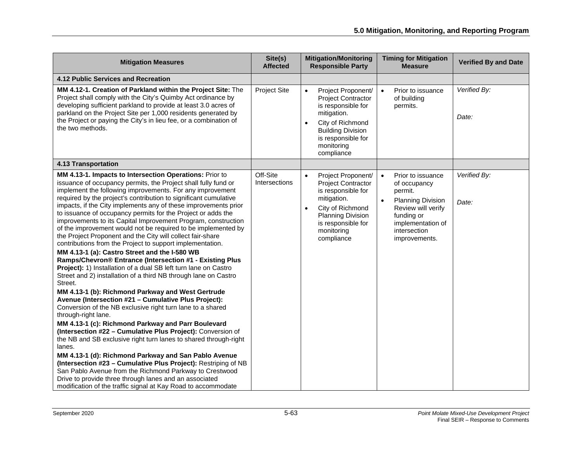| <b>Mitigation Measures</b>                                                                                                                                                                                                                                                                                                                                                                                                                                                                                                                                                                                                                                                                                                                                                                                                                                                                                                                                                                                                                                                                                                                                                                                                                                                                                                                                                                                                                                                                                                                                                                                                                    | Site(s)<br><b>Affected</b> | <b>Mitigation/Monitoring</b><br><b>Responsible Party</b>                                                                                                                                                         | <b>Timing for Mitigation</b><br><b>Measure</b>                                                                                                                                               | <b>Verified By and Date</b> |
|-----------------------------------------------------------------------------------------------------------------------------------------------------------------------------------------------------------------------------------------------------------------------------------------------------------------------------------------------------------------------------------------------------------------------------------------------------------------------------------------------------------------------------------------------------------------------------------------------------------------------------------------------------------------------------------------------------------------------------------------------------------------------------------------------------------------------------------------------------------------------------------------------------------------------------------------------------------------------------------------------------------------------------------------------------------------------------------------------------------------------------------------------------------------------------------------------------------------------------------------------------------------------------------------------------------------------------------------------------------------------------------------------------------------------------------------------------------------------------------------------------------------------------------------------------------------------------------------------------------------------------------------------|----------------------------|------------------------------------------------------------------------------------------------------------------------------------------------------------------------------------------------------------------|----------------------------------------------------------------------------------------------------------------------------------------------------------------------------------------------|-----------------------------|
| 4.12 Public Services and Recreation                                                                                                                                                                                                                                                                                                                                                                                                                                                                                                                                                                                                                                                                                                                                                                                                                                                                                                                                                                                                                                                                                                                                                                                                                                                                                                                                                                                                                                                                                                                                                                                                           |                            |                                                                                                                                                                                                                  |                                                                                                                                                                                              |                             |
| MM 4.12-1. Creation of Parkland within the Project Site: The<br>Project shall comply with the City's Quimby Act ordinance by<br>developing sufficient parkland to provide at least 3.0 acres of<br>parkland on the Project Site per 1,000 residents generated by<br>the Project or paying the City's in lieu fee, or a combination of<br>the two methods.                                                                                                                                                                                                                                                                                                                                                                                                                                                                                                                                                                                                                                                                                                                                                                                                                                                                                                                                                                                                                                                                                                                                                                                                                                                                                     | <b>Project Site</b>        | Project Proponent/<br>$\bullet$<br><b>Project Contractor</b><br>is responsible for<br>mitigation.<br>City of Richmond<br>$\bullet$<br><b>Building Division</b><br>is responsible for<br>monitoring<br>compliance | Prior to issuance<br>$\bullet$<br>of building<br>permits.                                                                                                                                    | Verified By:<br>Date:       |
| <b>4.13 Transportation</b>                                                                                                                                                                                                                                                                                                                                                                                                                                                                                                                                                                                                                                                                                                                                                                                                                                                                                                                                                                                                                                                                                                                                                                                                                                                                                                                                                                                                                                                                                                                                                                                                                    |                            |                                                                                                                                                                                                                  |                                                                                                                                                                                              |                             |
| MM 4.13-1. Impacts to Intersection Operations: Prior to<br>issuance of occupancy permits, the Project shall fully fund or<br>implement the following improvements. For any improvement<br>required by the project's contribution to significant cumulative<br>impacts, if the City implements any of these improvements prior<br>to issuance of occupancy permits for the Project or adds the<br>improvements to its Capital Improvement Program, construction<br>of the improvement would not be required to be implemented by<br>the Project Proponent and the City will collect fair-share<br>contributions from the Project to support implementation.<br>MM 4.13-1 (a): Castro Street and the I-580 WB<br>Ramps/Chevron® Entrance (Intersection #1 - Existing Plus<br>Project): 1) Installation of a dual SB left turn lane on Castro<br>Street and 2) installation of a third NB through lane on Castro<br>Street.<br>MM 4.13-1 (b): Richmond Parkway and West Gertrude<br>Avenue (Intersection #21 - Cumulative Plus Project):<br>Conversion of the NB exclusive right turn lane to a shared<br>through-right lane.<br>MM 4.13-1 (c): Richmond Parkway and Parr Boulevard<br>(Intersection #22 - Cumulative Plus Project): Conversion of<br>the NB and SB exclusive right turn lanes to shared through-right<br>lanes.<br>MM 4.13-1 (d): Richmond Parkway and San Pablo Avenue<br>(Intersection #23 - Cumulative Plus Project): Restriping of NB<br>San Pablo Avenue from the Richmond Parkway to Crestwood<br>Drive to provide three through lanes and an associated<br>modification of the traffic signal at Kay Road to accommodate | Off-Site<br>Intersections  | Project Proponent/<br>$\bullet$<br><b>Project Contractor</b><br>is responsible for<br>mitigation.<br>City of Richmond<br>$\bullet$<br><b>Planning Division</b><br>is responsible for<br>monitoring<br>compliance | Prior to issuance<br>$\bullet$<br>of occupancy<br>permit.<br>$\bullet$<br><b>Planning Division</b><br>Review will verify<br>funding or<br>implementation of<br>intersection<br>improvements. | Verified By:<br>Date:       |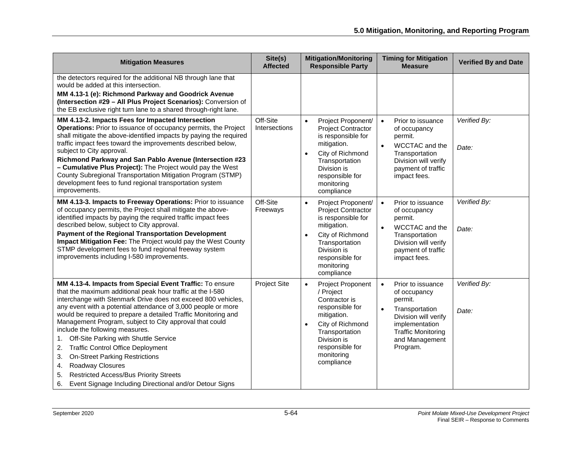| <b>Mitigation Measures</b>                                                                                                                                                                                                                                                                                                                                                                                                                                                                                                                                                                                                                                                                                                 | Site(s)<br><b>Affected</b> | <b>Mitigation/Monitoring</b><br><b>Responsible Party</b>                                                                                                                                                               | <b>Timing for Mitigation</b><br><b>Measure</b>                                                                                                                                                | <b>Verified By and Date</b> |
|----------------------------------------------------------------------------------------------------------------------------------------------------------------------------------------------------------------------------------------------------------------------------------------------------------------------------------------------------------------------------------------------------------------------------------------------------------------------------------------------------------------------------------------------------------------------------------------------------------------------------------------------------------------------------------------------------------------------------|----------------------------|------------------------------------------------------------------------------------------------------------------------------------------------------------------------------------------------------------------------|-----------------------------------------------------------------------------------------------------------------------------------------------------------------------------------------------|-----------------------------|
| the detectors required for the additional NB through lane that<br>would be added at this intersection.<br>MM 4.13-1 (e): Richmond Parkway and Goodrick Avenue<br>(Intersection #29 - All Plus Project Scenarios): Conversion of<br>the EB exclusive right turn lane to a shared through-right lane.                                                                                                                                                                                                                                                                                                                                                                                                                        |                            |                                                                                                                                                                                                                        |                                                                                                                                                                                               |                             |
| MM 4.13-2. Impacts Fees for Impacted Intersection<br>Operations: Prior to issuance of occupancy permits, the Project<br>shall mitigate the above-identified impacts by paying the required<br>traffic impact fees toward the improvements described below,<br>subject to City approval.<br>Richmond Parkway and San Pablo Avenue (Intersection #23<br>- Cumulative Plus Project): The Project would pay the West<br>County Subregional Transportation Mitigation Program (STMP)<br>development fees to fund regional transportation system<br>improvements.                                                                                                                                                                | Off-Site<br>Intersections  | Project Proponent/<br><b>Project Contractor</b><br>is responsible for<br>mitigation.<br>City of Richmond<br>$\bullet$<br>Transportation<br>Division is<br>responsible for<br>monitoring<br>compliance                  | Prior to issuance<br>$\bullet$<br>of occupancy<br>permit.<br>$\bullet$<br>WCCTAC and the<br>Transportation<br>Division will verify<br>payment of traffic<br>impact fees.                      | Verified By:<br>Date:       |
| MM 4.13-3. Impacts to Freeway Operations: Prior to issuance<br>of occupancy permits, the Project shall mitigate the above-<br>identified impacts by paying the required traffic impact fees<br>described below, subject to City approval.<br>Payment of the Regional Transportation Development<br>Impact Mitigation Fee: The Project would pay the West County<br>STMP development fees to fund regional freeway system<br>improvements including I-580 improvements.                                                                                                                                                                                                                                                     | Off-Site<br>Freeways       | Project Proponent/<br>$\bullet$<br><b>Project Contractor</b><br>is responsible for<br>mitigation.<br>City of Richmond<br>$\bullet$<br>Transportation<br>Division is<br>responsible for<br>monitoring<br>compliance     | $\bullet$<br>Prior to issuance<br>of occupancy<br>permit.<br>$\bullet$<br>WCCTAC and the<br>Transportation<br>Division will verify<br>payment of traffic<br>impact fees.                      | Verified By:<br>Date:       |
| MM 4.13-4. Impacts from Special Event Traffic: To ensure<br>that the maximum additional peak hour traffic at the I-580<br>interchange with Stenmark Drive does not exceed 800 vehicles,<br>any event with a potential attendance of 3,000 people or more<br>would be required to prepare a detailed Traffic Monitoring and<br>Management Program, subject to City approval that could<br>include the following measures.<br>Off-Site Parking with Shuttle Service<br>1.<br><b>Traffic Control Office Deployment</b><br>2.<br><b>On-Street Parking Restrictions</b><br>3.<br>Roadway Closures<br>4.<br><b>Restricted Access/Bus Priority Streets</b><br>5.<br>Event Signage Including Directional and/or Detour Signs<br>6. | <b>Project Site</b>        | <b>Project Proponent</b><br>$\bullet$<br>/ Project<br>Contractor is<br>responsible for<br>mitigation.<br>City of Richmond<br>$\bullet$<br>Transportation<br>Division is<br>responsible for<br>monitoring<br>compliance | Prior to issuance<br>$\bullet$<br>of occupancy<br>permit.<br>$\bullet$<br>Transportation<br>Division will verify<br>implementation<br><b>Traffic Monitoring</b><br>and Management<br>Program. | Verified By:<br>Date:       |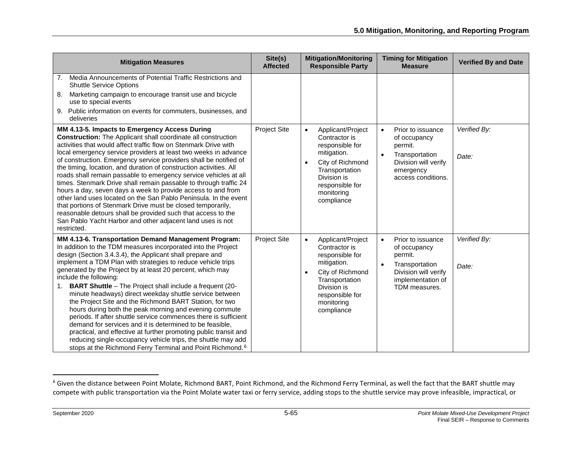<span id="page-64-0"></span>

| <b>Mitigation Measures</b>                                                                                                                                                                                                                                                                                                                                                                                                                                                                                                                                                                                                                                                                                                                                                                                                                                                                                                                      | Site(s)<br><b>Affected</b> | <b>Mitigation/Monitoring</b><br><b>Responsible Party</b>                                                                                                                                           | <b>Timing for Mitigation</b><br><b>Measure</b>                                                                                                         | <b>Verified By and Date</b> |
|-------------------------------------------------------------------------------------------------------------------------------------------------------------------------------------------------------------------------------------------------------------------------------------------------------------------------------------------------------------------------------------------------------------------------------------------------------------------------------------------------------------------------------------------------------------------------------------------------------------------------------------------------------------------------------------------------------------------------------------------------------------------------------------------------------------------------------------------------------------------------------------------------------------------------------------------------|----------------------------|----------------------------------------------------------------------------------------------------------------------------------------------------------------------------------------------------|--------------------------------------------------------------------------------------------------------------------------------------------------------|-----------------------------|
| Media Announcements of Potential Traffic Restrictions and<br>7.<br><b>Shuttle Service Options</b><br>Marketing campaign to encourage transit use and bicycle<br>8.<br>use to special events<br>Public information on events for commuters, businesses, and<br>9.<br>deliveries                                                                                                                                                                                                                                                                                                                                                                                                                                                                                                                                                                                                                                                                  |                            |                                                                                                                                                                                                    |                                                                                                                                                        |                             |
| MM 4.13-5. Impacts to Emergency Access During<br><b>Construction:</b> The Applicant shall coordinate all construction<br>activities that would affect traffic flow on Stenmark Drive with<br>local emergency service providers at least two weeks in advance<br>of construction. Emergency service providers shall be notified of<br>the timing, location, and duration of construction activities. All<br>roads shall remain passable to emergency service vehicles at all<br>times. Stenmark Drive shall remain passable to through traffic 24<br>hours a day, seven days a week to provide access to and from<br>other land uses located on the San Pablo Peninsula. In the event<br>that portions of Stenmark Drive must be closed temporarily,<br>reasonable detours shall be provided such that access to the<br>San Pablo Yacht Harbor and other adjacent land uses is not<br>restricted.                                                | <b>Project Site</b>        | Applicant/Project<br>$\bullet$<br>Contractor is<br>responsible for<br>mitigation.<br>City of Richmond<br>$\bullet$<br>Transportation<br>Division is<br>responsible for<br>monitoring<br>compliance | Prior to issuance<br>$\bullet$<br>of occupancy<br>permit.<br>$\bullet$<br>Transportation<br>Division will verify<br>emergency<br>access conditions.    | Verified By:<br>Date:       |
| MM 4.13-6. Transportation Demand Management Program:<br>In addition to the TDM measures incorporated into the Project<br>design (Section 3.4.3.4), the Applicant shall prepare and<br>implement a TDM Plan with strategies to reduce vehicle trips<br>generated by the Project by at least 20 percent, which may<br>include the following:<br><b>BART Shuttle</b> - The Project shall include a frequent (20-<br>1.<br>minute headways) direct weekday shuttle service between<br>the Project Site and the Richmond BART Station, for two<br>hours during both the peak morning and evening commute<br>periods. If after shuttle service commences there is sufficient<br>demand for services and it is determined to be feasible,<br>practical, and effective at further promoting public transit and<br>reducing single-occupancy vehicle trips, the shuttle may add<br>stops at the Richmond Ferry Terminal and Point Richmond. <sup>6</sup> | <b>Project Site</b>        | Applicant/Project<br>$\bullet$<br>Contractor is<br>responsible for<br>mitigation.<br>City of Richmond<br>$\bullet$<br>Transportation<br>Division is<br>responsible for<br>monitoring<br>compliance | Prior to issuance<br>$\bullet$<br>of occupancy<br>permit.<br>Transportation<br>$\bullet$<br>Division will verify<br>implementation of<br>TDM measures. | Verified By:<br>Date:       |

<sup>&</sup>lt;sup>6</sup> Given the distance between Point Molate, Richmond BART, Point Richmond, and the Richmond Ferry Terminal, as well the fact that the BART shuttle may compete with public transportation via the Point Molate water taxi or ferry service, adding stops to the shuttle service may prove infeasible, impractical, or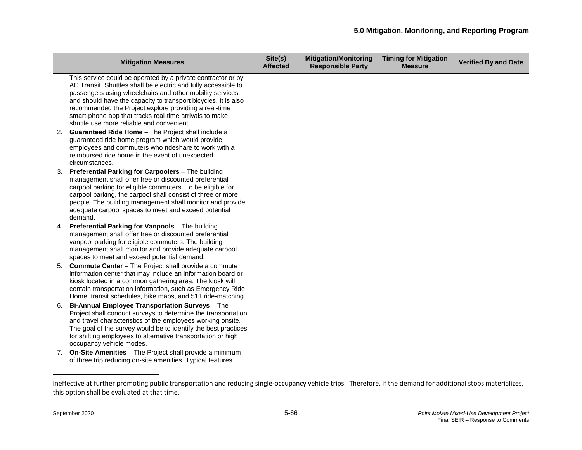|               | <b>Mitigation Measures</b>                                                                                                                                                                                                                                                                                                                                                                                                                                                                                                                                                                                                                                          | Site(s)<br><b>Affected</b> | <b>Mitigation/Monitoring</b><br><b>Responsible Party</b> | <b>Timing for Mitigation</b><br><b>Measure</b> | <b>Verified By and Date</b> |
|---------------|---------------------------------------------------------------------------------------------------------------------------------------------------------------------------------------------------------------------------------------------------------------------------------------------------------------------------------------------------------------------------------------------------------------------------------------------------------------------------------------------------------------------------------------------------------------------------------------------------------------------------------------------------------------------|----------------------------|----------------------------------------------------------|------------------------------------------------|-----------------------------|
| 2.            | This service could be operated by a private contractor or by<br>AC Transit. Shuttles shall be electric and fully accessible to<br>passengers using wheelchairs and other mobility services<br>and should have the capacity to transport bicycles. It is also<br>recommended the Project explore providing a real-time<br>smart-phone app that tracks real-time arrivals to make<br>shuttle use more reliable and convenient.<br>Guaranteed Ride Home - The Project shall include a<br>guaranteed ride home program which would provide<br>employees and commuters who rideshare to work with a<br>reimbursed ride home in the event of unexpected<br>circumstances. |                            |                                                          |                                                |                             |
| 3.<br>demand. | Preferential Parking for Carpoolers - The building<br>management shall offer free or discounted preferential<br>carpool parking for eligible commuters. To be eligible for<br>carpool parking, the carpool shall consist of three or more<br>people. The building management shall monitor and provide<br>adequate carpool spaces to meet and exceed potential                                                                                                                                                                                                                                                                                                      |                            |                                                          |                                                |                             |
|               | 4. Preferential Parking for Vanpools - The building<br>management shall offer free or discounted preferential<br>vanpool parking for eligible commuters. The building<br>management shall monitor and provide adequate carpool<br>spaces to meet and exceed potential demand.                                                                                                                                                                                                                                                                                                                                                                                       |                            |                                                          |                                                |                             |
| 5.            | <b>Commute Center</b> – The Project shall provide a commute<br>information center that may include an information board or<br>kiosk located in a common gathering area. The kiosk will<br>contain transportation information, such as Emergency Ride<br>Home, transit schedules, bike maps, and 511 ride-matching.                                                                                                                                                                                                                                                                                                                                                  |                            |                                                          |                                                |                             |
| 6.            | Bi-Annual Employee Transportation Surveys - The<br>Project shall conduct surveys to determine the transportation<br>and travel characteristics of the employees working onsite.<br>The goal of the survey would be to identify the best practices<br>for shifting employees to alternative transportation or high<br>occupancy vehicle modes.                                                                                                                                                                                                                                                                                                                       |                            |                                                          |                                                |                             |
| 7.            | On-Site Amenities - The Project shall provide a minimum<br>of three trip reducing on-site amenities. Typical features                                                                                                                                                                                                                                                                                                                                                                                                                                                                                                                                               |                            |                                                          |                                                |                             |

ineffective at further promoting public transportation and reducing single-occupancy vehicle trips. Therefore, if the demand for additional stops materializes, this option shall be evaluated at that time.

 $\overline{\phantom{a}}$